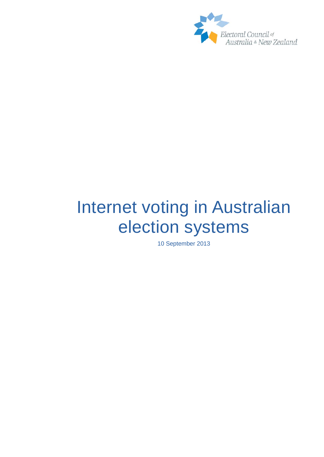

# <span id="page-0-0"></span>Internet voting in Australian election systems

10 September 2013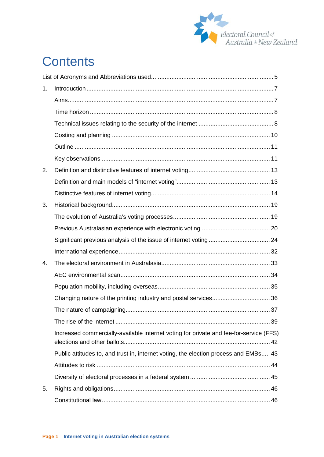

# **Contents**

| 1 <sub>1</sub> |                                                                                        |  |
|----------------|----------------------------------------------------------------------------------------|--|
|                |                                                                                        |  |
|                |                                                                                        |  |
|                |                                                                                        |  |
|                |                                                                                        |  |
|                |                                                                                        |  |
|                |                                                                                        |  |
| 2.             |                                                                                        |  |
|                |                                                                                        |  |
|                |                                                                                        |  |
| 3.             |                                                                                        |  |
|                |                                                                                        |  |
|                |                                                                                        |  |
|                |                                                                                        |  |
|                |                                                                                        |  |
| $\mathbf{4}$ . |                                                                                        |  |
|                |                                                                                        |  |
|                |                                                                                        |  |
|                |                                                                                        |  |
|                |                                                                                        |  |
|                |                                                                                        |  |
|                | Increased commercially-available internet voting for private and fee-for-service (FFS) |  |
|                | Public attitudes to, and trust in, internet voting, the election process and EMBs 43   |  |
|                |                                                                                        |  |
|                |                                                                                        |  |
| 5.             |                                                                                        |  |
|                |                                                                                        |  |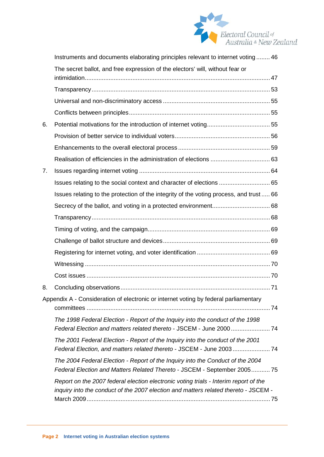

|    | Instruments and documents elaborating principles relevant to internet voting  46                                                                                            |  |
|----|-----------------------------------------------------------------------------------------------------------------------------------------------------------------------------|--|
|    | The secret ballot, and free expression of the electors' will, without fear or                                                                                               |  |
|    |                                                                                                                                                                             |  |
|    |                                                                                                                                                                             |  |
|    |                                                                                                                                                                             |  |
|    |                                                                                                                                                                             |  |
| 6. |                                                                                                                                                                             |  |
|    |                                                                                                                                                                             |  |
|    |                                                                                                                                                                             |  |
|    |                                                                                                                                                                             |  |
| 7. |                                                                                                                                                                             |  |
|    | Issues relating to the social context and character of elections  65                                                                                                        |  |
|    | Issues relating to the protection of the integrity of the voting process, and trust  66                                                                                     |  |
|    |                                                                                                                                                                             |  |
|    |                                                                                                                                                                             |  |
|    |                                                                                                                                                                             |  |
|    |                                                                                                                                                                             |  |
|    |                                                                                                                                                                             |  |
|    |                                                                                                                                                                             |  |
|    |                                                                                                                                                                             |  |
| 8. |                                                                                                                                                                             |  |
|    | Appendix A - Consideration of electronic or internet voting by federal parliamentary                                                                                        |  |
|    |                                                                                                                                                                             |  |
|    | The 1998 Federal Election - Report of the Inquiry into the conduct of the 1998<br>Federal Election and matters related thereto - JSCEM - June 2000  74                      |  |
|    | The 2001 Federal Election - Report of the Inquiry into the conduct of the 2001<br>Federal Election, and matters related thereto - JSCEM - June 2003 74                      |  |
|    | The 2004 Federal Election - Report of the Inquiry into the Conduct of the 2004<br>Federal Election and Matters Related Thereto - JSCEM - September 2005 75                  |  |
|    | Report on the 2007 federal election electronic voting trials - Interim report of the<br>inquiry into the conduct of the 2007 election and matters related thereto - JSCEM - |  |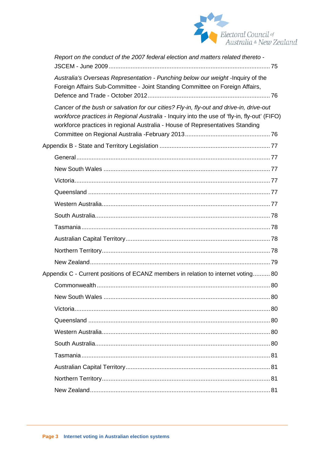

| Report on the conduct of the 2007 federal election and matters related thereto -                                                                                                                                                                                         |  |
|--------------------------------------------------------------------------------------------------------------------------------------------------------------------------------------------------------------------------------------------------------------------------|--|
| Australia's Overseas Representation - Punching below our weight - Inquiry of the<br>Foreign Affairs Sub-Committee - Joint Standing Committee on Foreign Affairs,                                                                                                         |  |
| Cancer of the bush or salvation for our cities? Fly-in, fly-out and drive-in, drive-out<br>workforce practices in Regional Australia - Inquiry into the use of 'fly-in, fly-out' (FIFO)<br>workforce practices in regional Australia - House of Representatives Standing |  |
|                                                                                                                                                                                                                                                                          |  |
|                                                                                                                                                                                                                                                                          |  |
|                                                                                                                                                                                                                                                                          |  |
|                                                                                                                                                                                                                                                                          |  |
|                                                                                                                                                                                                                                                                          |  |
|                                                                                                                                                                                                                                                                          |  |
|                                                                                                                                                                                                                                                                          |  |
|                                                                                                                                                                                                                                                                          |  |
|                                                                                                                                                                                                                                                                          |  |
|                                                                                                                                                                                                                                                                          |  |
|                                                                                                                                                                                                                                                                          |  |
| Appendix C - Current positions of ECANZ members in relation to internet voting 80                                                                                                                                                                                        |  |
|                                                                                                                                                                                                                                                                          |  |
|                                                                                                                                                                                                                                                                          |  |
|                                                                                                                                                                                                                                                                          |  |
|                                                                                                                                                                                                                                                                          |  |
|                                                                                                                                                                                                                                                                          |  |
|                                                                                                                                                                                                                                                                          |  |
|                                                                                                                                                                                                                                                                          |  |
|                                                                                                                                                                                                                                                                          |  |
|                                                                                                                                                                                                                                                                          |  |
|                                                                                                                                                                                                                                                                          |  |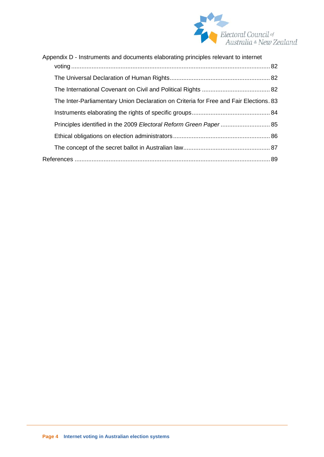

| Appendix D - Instruments and documents elaborating principles relevant to internet    |  |  |
|---------------------------------------------------------------------------------------|--|--|
|                                                                                       |  |  |
|                                                                                       |  |  |
|                                                                                       |  |  |
| The Inter-Parliamentary Union Declaration on Criteria for Free and Fair Elections. 83 |  |  |
|                                                                                       |  |  |
|                                                                                       |  |  |
|                                                                                       |  |  |
|                                                                                       |  |  |
|                                                                                       |  |  |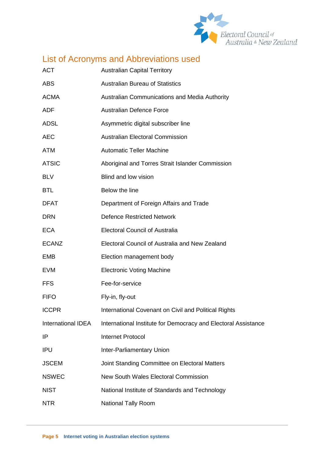

# <span id="page-5-0"></span>List of Acronyms and Abbreviations used

| <b>ACT</b>                | <b>Australian Capital Territory</b>                            |
|---------------------------|----------------------------------------------------------------|
| <b>ABS</b>                | <b>Australian Bureau of Statistics</b>                         |
| <b>ACMA</b>               | Australian Communications and Media Authority                  |
| <b>ADF</b>                | <b>Australian Defence Force</b>                                |
| <b>ADSL</b>               | Asymmetric digital subscriber line                             |
| <b>AEC</b>                | <b>Australian Electoral Commission</b>                         |
| <b>ATM</b>                | <b>Automatic Teller Machine</b>                                |
| <b>ATSIC</b>              | Aboriginal and Torres Strait Islander Commission               |
| <b>BLV</b>                | Blind and low vision                                           |
| <b>BTL</b>                | Below the line                                                 |
| <b>DFAT</b>               | Department of Foreign Affairs and Trade                        |
| <b>DRN</b>                | <b>Defence Restricted Network</b>                              |
| <b>ECA</b>                | <b>Electoral Council of Australia</b>                          |
| <b>ECANZ</b>              | Electoral Council of Australia and New Zealand                 |
| <b>EMB</b>                | Election management body                                       |
| <b>EVM</b>                | <b>Electronic Voting Machine</b>                               |
| <b>FFS</b>                | Fee-for-service                                                |
| <b>FIFO</b>               | Fly-in, fly-out                                                |
| <b>ICCPR</b>              | International Covenant on Civil and Political Rights           |
| <b>International IDEA</b> | International Institute for Democracy and Electoral Assistance |
| IP                        | <b>Internet Protocol</b>                                       |
| <b>IPU</b>                | <b>Inter-Parliamentary Union</b>                               |
| <b>JSCEM</b>              | Joint Standing Committee on Electoral Matters                  |
| <b>NSWEC</b>              | New South Wales Electoral Commission                           |
| <b>NIST</b>               | National Institute of Standards and Technology                 |
| <b>NTR</b>                | <b>National Tally Room</b>                                     |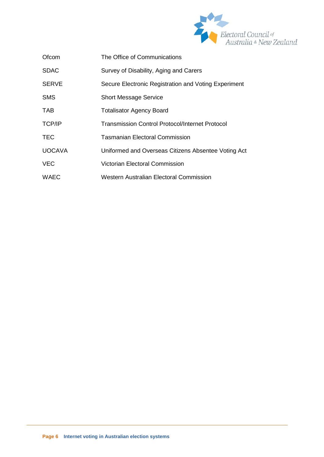

| Ofcom         | The Office of Communications                           |
|---------------|--------------------------------------------------------|
| <b>SDAC</b>   | Survey of Disability, Aging and Carers                 |
| <b>SERVE</b>  | Secure Electronic Registration and Voting Experiment   |
| <b>SMS</b>    | <b>Short Message Service</b>                           |
| <b>TAB</b>    | <b>Totalisator Agency Board</b>                        |
| <b>TCP/IP</b> | <b>Transmission Control Protocol/Internet Protocol</b> |
| <b>TEC</b>    | Tasmanian Electoral Commission                         |
| <b>UOCAVA</b> | Uniformed and Overseas Citizens Absentee Voting Act    |
| <b>VEC</b>    | Victorian Electoral Commission                         |
| <b>WAEC</b>   | Western Australian Electoral Commission                |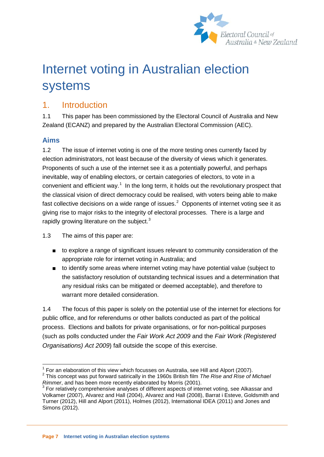

# Internet voting in Australian election systems

## <span id="page-7-0"></span>1. Introduction

1.1 This paper has been commissioned by the Electoral Council of Australia and New Zealand (ECANZ) and prepared by the Australian Electoral Commission (AEC).

#### <span id="page-7-1"></span>**Aims**

1.2 The issue of internet voting is one of the more testing ones currently faced by election administrators, not least because of the diversity of views which it generates. Proponents of such a use of the internet see it as a potentially powerful, and perhaps inevitable, way of enabling electors, or certain categories of electors, to vote in a convenient and efficient way. $<sup>1</sup>$  $<sup>1</sup>$  $<sup>1</sup>$  In the long term, it holds out the revolutionary prospect that</sup> the classical vision of direct democracy could be realised, with voters being able to make fast collective decisions on a wide range of issues.<sup>[2](#page-7-2)</sup> Opponents of internet voting see it as giving rise to major risks to the integrity of electoral processes. There is a large and rapidly growing literature on the subject.<sup>[3](#page-7-3)</sup>

1.3 The aims of this paper are:

- to explore a range of significant issues relevant to community consideration of the appropriate role for internet voting in Australia; and
- to identify some areas where internet voting may have potential value (subject to the satisfactory resolution of outstanding technical issues and a determination that any residual risks can be mitigated or deemed acceptable), and therefore to warrant more detailed consideration.

1.4 The focus of this paper is solely on the potential use of the internet for elections for public office, and for referendums or other ballots conducted as part of the political process. Elections and ballots for private organisations, or for non-political purposes (such as polls conducted under the *Fair Work Act 2009* and the *Fair Work (Registered Organisations) Act 2009*) fall outside the scope of this exercise.

<span id="page-7-4"></span> $1$  For an elaboration of this view which focusses on Australia, see Hill and Alport (2007).

<span id="page-7-2"></span><sup>&</sup>lt;sup>2</sup> This concept was put forward satirically in the 1960s British film *The Rise and Rise of Michael Rimmer*, and has been more recently elaborated by Morris (2001).

<span id="page-7-3"></span><sup>&</sup>lt;sup>3</sup> For relatively comprehensive analyses of different aspects of internet voting, see Alkassar and Volkamer (2007), Alvarez and Hall (2004), Alvarez and Hall (2008), Barrat i Esteve, Goldsmith and Turner (2012), Hill and Alport (2011), Holmes (2012), International IDEA (2011) and Jones and Simons (2012).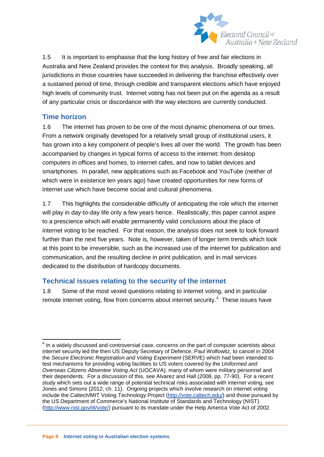

1.5 It is important to emphasise that the long history of free and fair elections in Australia and New Zealand provides the context for this analysis. Broadly speaking, all jurisdictions in those countries have succeeded in delivering the franchise effectively over a sustained period of time, through credible and transparent elections which have enjoyed high levels of community trust. Internet voting has not been put on the agenda as a result of any particular crisis or discordance with the way elections are currently conducted.

#### <span id="page-8-0"></span>**Time horizon**

1.6 The internet has proven to be one of the most dynamic phenomena of our times. From a network originally developed for a relatively small group of institutional users, it has grown into a key component of people's lives all over the world. The growth has been accompanied by changes in typical forms of access to the internet: from desktop computers in offices and homes, to internet cafes, and now to tablet devices and smartphones. In parallel, new applications such as Facebook and YouTube (neither of which were in existence ten years ago) have created opportunities for new forms of internet use which have become social and cultural phenomena.

<span id="page-8-2"></span>1.7 This highlights the considerable difficulty of anticipating the role which the internet will play in day-to-day life only a few years hence. Realistically, this paper cannot aspire to a prescience which will enable permanently valid conclusions about the place of internet voting to be reached. For that reason, the analysis does not seek to look forward further than the next five years. Note is, however, taken of longer term trends which look at this point to be irreversible, such as the increased use of the internet for publication and communication, and the resulting decline in print publication, and in mail services dedicated to the distribution of hardcopy documents.

#### <span id="page-8-1"></span>**Technical issues relating to the security of the internet**

1.8 Some of the most vexed questions relating to internet voting, and in particular remote internet voting, flow from concerns about internet security.<sup>[4](#page-7-4)</sup> These issues have

 $4$  In a widely discussed and controversial case, concerns on the part of computer scientists about internet security led the then US Deputy Secretary of Defence, Paul Wolfowitz, to cancel in 2004 the *Secure Electronic Registration and Voting Experiment* (SERVE) which had been intended to test mechanisms for providing voting facilities to US voters covered by the *Uniformed and Overseas Citizens Absentee Voting Act* (UOCAVA), many of whom were military personnel and their dependents. For a discussion of this, see Alvarez and Hall (2008, pp. 77-90). For a recent study which sets out a wide range of potential technical risks associated with internet voting, see Jones and Simons (2012; ch. 11). Ongoing projects which involve research on internet voting include the Caltech/MIT Voting Technology Project [\(http://vote.caltech.edu/\)](http://vote.caltech.edu/) and those pursued by the US Department of Commerce's National Institute of Standards and Technology (NIST) [\(http://www.nist.gov/itl/vote/\)](http://www.nist.gov/itl/vote/) pursuant to its mandate under the Help America Vote Act of 2002.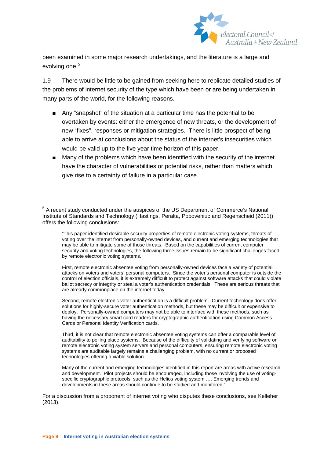

been examined in some major research undertakings, and the literature is a large and evolving one.<sup>[5](#page-8-2)</sup>

1.9 There would be little to be gained from seeking here to replicate detailed studies of the problems of internet security of the type which have been or are being undertaken in many parts of the world, for the following reasons.

- Any "snapshot" of the situation at a particular time has the potential to be overtaken by events: either the emergence of new threats, or the development of new "fixes", responses or mitigation strategies. There is little prospect of being able to arrive at conclusions about the status of the internet's insecurities which would be valid up to the five year time horizon of this paper.
- Many of the problems which have been identified with the security of the internet have the character of vulnerabilities or potential risks, rather than matters which give rise to a certainty of failure in a particular case.

First, remote electronic absentee voting from personally-owned devices face a variety of potential attacks on voters and voters' personal computers. Since the voter's personal computer is outside the control of election officials, it is extremely difficult to protect against software attacks that could violate ballot secrecy or integrity or steal a voter's authentication credentials. These are serious threats that are already commonplace on the internet today.

Second, remote electronic voter authentication is a difficult problem. Current technology does offer solutions for highly-secure voter authentication methods, but these may be difficult or expensive to deploy. Personally-owned computers may not be able to interface with these methods, such as having the necessary smart card readers for cryptographic authentication using Common Access Cards or Personal Identity Verification cards.

Third, it is not clear that remote electronic absentee voting systems can offer a comparable level of auditability to polling place systems. Because of the difficulty of validating and verifying software on remote electronic voting system servers and personal computers, ensuring remote electronic voting systems are auditable largely remains a challenging problem, with no current or proposed technologies offering a viable solution.

Many of the current and emerging technologies identified in this report are areas with active research and development. Pilot projects should be encouraged, including those involving the use of votingspecific cryptographic protocols, such as the Helios voting system …. Emerging trends and developments in these areas should continue to be studied and monitored.".

<span id="page-9-0"></span>For a discussion from a proponent of internet voting who disputes these conclusions, see Kelleher (2013).

<sup>&</sup>lt;sup>5</sup> A recent study conducted under the auspices of the US Department of Commerce's National Institute of Standards and Technology (Hastings, Peralta, Popoveniuc and Regenscheid (2011)) offers the following conclusions:

<sup>&</sup>quot;This paper identified desirable security properties of remote electronic voting systems, threats of voting over the internet from personally-owned devices, and current and emerging technologies that may be able to mitigate some of those threats. Based on the capabilities of current computer security and voting technologies, the following three issues remain to be significant challenges faced by remote electronic voting systems.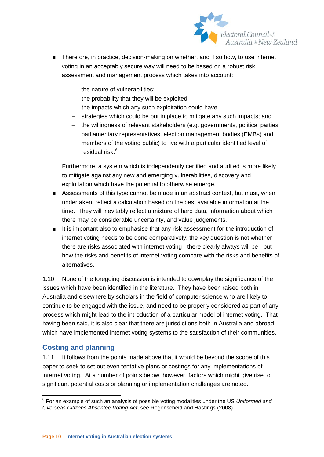

- Therefore, in practice, decision-making on whether, and if so how, to use internet voting in an acceptably secure way will need to be based on a robust risk assessment and management process which takes into account:
	- the nature of vulnerabilities;
	- the probability that they will be exploited;
	- the impacts which any such exploitation could have;
	- strategies which could be put in place to mitigate any such impacts; and
	- the willingness of relevant stakeholders (e.g. governments, political parties, parliamentary representatives, election management bodies (EMBs) and members of the voting public) to live with a particular identified level of residual risk.<sup>[6](#page-9-0)</sup>

Furthermore, a system which is independently certified and audited is more likely to mitigate against any new and emerging vulnerabilities, discovery and exploitation which have the potential to otherwise emerge.

- Assessments of this type cannot be made in an abstract context, but must, when undertaken, reflect a calculation based on the best available information at the time. They will inevitably reflect a mixture of hard data, information about which there may be considerable uncertainty, and value judgements.
- It is important also to emphasise that any risk assessment for the introduction of internet voting needs to be done comparatively: the key question is not whether there are risks associated with internet voting - there clearly always will be - but how the risks and benefits of internet voting compare with the risks and benefits of alternatives.

1.10 None of the foregoing discussion is intended to downplay the significance of the issues which have been identified in the literature. They have been raised both in Australia and elsewhere by scholars in the field of computer science who are likely to continue to be engaged with the issue, and need to be properly considered as part of any process which might lead to the introduction of a particular model of internet voting. That having been said, it is also clear that there are jurisdictions both in Australia and abroad which have implemented internet voting systems to the satisfaction of their communities.

#### <span id="page-10-0"></span>**Costing and planning**

<span id="page-10-1"></span>1.11 It follows from the points made above that it would be beyond the scope of this paper to seek to set out even tentative plans or costings for any implementations of internet voting. At a number of points below, however, factors which might give rise to significant potential costs or planning or implementation challenges are noted.

 <sup>6</sup> For an example of such an analysis of possible voting modalities under the US *Uniformed and Overseas Citizens Absentee Voting Act*, see Regenscheid and Hastings (2008).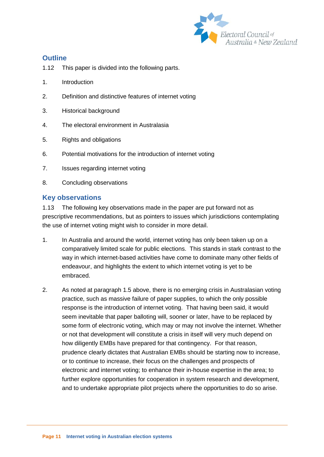

#### <span id="page-11-0"></span>**Outline**

- 1.12 This paper is divided into the following parts.
- 1. Introduction
- 2. Definition and distinctive features of internet voting
- 3. Historical background
- 4. The electoral environment in Australasia
- 5. Rights and obligations
- 6. Potential motivations for the introduction of internet voting
- 7. Issues regarding internet voting
- 8. Concluding observations

#### <span id="page-11-1"></span>**Key observations**

1.13 The following key observations made in the paper are put forward not as prescriptive recommendations, but as pointers to issues which jurisdictions contemplating the use of internet voting might wish to consider in more detail.

- 1. In Australia and around the world, internet voting has only been taken up on a comparatively limited scale for public elections. This stands in stark contrast to the way in which internet-based activities have come to dominate many other fields of endeavour, and highlights the extent to which internet voting is yet to be embraced.
- 2. As noted at paragraph 1.5 above, there is no emerging crisis in Australasian voting practice, such as massive failure of paper supplies, to which the only possible response is the introduction of internet voting. That having been said, it would seem inevitable that paper balloting will, sooner or later, have to be replaced by some form of electronic voting, which may or may not involve the internet. Whether or not that development will constitute a crisis in itself will very much depend on how diligently EMBs have prepared for that contingency. For that reason, prudence clearly dictates that Australian EMBs should be starting now to increase, or to continue to increase, their focus on the challenges and prospects of electronic and internet voting; to enhance their in-house expertise in the area; to further explore opportunities for cooperation in system research and development, and to undertake appropriate pilot projects where the opportunities to do so arise.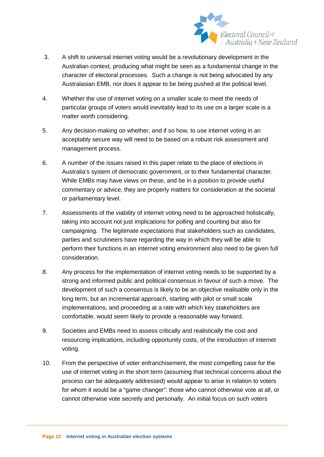

- 3. A shift to universal internet voting would be a revolutionary development in the Australian context, producing what might be seen as a fundamental change in the character of electoral processes. Such a change is not being advocated by any Australasian EMB, nor does it appear to be being pushed at the political level.
- 4. Whether the use of internet voting on a smaller scale to meet the needs of particular groups of voters would inevitably lead to its use on a larger scale is a matter worth considering.
- 5. Any decision-making on whether, and if so how, to use internet voting in an acceptably secure way will need to be based on a robust risk assessment and management process.
- 6. A number of the issues raised in this paper relate to the place of elections in Australia's system of democratic government, or to their fundamental character. While EMBs may have views on these, and be in a position to provide useful commentary or advice, they are properly matters for consideration at the societal or parliamentary level.
- 7. Assessments of the viability of internet voting need to be approached holistically, taking into account not just implications for polling and counting but also for campaigning. The legitimate expectations that stakeholders such as candidates, parties and scrutineers have regarding the way in which they will be able to perform their functions in an internet voting environment also need to be given full consideration.
- 8. Any process for the implementation of internet voting needs to be supported by a strong and informed public and political consensus in favour of such a move. The development of such a consensus is likely to be an objective realisable only in the long term, but an incremental approach, starting with pilot or small scale implementations, and proceeding at a rate with which key stakeholders are comfortable, would seem likely to provide a reasonable way forward.
- 9. Societies and EMBs need to assess critically and realistically the cost and resourcing implications, including opportunity costs, of the introduction of internet voting.
- 10. From the perspective of voter enfranchisement, the most compelling case for the use of internet voting in the short term (assuming that technical concerns about the process can be adequately addressed) would appear to arise in relation to voters for whom it would be a "game changer": those who cannot otherwise vote at all, or cannot otherwise vote secretly and personally. An initial focus on such voters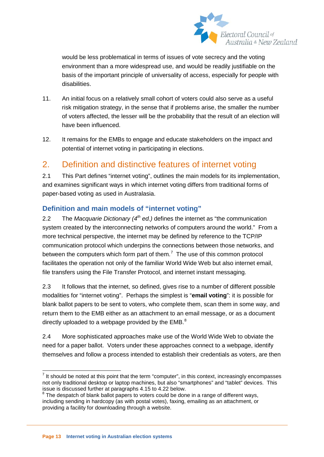

would be less problematical in terms of issues of vote secrecy and the voting environment than a more widespread use, and would be readily justifiable on the basis of the important principle of universality of access, especially for people with disabilities.

- 11. An initial focus on a relatively small cohort of voters could also serve as a useful risk mitigation strategy, in the sense that if problems arise, the smaller the number of voters affected, the lesser will be the probability that the result of an election will have been influenced.
- 12. It remains for the EMBs to engage and educate stakeholders on the impact and potential of internet voting in participating in elections.

## <span id="page-13-0"></span>2. Definition and distinctive features of internet voting

2.1 This Part defines "internet voting", outlines the main models for its implementation, and examines significant ways in which internet voting differs from traditional forms of paper-based voting as used in Australasia.

#### <span id="page-13-1"></span>**Definition and main models of "internet voting"**

2.2 The *Macquarie Dictionary (4th ed.)* defines the internet as "the communication system created by the interconnecting networks of computers around the world." From a more technical perspective, the internet may be defined by reference to the TCP/IP communication protocol which underpins the connections between those networks, and between the computers which form part of them.<sup>[7](#page-10-1)</sup> The use of this common protocol facilitates the operation not only of the familiar World Wide Web but also internet email, file transfers using the File Transfer Protocol, and internet instant messaging.

2.3 It follows that the internet, so defined, gives rise to a number of different possible modalities for "internet voting". Perhaps the simplest is "**email voting**": it is possible for blank ballot papers to be sent to voters, who complete them, scan them in some way, and return them to the EMB either as an attachment to an email message, or as a document directly uploaded to a webpage provided by the EMB. $^8$  $^8$ 

2.4 More sophisticated approaches make use of the World Wide Web to obviate the need for a paper ballot. Voters under these approaches connect to a webpage, identify themselves and follow a process intended to establish their credentials as voters, are then

<span id="page-13-3"></span> $<sup>7</sup>$  It should be noted at this point that the term "computer", in this context, increasingly encompasses</sup> not only traditional desktop or laptop machines, but also "smartphones" and "tablet" devices. This issue is discussed further at paragraphs 4.15 to 4.22 below.

<span id="page-13-2"></span> $8$  The despatch of blank ballot papers to voters could be done in a range of different ways, including sending in hardcopy (as with postal votes), faxing, emailing as an attachment, or providing a facility for downloading through a website.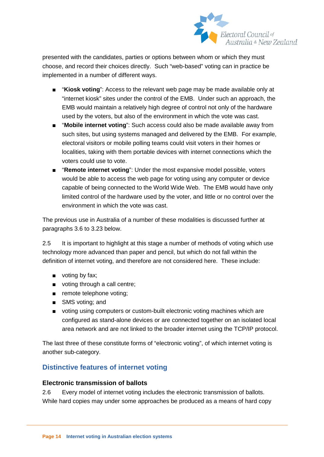

presented with the candidates, parties or options between whom or which they must choose, and record their choices directly. Such "web-based" voting can in practice be implemented in a number of different ways.

- "**Kiosk voting**": Access to the relevant web page may be made available only at "internet kiosk" sites under the control of the EMB. Under such an approach, the EMB would maintain a relatively high degree of control not only of the hardware used by the voters, but also of the environment in which the vote was cast.
- "Mobile internet voting": Such access could also be made available away from such sites, but using systems managed and delivered by the EMB. For example, electoral visitors or mobile polling teams could visit voters in their homes or localities, taking with them portable devices with internet connections which the voters could use to vote.
- **"Remote internet voting**": Under the most expansive model possible, voters would be able to access the web page for voting using any computer or device capable of being connected to the World Wide Web. The EMB would have only limited control of the hardware used by the voter, and little or no control over the environment in which the vote was cast.

The previous use in Australia of a number of these modalities is discussed further at paragraphs 3.6 to 3.23 below.

2.5 It is important to highlight at this stage a number of methods of voting which use technology more advanced than paper and pencil, but which do not fall within the definition of internet voting, and therefore are not considered here. These include:

- voting by fax;
- voting through a call centre;
- remote telephone voting;
- SMS voting; and
- voting using computers or custom-built electronic voting machines which are configured as stand-alone devices or are connected together on an isolated local area network and are not linked to the broader internet using the TCP/IP protocol.

The last three of these constitute forms of "electronic voting", of which internet voting is another sub-category.

#### <span id="page-14-0"></span>**Distinctive features of internet voting**

#### **Electronic transmission of ballots**

2.6 Every model of internet voting includes the electronic transmission of ballots. While hard copies may under some approaches be produced as a means of hard copy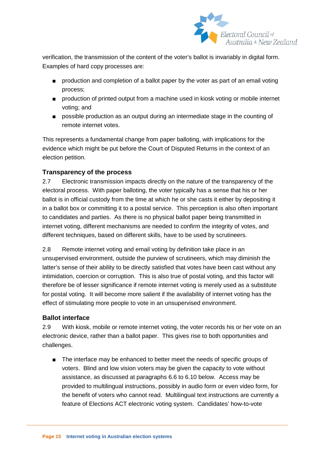

verification, the transmission of the content of the voter's ballot is invariably in digital form. Examples of hard copy processes are:

- production and completion of a ballot paper by the voter as part of an email voting process;
- production of printed output from a machine used in kiosk voting or mobile internet voting; and
- possible production as an output during an intermediate stage in the counting of remote internet votes.

This represents a fundamental change from paper balloting, with implications for the evidence which might be put before the Court of Disputed Returns in the context of an election petition.

#### **Transparency of the process**

2.7 Electronic transmission impacts directly on the nature of the transparency of the electoral process. With paper balloting, the voter typically has a sense that his or her ballot is in official custody from the time at which he or she casts it either by depositing it in a ballot box or committing it to a postal service. This perception is also often important to candidates and parties. As there is no physical ballot paper being transmitted in internet voting, different mechanisms are needed to confirm the integrity of votes, and different techniques, based on different skills, have to be used by scrutineers.

2.8 Remote internet voting and email voting by definition take place in an unsupervised environment, outside the purview of scrutineers, which may diminish the latter's sense of their ability to be directly satisfied that votes have been cast without any intimidation, coercion or corruption. This is also true of postal voting, and this factor will therefore be of lesser significance if remote internet voting is merely used as a substitute for postal voting. It will become more salient if the availability of internet voting has the effect of stimulating more people to vote in an unsupervised environment.

#### **Ballot interface**

2.9 With kiosk, mobile or remote internet voting, the voter records his or her vote on an electronic device, rather than a ballot paper. This gives rise to both opportunities and challenges.

■ The interface may be enhanced to better meet the needs of specific groups of voters. Blind and low vision voters may be given the capacity to vote without assistance, as discussed at paragraphs 6.6 to 6.10 below. Access may be provided to multilingual instructions, possibly in audio form or even video form, for the benefit of voters who cannot read. Multilingual text instructions are currently a feature of Elections ACT electronic voting system. Candidates' how-to-vote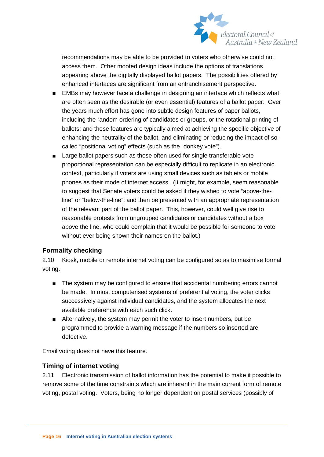

recommendations may be able to be provided to voters who otherwise could not access them. Other mooted design ideas include the options of translations appearing above the digitally displayed ballot papers. The possibilities offered by enhanced interfaces are significant from an enfranchisement perspective.

- EMBs may however face a challenge in designing an interface which reflects what are often seen as the desirable (or even essential) features of a ballot paper. Over the years much effort has gone into subtle design features of paper ballots, including the random ordering of candidates or groups, or the rotational printing of ballots; and these features are typically aimed at achieving the specific objective of enhancing the neutrality of the ballot, and eliminating or reducing the impact of socalled "positional voting" effects (such as the "donkey vote").
- Large ballot papers such as those often used for single transferable vote proportional representation can be especially difficult to replicate in an electronic context, particularly if voters are using small devices such as tablets or mobile phones as their mode of internet access. (It might, for example, seem reasonable to suggest that Senate voters could be asked if they wished to vote "above-theline" or "below-the-line", and then be presented with an appropriate representation of the relevant part of the ballot paper. This, however, could well give rise to reasonable protests from ungrouped candidates or candidates without a box above the line, who could complain that it would be possible for someone to vote without ever being shown their names on the ballot.)

#### **Formality checking**

2.10 Kiosk, mobile or remote internet voting can be configured so as to maximise formal voting.

- The system may be configured to ensure that accidental numbering errors cannot be made. In most computerised systems of preferential voting, the voter clicks successively against individual candidates, and the system allocates the next available preference with each such click.
- Alternatively, the system may permit the voter to insert numbers, but be programmed to provide a warning message if the numbers so inserted are defective.

Email voting does not have this feature.

#### **Timing of internet voting**

2.11 Electronic transmission of ballot information has the potential to make it possible to remove some of the time constraints which are inherent in the main current form of remote voting, postal voting. Voters, being no longer dependent on postal services (possibly of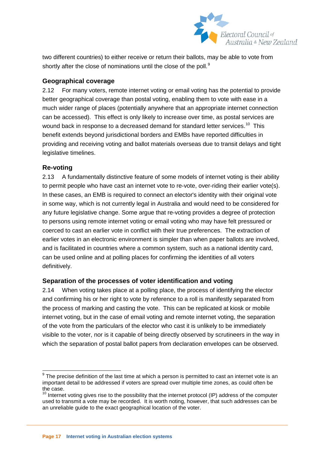

two different countries) to either receive or return their ballots, may be able to vote from shortly after the close of nominations until the close of the poll. $9$ 

#### **Geographical coverage**

2.12 For many voters, remote internet voting or email voting has the potential to provide better geographical coverage than postal voting, enabling them to vote with ease in a much wider range of places (potentially anywhere that an appropriate internet connection can be accessed). This effect is only likely to increase over time, as postal services are wound back in response to a decreased demand for standard letter services.<sup>[10](#page-17-0)</sup> This benefit extends beyond jurisdictional borders and EMBs have reported difficulties in providing and receiving voting and ballot materials overseas due to transit delays and tight legislative timelines.

#### **Re-voting**

2.13 A fundamentally distinctive feature of some models of internet voting is their ability to permit people who have cast an internet vote to re-vote, over-riding their earlier vote(s). In these cases, an EMB is required to connect an elector's identity with their original vote in some way, which is not currently legal in Australia and would need to be considered for any future legislative change. Some argue that re-voting provides a degree of protection to persons using remote internet voting or email voting who may have felt pressured or coerced to cast an earlier vote in conflict with their true preferences. The extraction of earlier votes in an electronic environment is simpler than when paper ballots are involved, and is facilitated in countries where a common system, such as a national identity card, can be used online and at polling places for confirming the identities of all voters definitively.

#### **Separation of the processes of voter identification and voting**

2.14 When voting takes place at a polling place, the process of identifying the elector and confirming his or her right to vote by reference to a roll is manifestly separated from the process of marking and casting the vote. This can be replicated at kiosk or mobile internet voting, but in the case of email voting and remote internet voting, the separation of the vote from the particulars of the elector who cast it is unlikely to be immediately visible to the voter, nor is it capable of being directly observed by scrutineers in the way in which the separation of postal ballot papers from declaration envelopes can be observed.

<span id="page-17-1"></span> $9$  The precise definition of the last time at which a person is permitted to cast an internet vote is an important detail to be addressed if voters are spread over multiple time zones, as could often be the case.

<span id="page-17-0"></span> $10$  Internet voting gives rise to the possibility that the internet protocol (IP) address of the computer used to transmit a vote may be recorded. It is worth noting, however, that such addresses can be an unreliable guide to the exact geographical location of the voter.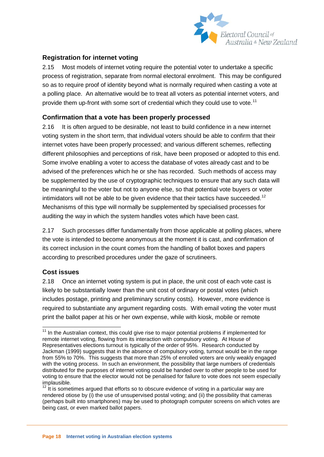

#### **Registration for internet voting**

2.15 Most models of internet voting require the potential voter to undertake a specific process of registration, separate from normal electoral enrolment. This may be configured so as to require proof of identity beyond what is normally required when casting a vote at a polling place. An alternative would be to treat all voters as potential internet voters, and provide them up-front with some sort of credential which they could use to vote.<sup>[11](#page-17-1)</sup>

#### **Confirmation that a vote has been properly processed**

2.16 It is often argued to be desirable, not least to build confidence in a new internet voting system in the short term, that individual voters should be able to confirm that their internet votes have been properly processed; and various different schemes, reflecting different philosophies and perceptions of risk, have been proposed or adopted to this end. Some involve enabling a voter to access the database of votes already cast and to be advised of the preferences which he or she has recorded. Such methods of access may be supplemented by the use of cryptographic techniques to ensure that any such data will be meaningful to the voter but not to anyone else, so that potential vote buyers or voter intimidators will not be able to be given evidence that their tactics have succeeded.<sup>12</sup> Mechanisms of this type will normally be supplemented by specialised processes for auditing the way in which the system handles votes which have been cast.

2.17 Such processes differ fundamentally from those applicable at polling places, where the vote is intended to become anonymous at the moment it is cast, and confirmation of its correct inclusion in the count comes from the handling of ballot boxes and papers according to prescribed procedures under the gaze of scrutineers.

#### **Cost issues**

2.18 Once an internet voting system is put in place, the unit cost of each vote cast is likely to be substantially lower than the unit cost of ordinary or postal votes (which includes postage, printing and preliminary scrutiny costs). However, more evidence is required to substantiate any argument regarding costs. With email voting the voter must print the ballot paper at his or her own expense, while with kiosk, mobile or remote

 $11$  In the Australian context, this could give rise to major potential problems if implemented for remote internet voting, flowing from its interaction with compulsory voting. At House of Representatives elections turnout is typically of the order of 95%. Research conducted by Jackman (1999) suggests that in the absence of compulsory voting, turnout would be in the range from 55% to 70%. This suggests that more than 25% of enrolled voters are only weakly engaged with the voting process. In such an environment, the possibility that large numbers of credentials distributed for the purposes of internet voting could be handed over to other people to be used for voting to ensure that the elector would not be penalised for failure to vote does not seem especially implausible.

<span id="page-18-1"></span><span id="page-18-0"></span> $12$  It is sometimes argued that efforts so to obscure evidence of voting in a particular way are rendered otiose by (i) the use of unsupervised postal voting; and (ii) the possibility that cameras (perhaps built into smartphones) may be used to photograph computer screens on which votes are being cast, or even marked ballot papers.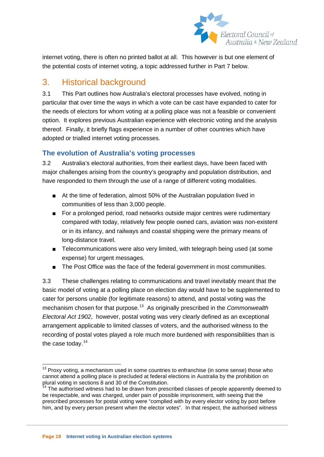

internet voting, there is often no printed ballot at all. This however is but one element of the potential costs of internet voting, a topic addressed further in Part 7 below.

# <span id="page-19-0"></span>3. Historical background

3.1 This Part outlines how Australia's electoral processes have evolved, noting in particular that over time the ways in which a vote can be cast have expanded to cater for the needs of electors for whom voting at a polling place was not a feasible or convenient option. It explores previous Australian experience with electronic voting and the analysis thereof. Finally, it briefly flags experience in a number of other countries which have adopted or trialled internet voting processes.

#### <span id="page-19-1"></span>**The evolution of Australia's voting processes**

3.2 Australia's electoral authorities, from their earliest days, have been faced with major challenges arising from the country's geography and population distribution, and have responded to them through the use of a range of different voting modalities.

- At the time of federation, almost 50% of the Australian population lived in communities of less than 3,000 people.
- For a prolonged period, road networks outside major centres were rudimentary compared with today, relatively few people owned cars, aviation was non-existent or in its infancy, and railways and coastal shipping were the primary means of long-distance travel.
- Telecommunications were also very limited, with telegraph being used (at some expense) for urgent messages.
- The Post Office was the face of the federal government in most communities.

3.3 These challenges relating to communications and travel inevitably meant that the basic model of voting at a polling place on election day would have to be supplemented to cater for persons unable (for legitimate reasons) to attend, and postal voting was the mechanism chosen for that purpose.<sup>[13](#page-18-1)</sup> As originally prescribed in the *Commonwealth Electoral Act 1902*, however, postal voting was very clearly defined as an exceptional arrangement applicable to limited classes of voters, and the authorised witness to the recording of postal votes played a role much more burdened with responsibilities than is the case today.<sup>14</sup>

 $13$  Proxy voting, a mechanism used in some countries to enfranchise (in some sense) those who cannot attend a polling place is precluded at federal elections in Australia by the prohibition on plural voting in sections 8 and 30 of the Constitution.

<span id="page-19-3"></span><span id="page-19-2"></span><sup>&</sup>lt;sup>14</sup> The authorised witness had to be drawn from prescribed classes of people apparently deemed to be respectable, and was charged, under pain of possible imprisonment, with seeing that the prescribed processes for postal voting were "complied with by every elector voting by post before him, and by every person present when the elector votes". In that respect, the authorised witness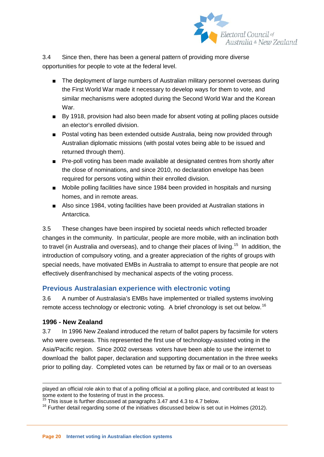

3.4 Since then, there has been a general pattern of providing more diverse opportunities for people to vote at the federal level.

- The deployment of large numbers of Australian military personnel overseas during the First World War made it necessary to develop ways for them to vote, and similar mechanisms were adopted during the Second World War and the Korean War.
- By 1918, provision had also been made for absent voting at polling places outside an elector's enrolled division.
- Postal voting has been extended outside Australia, being now provided through Australian diplomatic missions (with postal votes being able to be issued and returned through them).
- Pre-poll voting has been made available at designated centres from shortly after the close of nominations, and since 2010, no declaration envelope has been required for persons voting within their enrolled division.
- Mobile polling facilities have since 1984 been provided in hospitals and nursing homes, and in remote areas.
- Also since 1984, voting facilities have been provided at Australian stations in Antarctica.

3.5 These changes have been inspired by societal needs which reflected broader changes in the community. In particular, people are more mobile, with an inclination both to travel (in Australia and overseas), and to change their places of living.<sup>15</sup> In addition, the introduction of compulsory voting, and a greater appreciation of the rights of groups with special needs, have motivated EMBs in Australia to attempt to ensure that people are not effectively disenfranchised by mechanical aspects of the voting process.

#### <span id="page-20-0"></span>**Previous Australasian experience with electronic voting**

3.6 A number of Australasia's EMBs have implemented or trialled systems involving remote access technology or electronic voting. A brief chronology is set out below.<sup>[16](#page-20-1)</sup>

#### **1996 - New Zealand**

3.7 In 1996 New Zealand introduced the return of ballot papers by facsimile for voters who were overseas. This represented the first use of technology-assisted voting in the Asia/Pacific region. Since 2002 overseas voters have been able to use the internet to download the ballot paper, declaration and supporting documentation in the three weeks prior to polling day. Completed votes can be returned by fax or mail or to an overseas

played an official role akin to that of a polling official at a polling place, and contributed at least to some extent to the fostering of trust in the process.

This issue is further discussed at paragraphs 3.47 and 4.3 to 4.7 below.

<span id="page-20-1"></span><sup>&</sup>lt;sup>16</sup> Further detail regarding some of the initiatives discussed below is set out in Holmes (2012).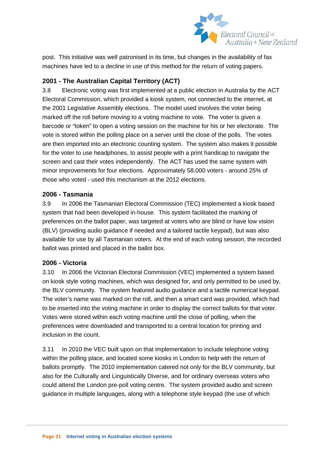

post. This initiative was well patronised in its time, but changes in the availability of fax machines have led to a decline in use of this method for the return of voting papers.

#### **2001 - The Australian Capital Territory (ACT)**

3.8 Electronic voting was first implemented at a public election in Australia by the ACT Electoral Commission, which provided a kiosk system, not connected to the internet, at the 2001 Legislative Assembly elections. The model used involves the voter being marked off the roll before moving to a voting machine to vote. The voter is given a barcode or "token" to open a voting session on the machine for his or her electorate. The vote is stored within the polling place on a server until the close of the polls. The votes are then imported into an electronic counting system. The system also makes it possible for the voter to use headphones, to assist people with a print handicap to navigate the screen and cast their votes independently. The ACT has used the same system with minor improvements for four elections. Approximately 58,000 voters - around 25% of those who voted - used this mechanism at the 2012 elections.

#### **2006 - Tasmania**

3.9 In 2006 the Tasmanian Electoral Commission (TEC) implemented a kiosk based system that had been developed in-house. This system facilitated the marking of preferences on the ballot paper, was targeted at voters who are blind or have low vision (BLV) (providing audio guidance if needed and a tailored tactile keypad), but was also available for use by all Tasmanian voters. At the end of each voting session, the recorded ballot was printed and placed in the ballot box.

#### **2006 - Victoria**

3.10 In 2006 the Victorian Electoral Commission (VEC) implemented a system based on kiosk style voting machines, which was designed for, and only permitted to be used by, the BLV community. The system featured audio guidance and a tactile numerical keypad. The voter's name was marked on the roll, and then a smart card was provided, which had to be inserted into the voting machine in order to display the correct ballots for that voter. Votes were stored within each voting machine until the close of polling, when the preferences were downloaded and transported to a central location for printing and inclusion in the count.

3.11 In 2010 the VEC built upon on that implementation to include telephone voting within the polling place, and located some kiosks in London to help with the return of ballots promptly. The 2010 implementation catered not only for the BLV community, but also for the Culturally and Linguistically Diverse, and for ordinary overseas voters who could attend the London pre-poll voting centre. The system provided audio and screen guidance in multiple languages, along with a telephone style keypad (the use of which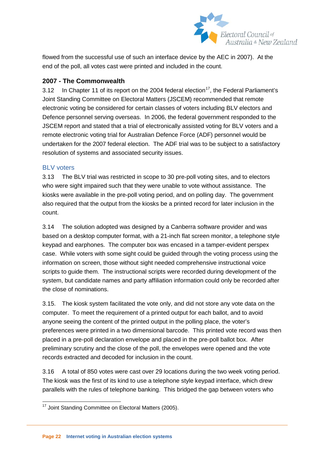

flowed from the successful use of such an interface device by the AEC in 2007). At the end of the poll, all votes cast were printed and included in the count.

#### **2007 - The Commonwealth**

3.12 In Chapter 11 of its report on the 2004 federal election<sup>17</sup>, the Federal Parliament's Joint Standing Committee on Electoral Matters (JSCEM) recommended that remote electronic voting be considered for certain classes of voters including BLV electors and Defence personnel serving overseas. In 2006, the federal government responded to the JSCEM report and stated that a trial of electronically assisted voting for BLV voters and a remote electronic voting trial for Australian Defence Force (ADF) personnel would be undertaken for the 2007 federal election. The ADF trial was to be subject to a satisfactory resolution of systems and associated security issues.

#### BLV voters

3.13 The BLV trial was restricted in scope to 30 pre-poll voting sites, and to electors who were sight impaired such that they were unable to vote without assistance. The kiosks were available in the pre-poll voting period, and on polling day. The government also required that the output from the kiosks be a printed record for later inclusion in the count.

3.14 The solution adopted was designed by a Canberra software provider and was based on a desktop computer format, with a 21-inch flat screen monitor, a telephone style keypad and earphones. The computer box was encased in a tamper-evident perspex case. While voters with some sight could be guided through the voting process using the information on screen, those without sight needed comprehensive instructional voice scripts to guide them. The instructional scripts were recorded during development of the system, but candidate names and party affiliation information could only be recorded after the close of nominations.

<span id="page-22-0"></span>3.15. The kiosk system facilitated the vote only, and did not store any vote data on the computer. To meet the requirement of a printed output for each ballot, and to avoid anyone seeing the content of the printed output in the polling place, the voter's preferences were printed in a two dimensional barcode. This printed vote record was then placed in a pre-poll declaration envelope and placed in the pre-poll ballot box. After preliminary scrutiny and the close of the poll, the envelopes were opened and the vote records extracted and decoded for inclusion in the count.

3.16 A total of 850 votes were cast over 29 locations during the two week voting period. The kiosk was the first of its kind to use a telephone style keypad interface, which drew parallels with the rules of telephone banking. This bridged the gap between voters who

<sup>&</sup>lt;sup>17</sup> Joint Standing Committee on Electoral Matters (2005).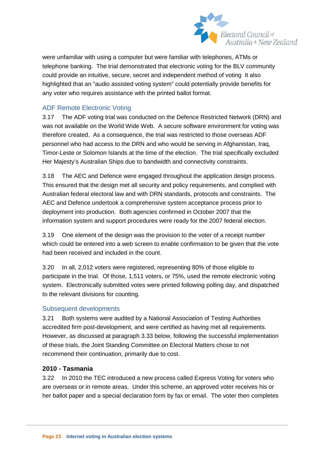

were unfamiliar with using a computer but were familiar with telephones, ATMs or telephone banking. The trial demonstrated that electronic voting for the BLV community could provide an intuitive, secure, secret and independent method of voting It also highlighted that an "audio assisted voting system" could potentially provide benefits for any voter who requires assistance with the printed ballot format.

#### ADF Remote Electronic Voting

3.17 The ADF voting trial was conducted on the Defence Restricted Network (DRN) and was not available on the World Wide Web. A secure software environment for voting was therefore created. As a consequence, the trial was restricted to those overseas ADF personnel who had access to the DRN and who would be serving in Afghanistan, Iraq, Timor-Leste or Solomon Islands at the time of the election. The trial specifically excluded Her Majesty's Australian Ships due to bandwidth and connectivity constraints.

3.18 The AEC and Defence were engaged throughout the application design process. This ensured that the design met all security and policy requirements, and complied with Australian federal electoral law and with DRN standards, protocols and constraints. The AEC and Defence undertook a comprehensive system acceptance process prior to deployment into production. Both agencies confirmed in October 2007 that the information system and support procedures were ready for the 2007 federal election.

3.19 One element of the design was the provision to the voter of a receipt number which could be entered into a web screen to enable confirmation to be given that the vote had been received and included in the count.

3.20 In all, 2,012 voters were registered, representing 80% of those eligible to participate in the trial. Of those, 1,511 voters, or 75%, used the remote electronic voting system. Electronically submitted votes were printed following polling day, and dispatched to the relevant divisions for counting.

#### Subsequent developments

3.21 Both systems were audited by a National Association of Testing Authorities accredited firm post-development, and were certified as having met all requirements. However, as discussed at paragraph 3.33 below, following the successful implementation of these trials, the Joint Standing Committee on Electoral Matters chose to not recommend their continuation, primarily due to cost.

#### **2010 - Tasmania**

3.22 In 2010 the TEC introduced a new process called Express Voting for voters who are overseas or in remote areas. Under this scheme, an approved voter receives his or her ballot paper and a special declaration form by fax or email. The voter then completes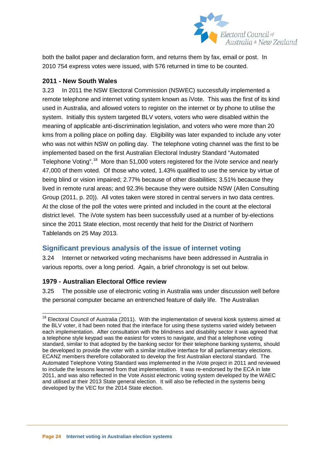

both the ballot paper and declaration form, and returns them by fax, email or post. In 2010 754 express votes were issued, with 576 returned in time to be counted.

#### **2011 - New South Wales**

3.23 In 2011 the NSW Electoral Commission (NSWEC) successfully implemented a remote telephone and internet voting system known as iVote. This was the first of its kind used in Australia, and allowed voters to register on the internet or by phone to utilise the system. Initially this system targeted BLV voters, voters who were disabled within the meaning of applicable anti-discrimination legislation, and voters who were more than 20 kms from a polling place on polling day. Eligibility was later expanded to include any voter who was not within NSW on polling day. The telephone voting channel was the first to be implemented based on the first Australian Electoral Industry Standard "Automated Telephone Voting".<sup>[18](#page-22-0)</sup> More than 51,000 voters registered for the iVote service and nearly 47,000 of them voted. Of those who voted, 1.43% qualified to use the service by virtue of being blind or vision impaired; 2.77% because of other disabilities; 3.51% because they lived in remote rural areas; and 92.3% because they were outside NSW (Allen Consulting Group (2011, p. 20)). All votes taken were stored in central servers in two data centres. At the close of the poll the votes were printed and included in the count at the electoral district level. The iVote system has been successfully used at a number of by-elections since the 2011 State election, most recently that held for the District of Northern Tablelands on 25 May 2013.

#### <span id="page-24-0"></span>**Significant previous analysis of the issue of internet voting**

3.24 Internet or networked voting mechanisms have been addressed in Australia in various reports, over a long period. Again, a brief chronology is set out below.

#### **1979 - Australian Electoral Office review**

3.25 The possible use of electronic voting in Australia was under discussion well before the personal computer became an entrenched feature of daily life. The Australian

<span id="page-24-1"></span><sup>&</sup>lt;sup>18</sup> Electoral Council of Australia (2011). With the implementation of several kiosk systems aimed at the BLV voter, it had been noted that the interface for using these systems varied widely between each implementation. After consultation with the blindness and disability sector it was agreed that a telephone style keypad was the easiest for voters to navigate, and that a telephone voting standard, similar to that adopted by the banking sector for their telephone banking systems, should be developed to provide the voter with a similar intuitive interface for all parliamentary elections. ECANZ members therefore collaborated to develop the first Australian electoral standard. The Automated Telephone Voting Standard was implemented in the iVote project in 2011 and reviewed to include the lessons learned from that implementation. It was re-endorsed by the ECA in late 2011, and was also reflected in the Vote Assist electronic voting system developed by the WAEC and utilised at their 2013 State general election. It will also be reflected in the systems being developed by the VEC for the 2014 State election.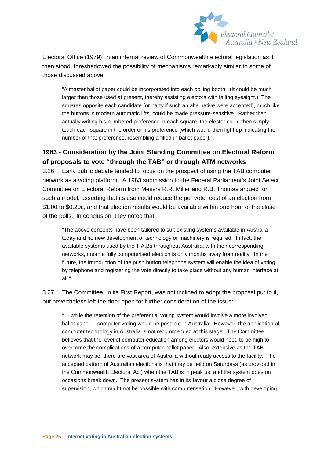

Electoral Office (1979), in an internal review of Commonwealth electoral legislation as it then stood, foreshadowed the possibility of mechanisms remarkably similar to some of those discussed above:

"A master ballot paper could be incorporated into each polling booth. (It could be much larger than those used at present, thereby assisting electors with failing eyesight.) The squares opposite each candidate (or party if such an alternative were accepted), much like the buttons in modern automatic lifts, could be made pressure-sensitive. Rather than actually writing his numbered preference in each square, the elector could then simply touch each square in the order of his preference (which would then light up indicating the number of that preference, resembling a filled-in ballot paper).".

#### **1983 - Consideration by the Joint Standing Committee on Electoral Reform of proposals to vote "through the TAB" or through ATM networks**

3.26 Early public debate tended to focus on the prospect of using the TAB computer network as a voting platform. A 1983 submission to the Federal Parliament's Joint Select Committee on Electoral Reform from Messrs R.R. Miller and R.B. Thomas argued for such a model, asserting that its use could reduce the per voter cost of an election from \$1.00 to \$0.20c, and that election results would be available within one hour of the close of the polls. In conclusion, they noted that:

"The above concepts have been tailored to suit existing systems available in Australia today and no new development of technology or machinery is required. In fact, the available systems used by the T.A.Bs throughout Australia, with their corresponding networks, mean a fully computerised election is only months away from reality. In the future, the introduction of the push button telephone system will enable the idea of voting by telephone and registering the vote directly to take place without any human interface at all.".

3.27 The Committee, in its First Report, was not inclined to adopt the proposal put to it, but nevertheless left the door open for further consideration of the issue:

"… while the retention of the preferential voting system would involve a more involved ballot paper …computer voting would be possible in Australia. However, the application of computer technology in Australia is not recommended at this stage. The Committee believes that the level of computer education among electors would need to be high to overcome the complications of a computer ballot paper. Also, extensive as the TAB network may be, there are vast area of Australia without ready access to the facility. The accepted pattern of Australian elections is that they be held on Saturdays (as provided in the Commonwealth Electoral Act) when the TAB is in peak us, and the system does on occasions break down. The present system has in its favour a close degree of supervision, which might not be possible with computerisation. However, with developing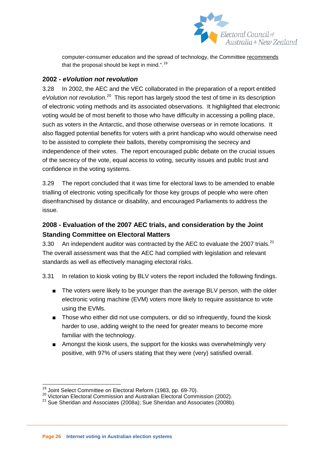

computer-consumer education and the spread of technology, the Committee recommends that the proposal should be kept in mind.".<sup>[19](#page-24-1)</sup>

#### **2002 -** *eVolution not revolution*

3.28 In 2002, the AEC and the VEC collaborated in the preparation of a report entitled eVolution not revolution.<sup>[20](#page-26-0)</sup> This report has largely stood the test of time in its description of electronic voting methods and its associated observations. It highlighted that electronic voting would be of most benefit to those who have difficulty in accessing a polling place, such as voters in the Antarctic, and those otherwise overseas or in remote locations. It also flagged potential benefits for voters with a print handicap who would otherwise need to be assisted to complete their ballots, thereby compromising the secrecy and independence of their votes. The report encouraged public debate on the crucial issues of the secrecy of the vote, equal access to voting, security issues and public trust and confidence in the voting systems.

3.29 The report concluded that it was time for electoral laws to be amended to enable trialling of electronic voting specifically for those key groups of people who were often disenfranchised by distance or disability, and encouraged Parliaments to address the issue.

#### **2008 - Evaluation of the 2007 AEC trials, and consideration by the Joint Standing Committee on Electoral Matters**

3.30 An independent auditor was contracted by the AEC to evaluate the 2007 trials.<sup>21</sup> The overall assessment was that the AEC had complied with legislation and relevant standards as well as effectively managing electoral risks.

3.31 In relation to kiosk voting by BLV voters the report included the following findings.

- The voters were likely to be younger than the average BLV person, with the older electronic voting machine (EVM) voters more likely to require assistance to vote using the EVMs.
- Those who either did not use computers, or did so infrequently, found the kiosk harder to use, adding weight to the need for greater means to become more familiar with the technology.
- Amongst the kiosk users, the support for the kiosks was overwhelmingly very positive, with 97% of users stating that they were (very) satisfied overall.

<span id="page-26-0"></span><sup>&</sup>lt;sup>19</sup> Joint Select Committee on Electoral Reform (1983, pp. 69-70).<br><sup>20</sup> Victorian Electoral Commission and Australian Electoral Commission (2002).<br><sup>21</sup> Sue Sheridan and Associates (2008a); Sue Sheridan and Associates (200

<span id="page-26-2"></span><span id="page-26-1"></span>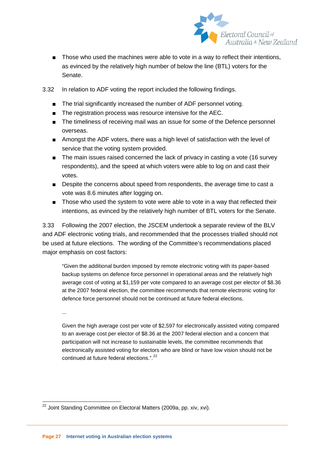

- Those who used the machines were able to vote in a way to reflect their intentions, as evinced by the relatively high number of below the line (BTL) voters for the Senate.
- 3.32 In relation to ADF voting the report included the following findings.
	- The trial significantly increased the number of ADF personnel voting.
	- The registration process was resource intensive for the AEC.
	- The timeliness of receiving mail was an issue for some of the Defence personnel overseas.
	- Amongst the ADF voters, there was a high level of satisfaction with the level of service that the voting system provided.
	- The main issues raised concerned the lack of privacy in casting a vote (16 survey respondents), and the speed at which voters were able to log on and cast their votes.
	- Despite the concerns about speed from respondents, the average time to cast a vote was 8.6 minutes after logging on.
	- Those who used the system to vote were able to vote in a way that reflected their intentions, as evinced by the relatively high number of BTL voters for the Senate.

3.33 Following the 2007 election, the JSCEM undertook a separate review of the BLV and ADF electronic voting trials, and recommended that the processes trialled should not be used at future elections. The wording of the Committee's recommendations placed major emphasis on cost factors:

"Given the additional burden imposed by remote electronic voting with its paper-based backup systems on defence force personnel in operational areas and the relatively high average cost of voting at \$1,159 per vote compared to an average cost per elector of \$8.36 at the 2007 federal election, the committee recommends that remote electronic voting for defence force personnel should not be continued at future federal elections.

...

Given the high average cost per vote of \$2,597 for electronically assisted voting compared to an average cost per elector of \$8.36 at the 2007 federal election and a concern that participation will not increase to sustainable levels, the committee recommends that electronically assisted voting for electors who are blind or have low vision should not be continued at future federal elections.".<sup>[22](#page-26-2)</sup>

<span id="page-27-0"></span><sup>&</sup>lt;sup>22</sup> Joint Standing Committee on Electoral Matters (2009a, pp. xiv, xvi).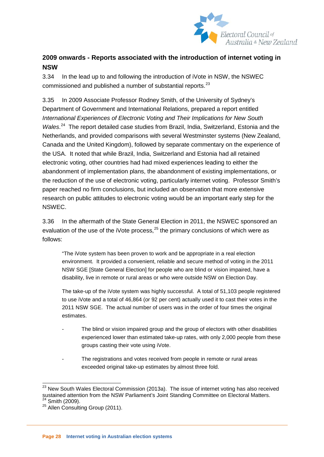

#### **2009 onwards - Reports associated with the introduction of internet voting in NSW**

3.34 In the lead up to and following the introduction of iVote in NSW, the NSWEC commissioned and published a number of substantial reports.<sup>[23](#page-27-0)</sup>

3.35 In 2009 Associate Professor Rodney Smith, of the University of Sydney's Department of Government and International Relations, prepared a report entitled *International Experiences of Electronic Voting and Their Implications for New South*  Wales.<sup>24</sup> The report detailed case studies from Brazil, India, Switzerland, Estonia and the Netherlands, and provided comparisons with several Westminster systems (New Zealand, Canada and the United Kingdom), followed by separate commentary on the experience of the USA. It noted that while Brazil, India, Switzerland and Estonia had all retained electronic voting, other countries had had mixed experiences leading to either the abandonment of implementation plans, the abandonment of existing implementations, or the reduction of the use of electronic voting, particularly internet voting. Professor Smith's paper reached no firm conclusions, but included an observation that more extensive research on public attitudes to electronic voting would be an important early step for the NSWEC.

3.36 In the aftermath of the State General Election in 2011, the NSWEC sponsored an evaluation of the use of the iVote process,  $25$  the primary conclusions of which were as follows:

"The iVote system has been proven to work and be appropriate in a real election environment. It provided a convenient, reliable and secure method of voting in the 2011 NSW SGE [State General Election] for people who are blind or vision impaired, have a disability, live in remote or rural areas or who were outside NSW on Election Day.

The take-up of the iVote system was highly successful. A total of 51,103 people registered to use iVote and a total of 46,864 (or 92 per cent) actually used it to cast their votes in the 2011 NSW SGE. The actual number of users was in the order of four times the original estimates.

- The blind or vision impaired group and the group of electors with other disabilities experienced lower than estimated take-up rates, with only 2,000 people from these groups casting their vote using iVote.
- The registrations and votes received from people in remote or rural areas exceeded original take-up estimates by almost three fold.

 $23$  New South Wales Electoral Commission (2013a). The issue of internet voting has also received sustained attention from the NSW Parliament's Joint Standing Committee on Electoral Matters.<br><sup>24</sup> Smith (2009).

<span id="page-28-1"></span><span id="page-28-0"></span> $25$  Allen Consulting Group (2011).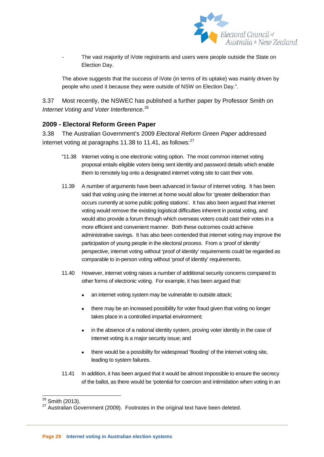

The vast majority of iVote registrants and users were people outside the State on Election Day.

The above suggests that the success of iVote (in terms of its uptake) was mainly driven by people who used it because they were outside of NSW on Election Day.".

3.37 Most recently, the NSWEC has published a further paper by Professor Smith on *Internet Voting and Voter Interference*. [26](#page-28-0)

#### **2009 - Electoral Reform Green Paper**

3.38 The Australian Government's 2009 *Electoral Reform Green Paper* addressed internet voting at paragraphs 11.38 to 11.41, as follows: $27$ 

- "11.38 Internet voting is one electronic voting option. The most common internet voting proposal entails eligible voters being sent identity and password details which enable them to remotely log onto a designated internet voting site to cast their vote.
- 11.39 A number of arguments have been advanced in favour of internet voting. It has been said that voting using the internet at home would allow for 'greater deliberation than occurs currently at some public polling stations'. It has also been argued that internet voting would remove the existing logistical difficulties inherent in postal voting, and would also provide a forum through which overseas voters could cast their votes in a more efficient and convenient manner. Both these outcomes could achieve administrative savings. It has also been contended that internet voting may improve the participation of young people in the electoral process. From a 'proof of identity' perspective, internet voting without 'proof of identity' requirements could be regarded as comparable to in-person voting without 'proof of identity' requirements.
- 11.40 However, internet voting raises a number of additional security concerns compared to other forms of electronic voting. For example, it has been argued that:
	- an internet voting system may be vulnerable to outside attack;
	- there may be an increased possibility for voter fraud given that voting no longer takes place in a controlled impartial environment;
	- in the absence of a national identity system, proving voter identity in the case of internet voting is a major security issue; and
	- there would be a possibility for widespread 'flooding' of the internet voting site, leading to system failures.
- 11.41 In addition, it has been argued that it would be almost impossible to ensure the secrecy of the ballot, as there would be 'potential for coercion and intimidation when voting in an

<span id="page-29-0"></span>

 $26$  Smith (2013).<br> $27$  Australian Government (2009). Footnotes in the original text have been deleted.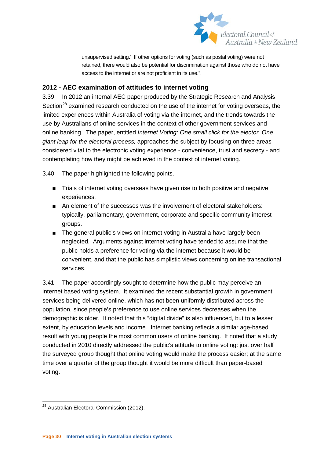

unsupervised setting.' If other options for voting (such as postal voting) were not retained, there would also be potential for discrimination against those who do not have access to the internet or are not proficient in its use.".

#### **2012 - AEC examination of attitudes to internet voting**

3.39 In 2012 an internal AEC paper produced by the Strategic Research and Analysis Section<sup>[28](#page-29-0)</sup> examined research conducted on the use of the internet for voting overseas, the limited experiences within Australia of voting via the internet, and the trends towards the use by Australians of online services in the context of other government services and online banking. The paper, entitled *Internet Voting: One small click for the elector, One giant leap for the electoral process,* approaches the subject by focusing on three areas considered vital to the electronic voting experience - convenience, trust and secrecy - and contemplating how they might be achieved in the context of internet voting.

3.40 The paper highlighted the following points.

- Trials of internet voting overseas have given rise to both positive and negative experiences.
- An element of the successes was the involvement of electoral stakeholders: typically, parliamentary, government, corporate and specific community interest groups.
- The general public's views on internet voting in Australia have largely been neglected. Arguments against internet voting have tended to assume that the public holds a preference for voting via the internet because it would be convenient, and that the public has simplistic views concerning online transactional services.

3.41 The paper accordingly sought to determine how the public may perceive an internet based voting system. It examined the recent substantial growth in government services being delivered online, which has not been uniformly distributed across the population, since people's preference to use online services decreases when the demographic is older. It noted that this "digital divide" is also influenced, but to a lesser extent, by education levels and income. Internet banking reflects a similar age-based result with young people the most common users of online banking. It noted that a study conducted in 2010 directly addressed the public's attitude to online voting: just over half the surveyed group thought that online voting would make the process easier; at the same time over a quarter of the group thought it would be more difficult than paper-based voting.

<span id="page-30-0"></span><sup>&</sup>lt;sup>28</sup> Australian Electoral Commission (2012).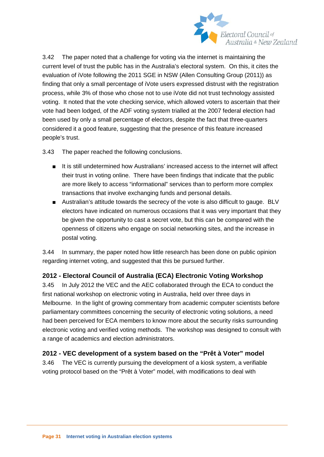

3.42 The paper noted that a challenge for voting via the internet is maintaining the current level of trust the public has in the Australia's electoral system. On this, it cites the evaluation of iVote following the 2011 SGE in NSW (Allen Consulting Group (2011)) as finding that only a small percentage of iVote users expressed distrust with the registration process, while 3% of those who chose not to use iVote did not trust technology assisted voting. It noted that the vote checking service, which allowed voters to ascertain that their vote had been lodged, of the ADF voting system trialled at the 2007 federal election had been used by only a small percentage of electors, despite the fact that three-quarters considered it a good feature, suggesting that the presence of this feature increased people's trust.

3.43 The paper reached the following conclusions.

- It is still undetermined how Australians' increased access to the internet will affect their trust in voting online. There have been findings that indicate that the public are more likely to access "informational" services than to perform more complex transactions that involve exchanging funds and personal details.
- Australian's attitude towards the secrecy of the vote is also difficult to gauge. BLV electors have indicated on numerous occasions that it was very important that they be given the opportunity to cast a secret vote, but this can be compared with the openness of citizens who engage on social networking sites, and the increase in postal voting.

3.44 In summary, the paper noted how little research has been done on public opinion regarding internet voting, and suggested that this be pursued further.

#### **2012 - Electoral Council of Australia (ECA) Electronic Voting Workshop**

3.45 In July 2012 the VEC and the AEC collaborated through the ECA to conduct the first national workshop on electronic voting in Australia, held over three days in Melbourne. In the light of growing commentary from academic computer scientists before parliamentary committees concerning the security of electronic voting solutions, a need had been perceived for ECA members to know more about the security risks surrounding electronic voting and verified voting methods. The workshop was designed to consult with a range of academics and election administrators.

#### **2012 - VEC development of a system based on the "Prêt à Voter" model**

3.46 The VEC is currently pursuing the development of a kiosk system, a verifiable voting protocol based on the "Prêt à Voter" model, with modifications to deal with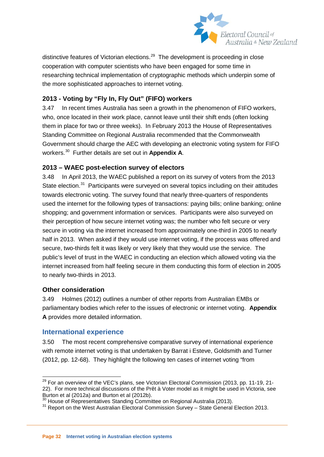

distinctive features of Victorian elections.<sup>29</sup> The development is proceeding in close cooperation with computer scientists who have been engaged for some time in researching technical implementation of cryptographic methods which underpin some of the more sophisticated approaches to internet voting.

#### **2013 - Voting by "Fly In, Fly Out" (FIFO) workers**

3.47 In recent times Australia has seen a growth in the phenomenon of FIFO workers, who, once located in their work place, cannot leave until their shift ends (often locking them in place for two or three weeks). In February 2013 the House of Representatives Standing Committee on Regional Australia recommended that the Commonwealth Government should charge the AEC with developing an electronic voting system for FIFO workers.[30](#page-32-1) Further details are set out in **Appendix A**.

#### **2013 – WAEC post-election survey of electors**

3.48 In April 2013, the WAEC published a report on its survey of voters from the 2013 State election.<sup>[31](#page-32-2)</sup> Participants were surveyed on several topics including on their attitudes towards electronic voting. The survey found that nearly three-quarters of respondents used the internet for the following types of transactions: paying bills; online banking; online shopping; and government information or services. Participants were also surveyed on their perception of how secure internet voting was; the number who felt secure or very secure in voting via the internet increased from approximately one-third in 2005 to nearly half in 2013. When asked if they would use internet voting, if the process was offered and secure, two-thirds felt it was likely or very likely that they would use the service. The public's level of trust in the WAEC in conducting an election which allowed voting via the internet increased from half feeling secure in them conducting this form of election in 2005 to nearly two-thirds in 2013.

#### **Other consideration**

3.49 Holmes (2012) outlines a number of other reports from Australian EMBs or parliamentary bodies which refer to the issues of electronic or internet voting. **Appendix A** provides more detailed information.

#### <span id="page-32-0"></span>**International experience**

3.50 The most recent comprehensive comparative survey of international experience with remote internet voting is that undertaken by Barrat i Esteve, Goldsmith and Turner (2012, pp. 12-68). They highlight the following ten cases of internet voting "from

<sup>&</sup>lt;sup>29</sup> For an overview of the VEC's plans, see Victorian Electoral Commission (2013, pp. 11-19, 21-22). For more technical discussions of the Prêt à Voter model as it might be used in Victoria, see Burton et al (2012a) and Burton et al (2012b).<br><sup>30</sup> House of Representatives Standing Committee on Regional Australia (2013).

<span id="page-32-1"></span>

<span id="page-32-2"></span> $31$  Report on the West Australian Electoral Commission Survey – State General Election 2013.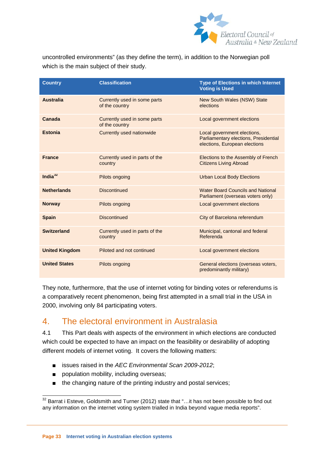

uncontrolled environments" (as they define the term), in addition to the Norwegian poll which is the main subject of their study.

| <b>Country</b>        | <b>Classification</b>                          | <b>Type of Elections in which Internet</b><br><b>Voting is Used</b>                                   |
|-----------------------|------------------------------------------------|-------------------------------------------------------------------------------------------------------|
| <b>Australia</b>      | Currently used in some parts<br>of the country | New South Wales (NSW) State<br>elections                                                              |
| Canada                | Currently used in some parts<br>of the country | Local government elections                                                                            |
| <b>Estonia</b>        | <b>Currently used nationwide</b>               | Local government elections,<br>Parliamentary elections, Presidential<br>elections, European elections |
| <b>France</b>         | Currently used in parts of the<br>country      | Elections to the Assembly of French<br><b>Citizens Living Abroad</b>                                  |
| India $32$            | Pilots ongoing                                 | <b>Urban Local Body Elections</b>                                                                     |
| <b>Netherlands</b>    | <b>Discontinued</b>                            | <b>Water Board Councils and National</b><br>Parliament (overseas voters only)                         |
| <b>Norway</b>         | Pilots ongoing                                 | Local government elections                                                                            |
| <b>Spain</b>          | <b>Discontinued</b>                            | City of Barcelona referendum                                                                          |
| <b>Switzerland</b>    | Currently used in parts of the<br>country      | Municipal, cantonal and federal<br>Referenda                                                          |
| <b>United Kingdom</b> | Piloted and not continued                      | Local government elections                                                                            |
| <b>United States</b>  | Pilots ongoing                                 | General elections (overseas voters,<br>predominantly military)                                        |

They note, furthermore, that the use of internet voting for binding votes or referendums is a comparatively recent phenomenon, being first attempted in a small trial in the USA in 2000, involving only 84 participating voters.

### <span id="page-33-0"></span>4. The electoral environment in Australasia

4.1 This Part deals with aspects of the environment in which elections are conducted which could be expected to have an impact on the feasibility or desirability of adopting different models of internet voting. It covers the following matters:

- issues raised in the *AEC Environmental Scan 2009-2012*;
- population mobility, including overseas;
- the changing nature of the printing industry and postal services;

<span id="page-33-1"></span><sup>&</sup>lt;sup>32</sup> Barrat i Esteve, Goldsmith and Turner (2012) state that "...it has not been possible to find out any information on the internet voting system trialled in India beyond vague media reports".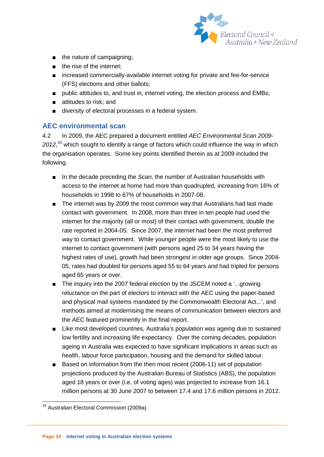

- the nature of campaigning;
- the rise of the internet;
- increased commercially-available internet voting for private and fee-for-service (FFS) elections and other ballots;
- public attitudes to, and trust in, internet voting, the election process and EMBs;
- attitudes to risk; and
- diversity of electoral processes in a federal system.

#### <span id="page-34-0"></span>**AEC environmental scan**

4.2 In 2009, the AEC prepared a document entitled *AEC Environmental Scan 2009- 2012*, [33](#page-33-1) which sought to identify a range of factors which could influence the way in which the organisation operates. Some key points identified therein as at 2009 included the following.

- In the decade preceding the *Scan*, the number of Australian households with access to the internet at home had more than quadrupled, increasing from 16% of households in 1998 to 67% of households in 2007-08.
- The internet was by 2009 the most common way that Australians had last made contact with government. In 2008, more than three in ten people had used the internet for the majority (all or most) of their contact with government, double the rate reported in 2004-05. Since 2007, the internet had been the most preferred way to contact government. While younger people were the most likely to use the internet to contact government (with persons aged 25 to 34 years having the highest rates of use), growth had been strongest in older age groups. Since 2004- 05, rates had doubled for persons aged 55 to 64 years and had tripled for persons aged 65 years or over.
- The inquiry into the 2007 federal election by the JSCEM noted a '...growing reluctance on the part of electors to interact with the AEC using the paper-based and physical mail systems mandated by the Commonwealth Electoral Act...', and methods aimed at modernising the means of communication between electors and the AEC featured prominently in the final report.
- Like most developed countries, Australia's population was ageing due to sustained low fertility and increasing life expectancy. Over the coming decades, population ageing in Australia was expected to have significant implications in areas such as health, labour force participation, housing and the demand for skilled labour.
- <span id="page-34-1"></span>■ Based on information from the then most recent (2006-11) set of population projections produced by the Australian Bureau of Statistics (ABS), the population aged 18 years or over (i.e. of voting ages) was projected to increase from 16.1 million persons at 30 June 2007 to between 17.4 and 17.6 million persons in 2012.

<sup>&</sup>lt;sup>33</sup> Australian Electoral Commission (2009a).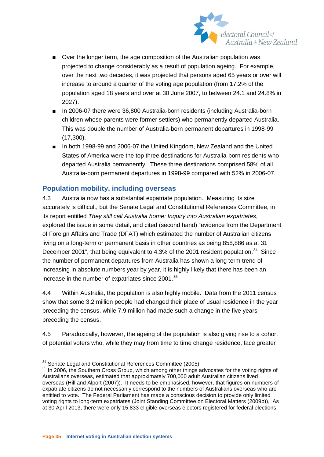

- Over the longer term, the age composition of the Australian population was projected to change considerably as a result of population ageing. For example, over the next two decades, it was projected that persons aged 65 years or over will increase to around a quarter of the voting age population (from 17.2% of the population aged 18 years and over at 30 June 2007, to between 24.1 and 24.8% in 2027).
- In 2006-07 there were 36,800 Australia-born residents (including Australia-born children whose parents were former settlers) who permanently departed Australia. This was double the number of Australia-born permanent departures in 1998-99 (17,300).
- In both 1998-99 and 2006-07 the United Kingdom, New Zealand and the United States of America were the top three destinations for Australia-born residents who departed Australia permanently. These three destinations comprised 58% of all Australia-born permanent departures in 1998-99 compared with 52% in 2006-07.

#### <span id="page-35-0"></span>**Population mobility, including overseas**

4.3 Australia now has a substantial expatriate population. Measuring its size accurately is difficult, but the Senate Legal and Constitutional References Committee, in its report entitled *They still call Australia home: Inquiry into Australian expatriates*, explored the issue in some detail, and cited (second hand) "evidence from the Department of Foreign Affairs and Trade (DFAT) which estimated the number of Australian citizens living on a long-term or permanent basis in other countries as being 858,886 as at 31 December 2001", that being equivalent to 4.3% of the 2001 resident population.<sup>[34](#page-34-1)</sup> Since the number of permanent departures from Australia has shown a long term trend of increasing in absolute numbers year by year, it is highly likely that there has been an increase in the number of expatriates since 2001.<sup>[35](#page-35-1)</sup>

4.4 Within Australia, the population is also highly mobile. Data from the 2011 census show that some 3.2 million people had changed their place of usual residence in the year preceding the census, while 7.9 million had made such a change in the five years preceding the census.

4.5 Paradoxically, however, the ageing of the population is also giving rise to a cohort of potential voters who, while they may from time to time change residence, face greater

<span id="page-35-1"></span> $\frac{34}{34}$  Senate Legal and Constitutional References Committee (2005).<br><sup>35</sup> In 2006, the Southern Cross Group, which among other things advocates for the voting rights of Australians overseas, estimated that approximately 700,000 adult Australian citizens lived overseas (Hill and Alport (2007)). It needs to be emphasised, however, that figures on numbers of expatriate citizens do not necessarily correspond to the numbers of Australians overseas who are entitled to vote. The Federal Parliament has made a conscious decision to provide only limited voting rights to long-term expatriates (Joint Standing Committee on Electoral Matters (2009b)), As at 30 April 2013, there were only 15,833 eligible overseas electors registered for federal elections.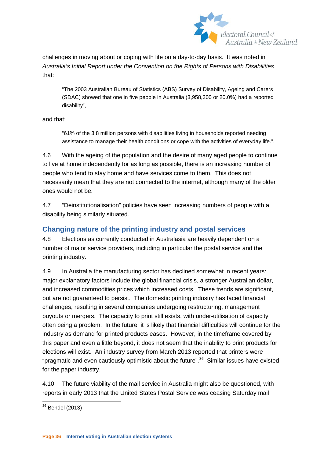

challenges in moving about or coping with life on a day-to-day basis. It was noted in *Australia's Initial Report under the Convention on the Rights of Persons with Disabilities* that:

"The 2003 Australian Bureau of Statistics (ABS) Survey of Disability, Ageing and Carers (SDAC) showed that one in five people in Australia (3,958,300 or 20.0%) had a reported disability",

and that:

"61% of the 3.8 million persons with disabilities living in households reported needing assistance to manage their health conditions or cope with the activities of everyday life.".

4.6 With the ageing of the population and the desire of many aged people to continue to live at home independently for as long as possible, there is an increasing number of people who tend to stay home and have services come to them. This does not necessarily mean that they are not connected to the internet, although many of the older ones would not be.

4.7 "Deinstitutionalisation" policies have seen increasing numbers of people with a disability being similarly situated.

# **Changing nature of the printing industry and postal services**

4.8 Elections as currently conducted in Australasia are heavily dependent on a number of major service providers, including in particular the postal service and the printing industry.

4.9 In Australia the manufacturing sector has declined somewhat in recent years: major explanatory factors include the global financial crisis, a stronger Australian dollar, and increased commodities prices which increased costs. These trends are significant, but are not guaranteed to persist. The domestic printing industry has faced financial challenges, resulting in several companies undergoing restructuring, management buyouts or mergers. The capacity to print still exists, with under-utilisation of capacity often being a problem. In the future, it is likely that financial difficulties will continue for the industry as demand for printed products eases. However, in the timeframe covered by this paper and even a little beyond, it does not seem that the inability to print products for elections will exist. An industry survey from March 2013 reported that printers were "pragmatic and even cautiously optimistic about the future".<sup>[36](#page-35-0)</sup> Similar issues have existed for the paper industry.

<span id="page-36-0"></span>4.10 The future viability of the mail service in Australia might also be questioned, with reports in early 2013 that the United States Postal Service was ceasing Saturday mail

 <sup>36</sup> Bendel (2013)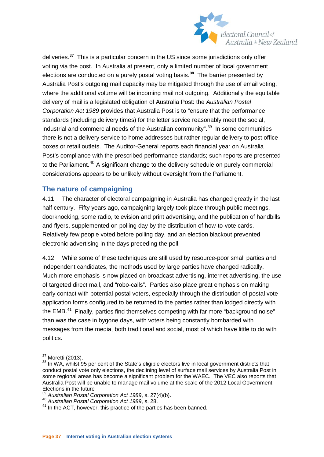

deliveries.<sup>37</sup> This is a particular concern in the US since some jurisdictions only offer voting via the post. In Australia at present, only a limited number of local government elections are conducted on a purely postal voting basis.**[38](#page-37-0)** The barrier presented by Australia Post's outgoing mail capacity may be mitigated through the use of email voting, where the additional volume will be incoming mail not outgoing. Additionally the equitable delivery of mail is a legislated obligation of Australia Post: the *Australian Postal Corporation Act 1989* provides that Australia Post is to "ensure that the performance standards (including delivery times) for the letter service reasonably meet the social, industrial and commercial needs of the Australian community".<sup>[39](#page-37-1)</sup> In some communities there is not a delivery service to home addresses but rather regular delivery to post office boxes or retail outlets. The Auditor-General reports each financial year on Australia Post's compliance with the prescribed performance standards; such reports are presented to the Parliament.<sup>[40](#page-37-2)</sup> A significant change to the delivery schedule on purely commercial considerations appears to be unlikely without oversight from the Parliament.

#### **The nature of campaigning**

4.11 The character of electoral campaigning in Australia has changed greatly in the last half century. Fifty years ago, campaigning largely took place through public meetings, doorknocking, some radio, television and print advertising, and the publication of handbills and flyers, supplemented on polling day by the distribution of how-to-vote cards. Relatively few people voted before polling day, and an election blackout prevented electronic advertising in the days preceding the poll.

4.12 While some of these techniques are still used by resource-poor small parties and independent candidates, the methods used by large parties have changed radically. Much more emphasis is now placed on broadcast advertising, internet advertising, the use of targeted direct mail, and "robo-calls". Parties also place great emphasis on making early contact with potential postal voters, especially through the distribution of postal vote application forms configured to be returned to the parties rather than lodged directly with the EMB. $41$  Finally, parties find themselves competing with far more "background noise" than was the case in bygone days, with voters being constantly bombarded with messages from the media, both traditional and social, most of which have little to do with politics.

<span id="page-37-0"></span> $37$  Moretti (2013).<br> $38$  In WA, whilst 95 per cent of the State's eligible electors live in local government districts that conduct postal vote only elections, the declining level of surface mail services by Australia Post in some regional areas has become a significant problem for the WAEC. The VEC also reports that Australia Post will be unable to manage mail volume at the scale of the 2012 Local Government Elections in the future<br>  $^{39}$  Australian Postal Corporation Act 1989, s. 27(4)(b).

<span id="page-37-2"></span><span id="page-37-1"></span>Australian Postal Corporation Act 1989, s. 28.<br><sup>40</sup> Australian Postal Corporation Act 1989, s. 28.

<span id="page-37-3"></span><sup>&</sup>lt;sup>41</sup> In the ACT, however, this practice of the parties has been banned.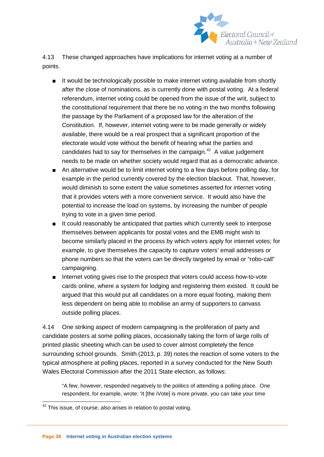

4.13 These changed approaches have implications for internet voting at a number of points.

- It would be technologically possible to make internet voting available from shortly after the close of nominations, as is currently done with postal voting. At a federal referendum, internet voting could be opened from the issue of the writ, subject to the constitutional requirement that there be no voting in the two months following the passage by the Parliament of a proposed law for the alteration of the Constitution. If, however, internet voting were to be made generally or widely available, there would be a real prospect that a significant proportion of the electorate would vote without the benefit of hearing what the parties and candidates had to say for themselves in the campaign.<sup>42</sup> A value judgement needs to be made on whether society would regard that as a democratic advance.
- An alternative would be to limit internet voting to a few days before polling day, for example in the period currently covered by the election blackout. That, however, would diminish to some extent the value sometimes asserted for internet voting that it provides voters with a more convenient service. It would also have the potential to increase the load on systems, by increasing the number of people trying to vote in a given time period.
- It could reasonably be anticipated that parties which currently seek to interpose themselves between applicants for postal votes and the EMB might wish to become similarly placed in the process by which voters apply for internet votes; for example, to give themselves the capacity to capture voters' email addresses or phone numbers so that the voters can be directly targeted by email or "robo-call" campaigning.
- Internet voting gives rise to the prospect that voters could access how-to-vote cards online, where a system for lodging and registering them existed. It could be argued that this would put all candidates on a more equal footing, making them less dependent on being able to mobilise an army of supporters to canvass outside polling places.

4.14 One striking aspect of modern campaigning is the proliferation of party and candidate posters at some polling places, occasionally taking the form of large rolls of printed plastic sheeting which can be used to cover almost completely the fence surrounding school grounds. Smith (2013, p. 39) notes the reaction of some voters to the typical atmosphere at polling places, reported in a survey conducted for the New South Wales Electoral Commission after the 2011 State election, as follows:

"A few, however, responded negatively to the politics of attending a polling place. One respondent, for example, wrote: 'It [the iVote] is more private, you can take your time

<span id="page-38-0"></span> $42$  This issue, of course, also arises in relation to postal voting.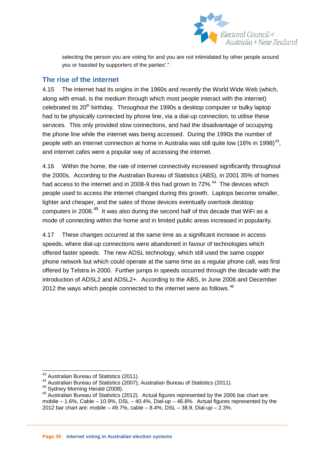

selecting the person you are voting for and you are not intimidated by other people around you or hassled by supporters of the parties'.".

### **The rise of the internet**

4.15 The internet had its origins in the 1960s and recently the World Wide Web (which, along with email, is the medium through which most people interact with the internet) celebrated its 20<sup>th</sup> birthday. Throughout the 1990s a desktop computer or bulky laptop had to be physically connected by phone line, via a dial-up connection, to utilise these services. This only provided slow connections, and had the disadvantage of occupying the phone line while the internet was being accessed. During the 1990s the number of people with an internet connection at home in Australia was still quite low (16% in 1998)<sup>[43](#page-38-0)</sup>. and internet cafes were a popular way of accessing the internet.

4.16 Within the home, the rate of internet connectivity increased significantly throughout the 2000s. According to the Australian Bureau of Statistics (ABS), in 2001 35% of homes had access to the internet and in 2008-9 this had grown to 72%.<sup>[44](#page-39-0)</sup> The devices which people used to access the internet changed during this growth. Laptops become smaller, lighter and cheaper, and the sales of those devices eventually overtook desktop computers in 2008.[45](#page-39-1) It was also during the second half of this decade that WiFi as a mode of connecting within the home and in limited public areas increased in popularity.

4.17 These changes occurred at the same time as a significant increase in access speeds, where dial-up connections were abandoned in favour of technologies which offered faster speeds. The new ADSL technology, which still used the same copper phone network but which could operate at the same time as a regular phone call, was first offered by Telstra in 2000. Further jumps in speeds occurred through the decade with the introduction of ADSL2 and ADSL2+. According to the ABS, in June 2006 and December 2012 the ways which people connected to the internet were as follows.  $46$ 

<span id="page-39-3"></span><span id="page-39-2"></span><span id="page-39-1"></span>

<span id="page-39-0"></span><sup>&</sup>lt;sup>43</sup> Australian Bureau of Statistics (2011).<br><sup>44</sup> Australian Bureau of Statistics (2007); Australian Bureau of Statistics (2011).<br><sup>45</sup> Sydney Morning Herald (2008).<br><sup>46</sup> Australian Bureau of Statistics (2012). Actual figu mobile – 1.6%, Cable – 10.9%, DSL – 40.4%, Dial-up – 46.8%. Actual figures represented by the 2012 bar chart are: mobile – 49.7%, cable – 8.4%, DSL – 38.9, Dial-up – 2.3%.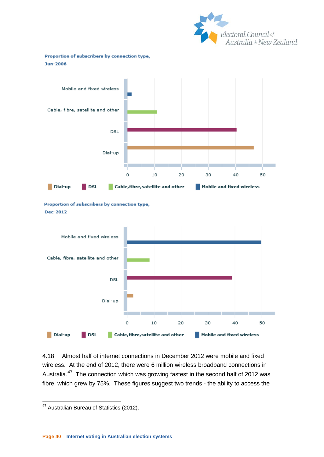

Proportion of subscribers by connection type, Jun-2006



Proportion of subscribers by connection type, **Dec-2012** 



<span id="page-40-0"></span>4.18 Almost half of internet connections in December 2012 were mobile and fixed wireless. At the end of 2012, there were 6 million wireless broadband connections in Australia.[47](#page-39-3) The connection which was growing fastest in the second half of 2012 was fibre, which grew by 75%. These figures suggest two trends - the ability to access the

<sup>&</sup>lt;sup>47</sup> Australian Bureau of Statistics (2012).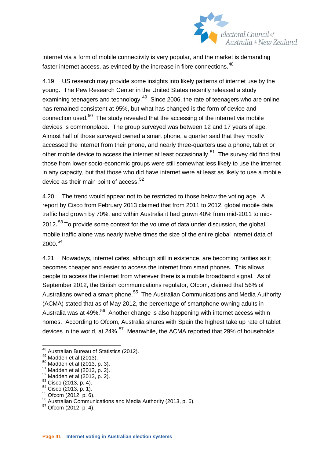

internet via a form of mobile connectivity is very popular, and the market is demanding faster internet access, as evinced by the increase in fibre connections.<sup>[48](#page-40-0)</sup>

4.19 US research may provide some insights into likely patterns of internet use by the young. The Pew Research Center in the United States recently released a study examining teenagers and technology.<sup>[49](#page-41-0)</sup> Since 2006, the rate of teenagers who are online has remained consistent at 95%, but what has changed is the form of device and connection used.<sup>50</sup> The study revealed that the accessing of the internet via mobile devices is commonplace. The group surveyed was between 12 and 17 years of age. Almost half of those surveyed owned a smart phone, a quarter said that they mostly accessed the internet from their phone, and nearly three-quarters use a phone, tablet or other mobile device to access the internet at least occasionally.<sup>51</sup> The survey did find that those from lower socio-economic groups were still somewhat less likely to use the internet in any capacity, but that those who did have internet were at least as likely to use a mobile device as their main point of access.<sup>[52](#page-41-3)</sup>

4.20 The trend would appear not to be restricted to those below the voting age. A report by Cisco from February 2013 claimed that from 2011 to 2012, global mobile data traffic had grown by 70%, and within Australia it had grown 40% from mid-2011 to mid-2012.<sup>[53](#page-41-4)</sup> To provide some context for the volume of data under discussion, the global mobile traffic alone was nearly twelve times the size of the entire global internet data of 2000.[54](#page-41-5)

4.21 Nowadays, internet cafes, although still in existence, are becoming rarities as it becomes cheaper and easier to access the internet from smart phones. This allows people to access the internet from wherever there is a mobile broadband signal. As of September 2012, the British communications regulator, Ofcom, claimed that 56% of Australians owned a smart phone.<sup>55</sup> The Australian Communications and Media Authority (ACMA) stated that as of May 2012, the percentage of smartphone owning adults in Australia was at 49%.<sup>[56](#page-41-7)</sup> Another change is also happening with internet access within homes. According to Ofcom, Australia shares with Spain the highest take up rate of tablet devices in the world, at 24%.<sup>[57](#page-41-8)</sup> Meanwhile, the ACMA reported that 29% of households

<span id="page-41-1"></span>

<span id="page-41-2"></span>

<span id="page-41-3"></span>

<span id="page-41-4"></span>

<span id="page-41-5"></span>

<span id="page-41-6"></span>

<span id="page-41-0"></span><sup>&</sup>lt;sup>48</sup> Australian Bureau of Statistics (2012).<br>
<sup>49</sup> Madden et al (2013).<br>
<sup>50</sup> Madden et al (2013, p. 3).<br>
<sup>51</sup> Madden et al (2013, p. 2).<br>
<sup>52</sup> Madden et al (2013, p. 2).<br>
<sup>53</sup> Cisco (2013, p. 4).<br>
<sup>54</sup> Cisco (2013, p. 4)

<span id="page-41-8"></span><span id="page-41-7"></span>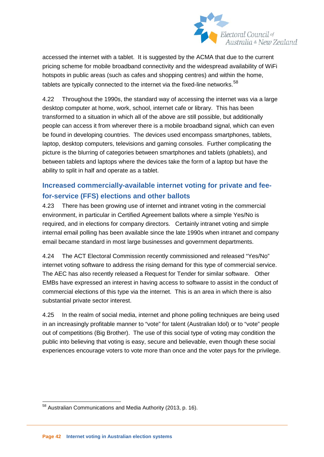

accessed the internet with a tablet. It is suggested by the ACMA that due to the current pricing scheme for mobile broadband connectivity and the widespread availability of WiFi hotspots in public areas (such as cafes and shopping centres) and within the home, tablets are typically connected to the internet via the fixed-line networks. $58$ 

4.22 Throughout the 1990s, the standard way of accessing the internet was via a large desktop computer at home, work, school, internet cafe or library. This has been transformed to a situation in which all of the above are still possible, but additionally people can access it from wherever there is a mobile broadband signal, which can even be found in developing countries. The devices used encompass smartphones, tablets, laptop, desktop computers, televisions and gaming consoles. Further complicating the picture is the blurring of categories between smartphones and tablets (phablets), and between tablets and laptops where the devices take the form of a laptop but have the ability to split in half and operate as a tablet.

# **Increased commercially-available internet voting for private and feefor-service (FFS) elections and other ballots**

4.23 There has been growing use of internet and intranet voting in the commercial environment, in particular in Certified Agreement ballots where a simple Yes/No is required, and in elections for company directors. Certainly intranet voting and simple internal email polling has been available since the late 1990s when intranet and company email became standard in most large businesses and government departments.

4.24 The ACT Electoral Commission recently commissioned and released "Yes/No" internet voting software to address the rising demand for this type of commercial service. The AEC has also recently released a Request for Tender for similar software. Other EMBs have expressed an interest in having access to software to assist in the conduct of commercial elections of this type via the internet. This is an area in which there is also substantial private sector interest.

4.25 In the realm of social media, internet and phone polling techniques are being used in an increasingly profitable manner to "vote" for talent (Australian Idol) or to "vote" people out of competitions (Big Brother). The use of this social type of voting may condition the public into believing that voting is easy, secure and believable, even though these social experiences encourage voters to vote more than once and the voter pays for the privilege.

<span id="page-42-0"></span><sup>&</sup>lt;sup>58</sup> Australian Communications and Media Authority (2013, p. 16).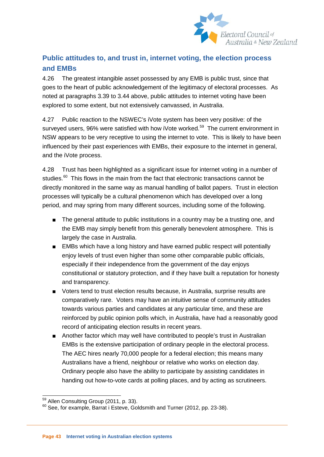

# **Public attitudes to, and trust in, internet voting, the election process and EMBs**

4.26 The greatest intangible asset possessed by any EMB is public trust, since that goes to the heart of public acknowledgement of the legitimacy of electoral processes. As noted at paragraphs 3.39 to 3.44 above, public attitudes to internet voting have been explored to some extent, but not extensively canvassed, in Australia.

4.27 Public reaction to the NSWEC's iVote system has been very positive: of the surveyed users, 96% were satisfied with how iVote worked.<sup>59</sup> The current environment in NSW appears to be very receptive to using the internet to vote. This is likely to have been influenced by their past experiences with EMBs, their exposure to the internet in general, and the iVote process.

4.28 Trust has been highlighted as a significant issue for internet voting in a number of studies.<sup>[60](#page-43-0)</sup> This flows in the main from the fact that electronic transactions cannot be directly monitored in the same way as manual handling of ballot papers. Trust in election processes will typically be a cultural phenomenon which has developed over a long period, and may spring from many different sources, including some of the following.

- The general attitude to public institutions in a country may be a trusting one, and the EMB may simply benefit from this generally benevolent atmosphere. This is largely the case in Australia.
- EMBs which have a long history and have earned public respect will potentially enjoy levels of trust even higher than some other comparable public officials, especially if their independence from the government of the day enjoys constitutional or statutory protection, and if they have built a reputation for honesty and transparency.
- Voters tend to trust election results because, in Australia, surprise results are comparatively rare. Voters may have an intuitive sense of community attitudes towards various parties and candidates at any particular time, and these are reinforced by public opinion polls which, in Australia, have had a reasonably good record of anticipating election results in recent years.
- <span id="page-43-1"></span>■ Another factor which may well have contributed to people's trust in Australian EMBs is the extensive participation of ordinary people in the electoral process. The AEC hires nearly 70,000 people for a federal election; this means many Australians have a friend, neighbour or relative who works on election day. Ordinary people also have the ability to participate by assisting candidates in handing out how-to-vote cards at polling places, and by acting as scrutineers.

<span id="page-43-0"></span>

 $59$  Allen Consulting Group (2011, p. 33).<br> $60$  See, for example, Barrat i Esteve, Goldsmith and Turner (2012, pp. 23-38).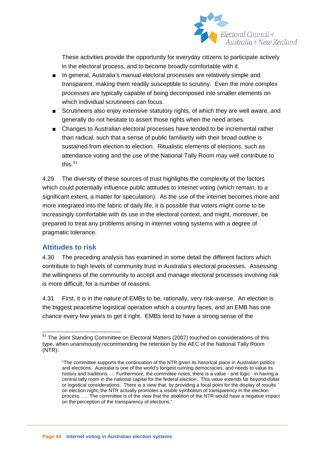

These activities provide the opportunity for everyday citizens to participate actively in the electoral process, and to become broadly comfortable with it.

- In general, Australia's manual electoral processes are relatively simple and transparent, making them readily susceptible to scrutiny. Even the more complex processes are typically capable of being decomposed into smaller elements on which individual scrutineers can focus.
- Scrutineers also enjoy extensive statutory rights, of which they are well aware, and generally do not hesitate to assert those rights when the need arises.
- Changes to Australian electoral processes have tended to be incremental rather than radical, such that a sense of public familiarity with their broad outline is sustained from election to election. Ritualistic elements of elections, such as attendance voting and the use of the National Tally Room may well contribute to this. $61$

4.29 The diversity of these sources of trust highlights the complexity of the factors which could potentially influence public attitudes to internet voting (which remain, to a significant extent, a matter for speculation). As the use of the internet becomes more and more integrated into the fabric of daily life, it is possible that voters might come to be increasingly comfortable with its use in the electoral context, and might, moreover, be prepared to treat any problems arising in internet voting systems with a degree of pragmatic tolerance.

# **Attitudes to risk**

4.30 The preceding analysis has examined in some detail the different factors which contribute to high levels of community trust in Australia's electoral processes. Assessing the willingness of the community to accept and manage electoral processes involving risk is more difficult, for a number of reasons.

4.31 First, it is in the nature of EMBs to be, rationally, very risk-averse. An election is the biggest peacetime logistical operation which a country faces, and an EMB has one chance every few years to get it right. EMBs tend to have a strong sense of the

<span id="page-44-0"></span> $61$  The Joint Standing Committee on Electoral Matters (2007) touched on considerations of this type, when unanimously recommending the retention by the AEC of the National Tally Room (NTR):

<sup>&</sup>quot;The committee supports the continuation of the NTR given its historical place in Australian politics and elections. Australia is one of the world's longest running democracies, and needs to value its history and traditions. ... Furthermore, the committee notes, there is a value - and logic - in having a central tally room in the national capital for the federal election. This value extends far beyond dollar or logistical considerations. There is a view that, by providing a focal point for the display of results on election night, the NTR actually promotes a visible symbolism of transparency in the election process. … The committee is of the view that the abolition of the NTR would have a negative impact on the perception of the transparency of elections.".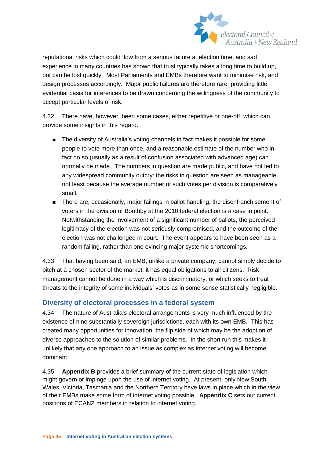

reputational risks which could flow from a serious failure at election time, and sad experience in many countries has shown that trust typically takes a long time to build up, but can be lost quickly. Most Parliaments and EMBs therefore want to minimise risk, and design processes accordingly. Major public failures are therefore rare, providing little evidential basis for inferences to be drawn concerning the willingness of the community to accept particular levels of risk.

4.32 There have, however, been some cases, either repetitive or one-off, which can provide some insights in this regard.

- The diversity of Australia's voting channels in fact makes it possible for some people to vote more than once, and a reasonable estimate of the number who in fact do so (usually as a result of confusion associated with advanced age) can normally be made. The numbers in question are made public, and have not led to any widespread community outcry: the risks in question are seen as manageable, not least because the average number of such votes per division is comparatively small.
- There are, occasionally, major failings in ballot handling; the disenfranchisement of voters in the division of Boothby at the 2010 federal election is a case in point. Notwithstanding the involvement of a significant number of ballots, the perceived legitimacy of the election was not seriously compromised, and the outcome of the election was not challenged in court. The event appears to have been seen as a random failing, rather than one evincing major systemic shortcomings.

4.33 That having been said, an EMB, unlike a private company, cannot simply decide to pitch at a chosen sector of the market: it has equal obligations to all citizens. Risk management cannot be done in a way which is discriminatory, or which seeks to treat threats to the integrity of some individuals' votes as in some sense statistically negligible.

# **Diversity of electoral processes in a federal system**

4.34 The nature of Australia's electoral arrangements is very much influenced by the existence of nine substantially sovereign jurisdictions, each with its own EMB. This has created many opportunities for innovation, the flip side of which may be the adoption of diverse approaches to the solution of similar problems. In the short run this makes it unlikely that any one approach to an issue as complex as internet voting will become dominant.

4.35 **Appendix B** provides a brief summary of the current state of legislation which might govern or impinge upon the use of internet voting. At present, only New South Wales, Victoria, Tasmania and the Northern Territory have laws in place which in the view of their EMBs make some form of internet voting possible. **Appendix C** sets out current positions of ECANZ members in relation to internet voting.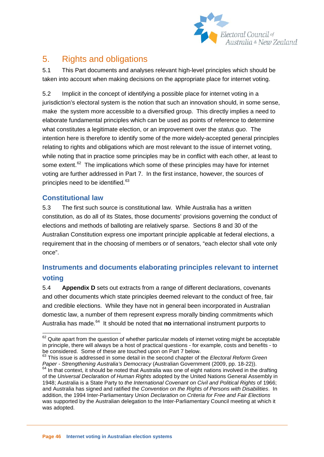

# 5. Rights and obligations

5.1 This Part documents and analyses relevant high-level principles which should be taken into account when making decisions on the appropriate place for internet voting.

5.2 Implicit in the concept of identifying a possible place for internet voting in a jurisdiction's electoral system is the notion that such an innovation should, in some sense, make the system more accessible to a diversified group. This directly implies a need to elaborate fundamental principles which can be used as points of reference to determine what constitutes a legitimate election, or an improvement over the *status quo*. The intention here is therefore to identify some of the more widely-accepted general principles relating to rights and obligations which are most relevant to the issue of internet voting, while noting that in practice some principles may be in conflict with each other, at least to some extent.<sup>[62](#page-44-0)</sup> The implications which some of these principles may have for internet voting are further addressed in Part 7. In the first instance, however, the sources of principles need to be identified.<sup>63</sup>

# **Constitutional law**

5.3 The first such source is constitutional law. While Australia has a written constitution, as do all of its States, those documents' provisions governing the conduct of elections and methods of balloting are relatively sparse. Sections 8 and 30 of the Australian Constitution express one important principle applicable at federal elections, a requirement that in the choosing of members or of senators, "each elector shall vote only once".

# **Instruments and documents elaborating principles relevant to internet voting**

5.4 **Appendix D** sets out extracts from a range of different declarations, covenants and other documents which state principles deemed relevant to the conduct of free, fair and credible elections. While they have not in general been incorporated in Australian domestic law, a number of them represent express morally binding commitments which Australia has made.<sup>[64](#page-46-1)</sup> It should be noted that **no** international instrument purports to

<span id="page-46-2"></span> $62$  Quite apart from the question of whether particular models of internet voting might be acceptable in principle, there will always be a host of practical questions - for example, costs and benefits - to be considered. Some of these are touched upon on Part 7 below.

<span id="page-46-1"></span><span id="page-46-0"></span><sup>&</sup>lt;sup>63</sup> This issue is addressed in some detail in the second chapter of the *Electoral Reform Green*<br>Paper - Strengthening Australia's Democracy (Australian Government (2009, pp. 18-22)). <sup>64</sup> In that context, it should be noted that Australia was one of eight nations involved in the drafting of the *Universal Declaration of Human Rights* adopted by the United Nations General Assembly in 1948; Australia is a State Party to *the International Covenant on Civil and Political Rights* of 1966; and Australia has signed and ratified the *Convention on the Rights of Persons with Disabilities*. In addition, the 1994 Inter-Parliamentary Union *Declaration on Criteria for Free and Fair Elections* was supported by the Australian delegation to the Inter-Parliamentary Council meeting at which it was adopted.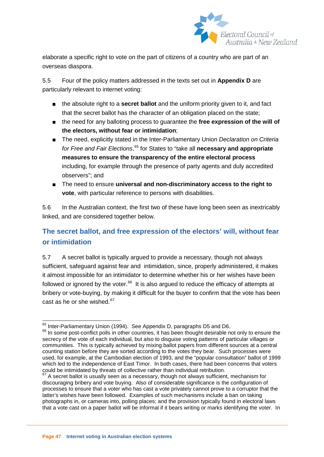

elaborate a specific right to vote on the part of citizens of a country who are part of an overseas diaspora.

5.5 Four of the policy matters addressed in the texts set out in **Appendix D** are particularly relevant to internet voting:

- the absolute right to a **secret ballot** and the uniform priority given to it, and fact that the secret ballot has the character of an obligation placed on the state;
- the need for any balloting process to guarantee the free expression of the will of **the electors, without fear or intimidation**;
- The need, explicitly stated in the Inter-Parliamentary Union *Declaration on Criteria for Free and Fair Elections*, [65](#page-46-2) for States to "take all **necessary and appropriate measures to ensure the transparency of the entire electoral process** including, for example through the presence of party agents and duly accredited observers"; and
- The need to ensure **universal and non-discriminatory access to the right to vote**, with particular reference to persons with disabilities.

5.6 In the Australian context, the first two of these have long been seen as inextricably linked, and are considered together below.

# **The secret ballot, and free expression of the electors' will, without fear or intimidation**

5.7 A secret ballot is typically argued to provide a necessary, though not always sufficient, safeguard against fear and intimidation, since, properly administered, it makes it almost impossible for an intimidator to determine whether his or her wishes have been followed or ignored by the voter. $66$  It is also argued to reduce the efficacy of attempts at bribery or vote-buying, by making it difficult for the buyer to confirm that the vote has been cast as he or she wished. $67$ 

<span id="page-47-0"></span> $^{65}$  Inter-Parliamentary Union (1994). See Appendix D, paragraphs D5 and D6.<br> $^{66}$  In some post-conflict polls in other countries, it has been thought desirable not only to ensure the secrecy of the vote of each individual, but also to disguise voting patterns of particular villages or communities. This is typically achieved by mixing ballot papers from different sources at a central counting station before they are sorted according to the votes they bear. Such processes were used, for example, at the Cambodian election of 1993, and the "popular consultation" ballot of 1999 which led to the independence of East Timor. In both cases, there had been concerns that voters could be intimidated by threats of collective rather than individual retribution.

<span id="page-47-2"></span><span id="page-47-1"></span><sup>&</sup>lt;sup>67</sup> A secret ballot is usually seen as a necessary, though not always sufficient, mechanism for discouraging bribery and vote buying. Also of considerable significance is the configuration of processes to ensure that a voter who has cast a vote privately cannot prove to a corruptor that the latter's wishes have been followed. Examples of such mechanisms include a ban on taking photographs in, or cameras into, polling places; and the provision typically found in electoral laws that a vote cast on a paper ballot will be informal if it bears writing or marks identifying the voter. In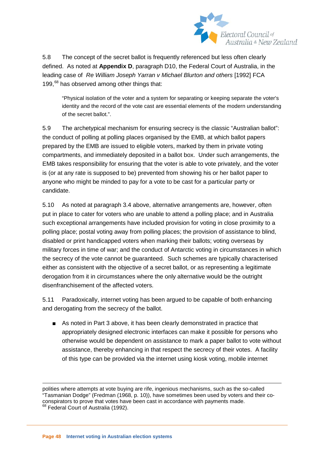

5.8 The concept of the secret ballot is frequently referenced but less often clearly defined. As noted at **Appendix D**, paragraph D10, the Federal Court of Australia, in the leading case of *Re William Joseph Yarran v Michael Blurton and others* [1992] FCA 199,<sup>[68](#page-47-2)</sup> has observed among other things that:

"Physical isolation of the voter and a system for separating or keeping separate the voter's identity and the record of the vote cast are essential elements of the modern understanding of the secret ballot.".

5.9 The archetypical mechanism for ensuring secrecy is the classic "Australian ballot": the conduct of polling at polling places organised by the EMB, at which ballot papers prepared by the EMB are issued to eligible voters, marked by them in private voting compartments, and immediately deposited in a ballot box. Under such arrangements, the EMB takes responsibility for ensuring that the voter is able to vote privately, and the voter is (or at any rate is supposed to be) prevented from showing his or her ballot paper to anyone who might be minded to pay for a vote to be cast for a particular party or candidate.

5.10 As noted at paragraph 3.4 above, alternative arrangements are, however, often put in place to cater for voters who are unable to attend a polling place; and in Australia such exceptional arrangements have included provision for voting in close proximity to a polling place; postal voting away from polling places; the provision of assistance to blind, disabled or print handicapped voters when marking their ballots; voting overseas by military forces in time of war; and the conduct of Antarctic voting in circumstances in which the secrecy of the vote cannot be guaranteed. Such schemes are typically characterised either as consistent with the objective of a secret ballot, or as representing a legitimate derogation from it in circumstances where the only alternative would be the outright disenfranchisement of the affected voters.

5.11 Paradoxically, internet voting has been argued to be capable of both enhancing and derogating from the secrecy of the ballot.

■ As noted in Part 3 above, it has been clearly demonstrated in practice that appropriately designed electronic interfaces can make it possible for persons who otherwise would be dependent on assistance to mark a paper ballot to vote without assistance, thereby enhancing in that respect the secrecy of their votes. A facility of this type can be provided via the internet using kiosk voting, mobile internet

<span id="page-48-0"></span>polities where attempts at vote buying are rife, ingenious mechanisms, such as the so-called "Tasmanian Dodge" (Fredman (1968, p. 10)), have sometimes been used by voters and their coconspirators to prove that votes have been cast in accordance with payments made. <sup>68</sup> Federal Court of Australia (1992).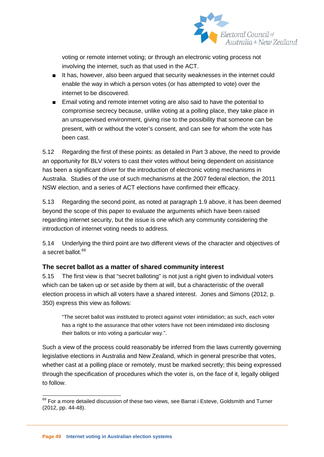

voting or remote internet voting; or through an electronic voting process not involving the internet, such as that used in the ACT.

- It has, however, also been argued that security weaknesses in the internet could enable the way in which a person votes (or has attempted to vote) over the internet to be discovered.
- Email voting and remote internet voting are also said to have the potential to compromise secrecy because, unlike voting at a polling place, they take place in an unsupervised environment, giving rise to the possibility that someone can be present, with or without the voter's consent, and can see for whom the vote has been cast.

5.12 Regarding the first of these points: as detailed in Part 3 above, the need to provide an opportunity for BLV voters to cast their votes without being dependent on assistance has been a significant driver for the introduction of electronic voting mechanisms in Australia. Studies of the use of such mechanisms at the 2007 federal election, the 2011 NSW election, and a series of ACT elections have confirmed their efficacy.

5.13 Regarding the second point, as noted at paragraph 1.9 above, it has been deemed beyond the scope of this paper to evaluate the arguments which have been raised regarding internet security, but the issue is one which any community considering the introduction of internet voting needs to address.

5.14 Underlying the third point are two different views of the character and objectives of a secret ballot.<sup>[69](#page-48-0)</sup>

# **The secret ballot as a matter of shared community interest**

5.15 The first view is that "secret balloting" is not just a right given to individual voters which can be taken up or set aside by them at will, but a characteristic of the overall election process in which all voters have a shared interest. Jones and Simons (2012, p. 350) express this view as follows:

"The secret ballot was instituted to protect against voter intimidation; as such, each voter has a right to the assurance that other voters have not been intimidated into disclosing their ballots or into voting a particular way.".

Such a view of the process could reasonably be inferred from the laws currently governing legislative elections in Australia and New Zealand, which in general prescribe that votes, whether cast at a polling place or remotely, must be marked secretly; this being expressed through the specification of procedures which the voter is, on the face of it, legally obliged to follow.

<span id="page-49-0"></span><sup>69</sup> For a more detailed discussion of these two views, see Barrat i Esteve, Goldsmith and Turner (2012, pp. 44-48).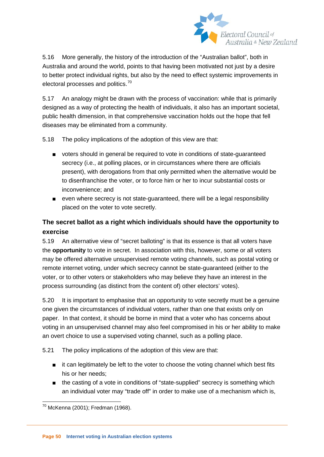

5.16 More generally, the history of the introduction of the "Australian ballot", both in Australia and around the world, points to that having been motivated not just by a desire to better protect individual rights, but also by the need to effect systemic improvements in electoral processes and politics.<sup>[70](#page-49-0)</sup>

5.17 An analogy might be drawn with the process of vaccination: while that is primarily designed as a way of protecting the health of individuals, it also has an important societal, public health dimension, in that comprehensive vaccination holds out the hope that fell diseases may be eliminated from a community.

5.18 The policy implications of the adoption of this view are that:

- voters should in general be required to vote in conditions of state-guaranteed secrecy (i.e., at polling places, or in circumstances where there are officials present), with derogations from that only permitted when the alternative would be to disenfranchise the voter, or to force him or her to incur substantial costs or inconvenience; and
- even where secrecy is not state-guaranteed, there will be a legal responsibility placed on the voter to vote secretly.

# **The secret ballot as a right which individuals should have the opportunity to exercise**

5.19 An alternative view of "secret balloting" is that its essence is that all voters have the **opportunity** to vote in secret. In association with this, however, some or all voters may be offered alternative unsupervised remote voting channels, such as postal voting or remote internet voting, under which secrecy cannot be state-guaranteed (either to the voter, or to other voters or stakeholders who may believe they have an interest in the process surrounding (as distinct from the content of) other electors' votes).

5.20 It is important to emphasise that an opportunity to vote secretly must be a genuine one given the circumstances of individual voters, rather than one that exists only on paper. In that context, it should be borne in mind that a voter who has concerns about voting in an unsupervised channel may also feel compromised in his or her ability to make an overt choice to use a supervised voting channel, such as a polling place.

<span id="page-50-0"></span>5.21 The policy implications of the adoption of this view are that:

- it can legitimately be left to the voter to choose the voting channel which best fits his or her needs;
- the casting of a vote in conditions of "state-supplied" secrecy is something which an individual voter may "trade off" in order to make use of a mechanism which is,

 $70$  McKenna (2001); Fredman (1968).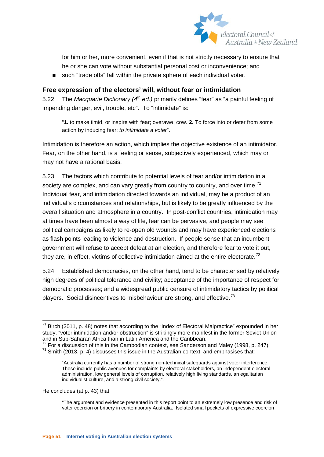

for him or her, more convenient, even if that is not strictly necessary to ensure that he or she can vote without substantial personal cost or inconvenience; and

■ such "trade offs" fall within the private sphere of each individual voter.

#### **Free expression of the electors' will, without fear or intimidation**

5.22 The *Macquarie Dictionary (4th ed.)* primarily defines "fear" as "a painful feeling of impending danger, evil, trouble, etc". To "intimidate" is:

"**1.** to make timid, or inspire with fear; overawe; cow. **2.** To force into or deter from some action by inducing fear: *to intimidate a voter*".

Intimidation is therefore an action, which implies the objective existence of an intimidator. Fear, on the other hand, is a feeling or sense, subjectively experienced, which may or may not have a rational basis.

5.23 The factors which contribute to potential levels of fear and/or intimidation in a society are complex, and can vary greatly from country to country, and over time.<sup>[71](#page-50-0)</sup> Individual fear, and intimidation directed towards an individual, may be a product of an individual's circumstances and relationships, but is likely to be greatly influenced by the overall situation and atmosphere in a country. In post-conflict countries, intimidation may at times have been almost a way of life, fear can be pervasive, and people may see political campaigns as likely to re-open old wounds and may have experienced elections as flash points leading to violence and destruction. If people sense that an incumbent government will refuse to accept defeat at an election, and therefore fear to vote it out, they are, in effect, victims of collective intimidation aimed at the entire electorate. $72$ 

5.24 Established democracies, on the other hand, tend to be characterised by relatively high degrees of political tolerance and civility; acceptance of the importance of respect for democratic processes; and a widespread public censure of intimidatory tactics by political players. Social disincentives to misbehaviour are strong, and effective.<sup>73</sup>

He concludes (at p. 43) that:

 $71$  Birch (2011, p. 48) notes that according to the "Index of Electoral Malpractice" expounded in her study, "voter intimidation and/or obstruction" is strikingly more manifest in the former Soviet Union and in Sub-Saharan Africa than in Latin America and the Caribbean.<br><sup>72</sup> For a discussion of this in the Cambodian context, see Sanderson and Maley (1998, p. 247).

<span id="page-51-2"></span><span id="page-51-1"></span><span id="page-51-0"></span> $73$  Smith (2013, p. 4) discusses this issue in the Australian context, and emphasises that:

<sup>&</sup>quot;Australia currently has a number of strong non-technical safeguards against voter interference. These include public avenues for complaints by electoral stakeholders, an independent electoral administration, low general levels of corruption, relatively high living standards, an egalitarian individualist culture, and a strong civil society.".

<sup>&</sup>quot;The argument and evidence presented in this report point to an extremely low presence and risk of voter coercion or bribery in contemporary Australia. Isolated small pockets of expressive coercion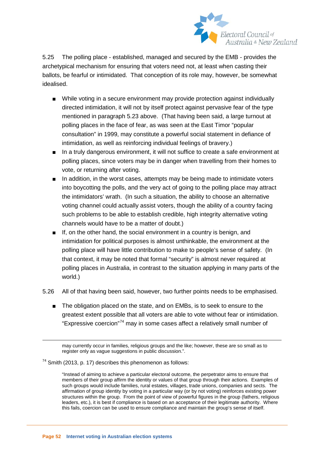

5.25 The polling place - established, managed and secured by the EMB - provides the archetypical mechanism for ensuring that voters need not, at least when casting their ballots, be fearful or intimidated. That conception of its role may, however, be somewhat idealised.

- While voting in a secure environment may provide protection against individually directed intimidation, it will not by itself protect against pervasive fear of the type mentioned in paragraph 5.23 above. (That having been said, a large turnout at polling places in the face of fear, as was seen at the East Timor "popular consultation" in 1999, may constitute a powerful social statement in defiance of intimidation, as well as reinforcing individual feelings of bravery.)
- In a truly dangerous environment, it will not suffice to create a safe environment at polling places, since voters may be in danger when travelling from their homes to vote, or returning after voting.
- In addition, in the worst cases, attempts may be being made to intimidate voters into boycotting the polls, and the very act of going to the polling place may attract the intimidators' wrath. (In such a situation, the ability to choose an alternative voting channel could actually assist voters, though the ability of a country facing such problems to be able to establish credible, high integrity alternative voting channels would have to be a matter of doubt.)
- If, on the other hand, the social environment in a country is benign, and intimidation for political purposes is almost unthinkable, the environment at the polling place will have little contribution to make to people's sense of safety. (In that context, it may be noted that formal "security" is almost never required at polling places in Australia, in contrast to the situation applying in many parts of the world.)
- <span id="page-52-0"></span>5.26 All of that having been said, however, two further points needs to be emphasised.
	- The obligation placed on the state, and on EMBs, is to seek to ensure to the greatest extent possible that all voters are able to vote without fear or intimidation. "Expressive coercion"[74](#page-51-2) may in some cases affect a relatively small number of

may currently occur in families, religious groups and the like; however, these are so small as to register only as vague suggestions in public discussion.".

 $74$  Smith (2013, p. 17) describes this phenomenon as follows:

<sup>&</sup>quot;Instead of aiming to achieve a particular electoral outcome, the perpetrator aims to ensure that members of their group affirm the identity or values of that group through their actions. Examples of such groups would include families, rural estates, villages, trade unions, companies and sects. The affirmation of group identity by voting in a particular way (or by not voting) reinforces existing power structures within the group. From the point of view of powerful figures in the group (fathers, religious leaders, etc.), it is best if compliance is based on an acceptance of their legitimate authority. Where this fails, coercion can be used to ensure compliance and maintain the group's sense of itself.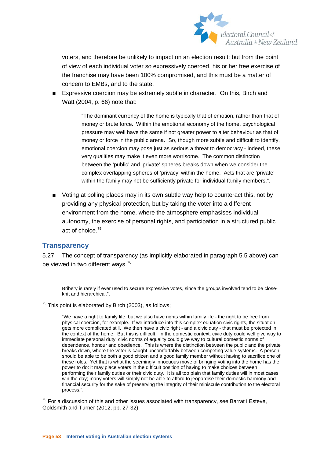

voters, and therefore be unlikely to impact on an election result; but from the point of view of each individual voter so expressively coerced, his or her free exercise of the franchise may have been 100% compromised, and this must be a matter of concern to EMBs, and to the state.

■ Expressive coercion may be extremely subtle in character. On this, Birch and Watt (2004, p. 66) note that:

> "The dominant currency of the home is typically that of emotion, rather than that of money or brute force. Within the emotional economy of the home, psychological pressure may well have the same if not greater power to alter behaviour as that of money or force in the public arena. So, though more subtle and difficult to identify, emotional coercion may pose just as serious a threat to democracy - indeed, these very qualities may make it even more worrisome. The common distinction between the 'public' and 'private' spheres breaks down when we consider the complex overlapping spheres of 'privacy' within the home. Acts that are 'private' within the family may not be sufficiently private for individual family members.".

■ Voting at polling places may in its own subtle way help to counteract this, not by providing any physical protection, but by taking the voter into a different environment from the home, where the atmosphere emphasises individual autonomy, the exercise of personal rights, and participation in a structured public act of choice.[75](#page-52-0)

#### **Transparency**

5.27 The concept of transparency (as implicitly elaborated in paragraph 5.5 above) can be viewed in two different ways.<sup>[76](#page-53-0)</sup>

 Bribery is rarely if ever used to secure expressive votes, since the groups involved tend to be closeknit and hierarchical.".

 $75$  This point is elaborated by Birch (2003), as follows;

"We have a right to family life, but we also have rights within family life - the right to be free from physical coercion, for example. If we introduce into this complex equation civic rights, the situation gets more complicated still. We then have a civic right - and a civic duty - that must be protected in the context of the home. But this is difficult. In the domestic context, civic duty could well give way to immediate personal duty, civic norms of equality could give way to cultural domestic norms of dependence, honour and obedience. This is where the distinction between the public and the private breaks down, where the voter is caught uncomfortably between competing value systems. A person should be able to be both a good citizen and a good family member without having to sacrifice one of these roles. Yet that is what the seemingly innocuous move of bringing voting into the home has the power to do: it may place voters in the difficult position of having to make choices between performing their family duties or their civic duty. It is all too plain that family duties will in most cases win the day; many voters will simply not be able to afford to jeopardise their domestic harmony and financial security for the sake of preserving the integrity of their miniscule contribution to the electoral process.".

<span id="page-53-1"></span><span id="page-53-0"></span> $76$  For a discussion of this and other issues associated with transparency, see Barrat i Esteve, Goldsmith and Turner (2012, pp. 27-32).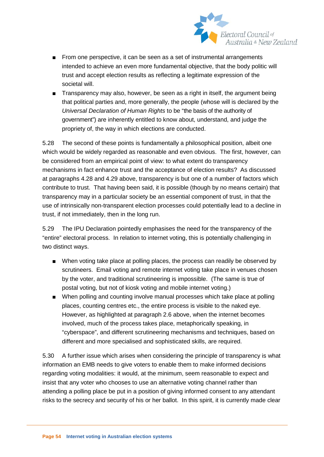

- From one perspective, it can be seen as a set of instrumental arrangements intended to achieve an even more fundamental objective, that the body politic will trust and accept election results as reflecting a legitimate expression of the societal will.
- Transparency may also, however, be seen as a right in itself, the argument being that political parties and, more generally, the people (whose will is declared by the *Universal Declaration of Human Rights* to be "the basis of the authority of government") are inherently entitled to know about, understand, and judge the propriety of, the way in which elections are conducted.

5.28 The second of these points is fundamentally a philosophical position, albeit one which would be widely regarded as reasonable and even obvious. The first, however, can be considered from an empirical point of view: to what extent do transparency mechanisms in fact enhance trust and the acceptance of election results? As discussed at paragraphs 4.28 and 4.29 above, transparency is but one of a number of factors which contribute to trust. That having been said, it is possible (though by no means certain) that transparency may in a particular society be an essential component of trust, in that the use of intrinsically non-transparent election processes could potentially lead to a decline in trust, if not immediately, then in the long run.

5.29 The IPU Declaration pointedly emphasises the need for the transparency of the "entire" electoral process. In relation to internet voting, this is potentially challenging in two distinct ways.

- When voting take place at polling places, the process can readily be observed by scrutineers. Email voting and remote internet voting take place in venues chosen by the voter, and traditional scrutineering is impossible. (The same is true of postal voting, but not of kiosk voting and mobile internet voting.)
- When polling and counting involve manual processes which take place at polling places, counting centres etc., the entire process is visible to the naked eye. However, as highlighted at paragraph 2.6 above, when the internet becomes involved, much of the process takes place, metaphorically speaking, in "cyberspace", and different scrutineering mechanisms and techniques, based on different and more specialised and sophisticated skills, are required.

5.30 A further issue which arises when considering the principle of transparency is what information an EMB needs to give voters to enable them to make informed decisions regarding voting modalities: it would, at the minimum, seem reasonable to expect and insist that any voter who chooses to use an alternative voting channel rather than attending a polling place be put in a position of giving informed consent to any attendant risks to the secrecy and security of his or her ballot. In this spirit, it is currently made clear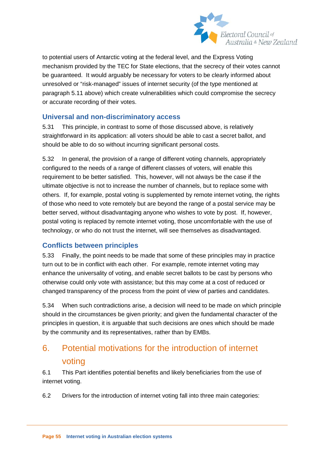

to potential users of Antarctic voting at the federal level, and the Express Voting mechanism provided by the TEC for State elections, that the secrecy of their votes cannot be guaranteed. It would arguably be necessary for voters to be clearly informed about unresolved or "risk-managed" issues of internet security (of the type mentioned at paragraph 5.11 above) which create vulnerabilities which could compromise the secrecy or accurate recording of their votes.

# **Universal and non-discriminatory access**

5.31 This principle, in contrast to some of those discussed above, is relatively straightforward in its application: all voters should be able to cast a secret ballot, and should be able to do so without incurring significant personal costs.

5.32 In general, the provision of a range of different voting channels, appropriately configured to the needs of a range of different classes of voters, will enable this requirement to be better satisfied. This, however, will not always be the case if the ultimate objective is not to increase the number of channels, but to replace some with others. If, for example, postal voting is supplemented by remote internet voting, the rights of those who need to vote remotely but are beyond the range of a postal service may be better served, without disadvantaging anyone who wishes to vote by post. If, however, postal voting is replaced by remote internet voting, those uncomfortable with the use of technology, or who do not trust the internet, will see themselves as disadvantaged.

# **Conflicts between principles**

5.33 Finally, the point needs to be made that some of these principles may in practice turn out to be in conflict with each other. For example, remote internet voting may enhance the universality of voting, and enable secret ballots to be cast by persons who otherwise could only vote with assistance; but this may come at a cost of reduced or changed transparency of the process from the point of view of parties and candidates.

5.34 When such contradictions arise, a decision will need to be made on which principle should in the circumstances be given priority; and given the fundamental character of the principles in question, it is arguable that such decisions are ones which should be made by the community and its representatives, rather than by EMBs.

# 6. Potential motivations for the introduction of internet voting

6.1 This Part identifies potential benefits and likely beneficiaries from the use of internet voting.

6.2 Drivers for the introduction of internet voting fall into three main categories: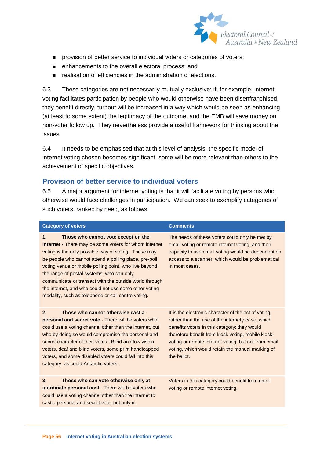

- provision of better service to individual voters or categories of voters;
- enhancements to the overall electoral process; and
- realisation of efficiencies in the administration of elections.

6.3 These categories are not necessarily mutually exclusive: if, for example, internet voting facilitates participation by people who would otherwise have been disenfranchised, they benefit directly, turnout will be increased in a way which would be seen as enhancing (at least to some extent) the legitimacy of the outcome; and the EMB will save money on non-voter follow up. They nevertheless provide a useful framework for thinking about the issues.

6.4 It needs to be emphasised that at this level of analysis, the specific model of internet voting chosen becomes significant: some will be more relevant than others to the achievement of specific objectives.

#### **Provision of better service to individual voters**

6.5 A major argument for internet voting is that it will facilitate voting by persons who otherwise would face challenges in participation. We can seek to exemplify categories of such voters, ranked by need, as follows.

| <b>Category of voters</b>                                                                                                                                                                                                                                                                                                                                                                                                                                                                                 | <b>Comments</b>                                                                                                                                                                                                                                                                                                                           |
|-----------------------------------------------------------------------------------------------------------------------------------------------------------------------------------------------------------------------------------------------------------------------------------------------------------------------------------------------------------------------------------------------------------------------------------------------------------------------------------------------------------|-------------------------------------------------------------------------------------------------------------------------------------------------------------------------------------------------------------------------------------------------------------------------------------------------------------------------------------------|
| Those who cannot vote except on the<br>1.<br><b>internet</b> - There may be some voters for whom internet<br>voting is the only possible way of voting. These may<br>be people who cannot attend a polling place, pre-poll<br>voting venue or mobile polling point, who live beyond<br>the range of postal systems, who can only<br>communicate or transact with the outside world through<br>the internet, and who could not use some other voting<br>modality, such as telephone or call centre voting. | The needs of these voters could only be met by<br>email voting or remote internet voting, and their<br>capacity to use email voting would be dependent on<br>access to a scanner, which would be problematical<br>in most cases.                                                                                                          |
| Those who cannot otherwise cast a<br>2.<br>personal and secret vote - There will be voters who<br>could use a voting channel other than the internet, but<br>who by doing so would compromise the personal and<br>secret character of their votes. Blind and low vision<br>voters, deaf and blind voters, some print handicapped<br>voters, and some disabled voters could fall into this<br>category, as could Antarctic voters.                                                                         | It is the electronic character of the act of voting,<br>rather than the use of the internet per se, which<br>benefits voters in this category: they would<br>therefore benefit from kiosk voting, mobile kiosk<br>voting or remote internet voting, but not from email<br>voting, which would retain the manual marking of<br>the ballot. |
| Those who can vote otherwise only at<br>3.<br>inordinate personal cost - There will be voters who<br>could use a voting channel other than the internet to<br>cast a personal and secret vote, but only in                                                                                                                                                                                                                                                                                                | Voters in this category could benefit from email<br>voting or remote internet voting.                                                                                                                                                                                                                                                     |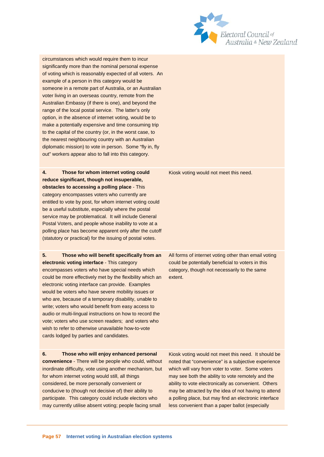

circumstances which would require them to incur significantly more than the nominal personal expense of voting which is reasonably expected of all voters. An example of a person in this category would be someone in a remote part of Australia, or an Australian voter living in an overseas country, remote from the Australian Embassy (if there is one), and beyond the range of the local postal service. The latter's only option, in the absence of internet voting, would be to make a potentially expensive and time consuming trip to the capital of the country (or, in the worst case, to the nearest neighbouring country with an Australian diplomatic mission) to vote in person. Some "fly in, fly out" workers appear also to fall into this category.

**4. Those for whom internet voting could reduce significant, though not insuperable, obstacles to accessing a polling place** - This category encompasses voters who currently are entitled to vote by post, for whom internet voting could be a useful substitute, especially where the postal service may be problematical. It will include General Postal Voters, and people whose inability to vote at a polling place has become apparent only after the cutoff (statutory or practical) for the issuing of postal votes.

**5. Those who will benefit specifically from an electronic voting interface** - This category encompasses voters who have special needs which could be more effectively met by the flexibility which an electronic voting interface can provide. Examples would be voters who have severe mobility issues or who are, because of a temporary disability, unable to write; voters who would benefit from easy access to audio or multi-lingual instructions on how to record the vote; voters who use screen readers; and voters who wish to refer to otherwise unavailable how-to-vote cards lodged by parties and candidates.

**6. Those who will enjoy enhanced personal convenience** - There will be people who could, without inordinate difficulty, vote using another mechanism, but for whom internet voting would still, all things considered, be more personally convenient or conducive to (though not decisive of) their ability to participate. This category could include electors who may currently utilise absent voting; people facing small

Kiosk voting would not meet this need.

All forms of internet voting other than email voting could be potentially beneficial to voters in this category, though not necessarily to the same extent.

Kiosk voting would not meet this need. It should be noted that "convenience" is a subjective experience which will vary from voter to voter. Some voters may see both the ability to vote remotely and the ability to vote electronically as convenient. Others may be attracted by the idea of not having to attend a polling place, but may find an electronic interface less convenient than a paper ballot (especially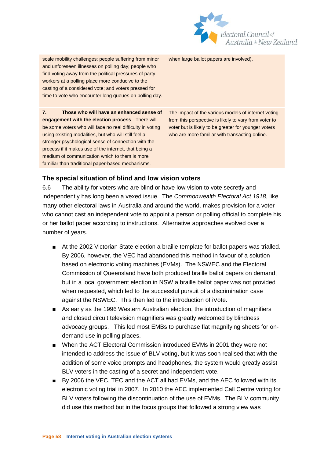

scale mobility challenges; people suffering from minor and unforeseen illnesses on polling day; people who find voting away from the political pressures of party workers at a polling place more conducive to the casting of a considered vote; and voters pressed for time to vote who encounter long queues on polling day.

**7. Those who will have an enhanced sense of engagement with the election process** - There will be some voters who will face no real difficulty in voting using existing modalities, but who will still feel a stronger psychological sense of connection with the process if it makes use of the internet, that being a medium of communication which to them is more familiar than traditional paper-based mechanisms.

when large ballot papers are involved).

The impact of the various models of internet voting from this perspective is likely to vary from voter to voter but is likely to be greater for younger voters who are more familiar with transacting online.

#### **The special situation of blind and low vision voters**

6.6 The ability for voters who are blind or have low vision to vote secretly and independently has long been a vexed issue. The *Commonwealth Electoral Act 1918*, like many other electoral laws in Australia and around the world, makes provision for a voter who cannot cast an independent vote to appoint a person or polling official to complete his or her ballot paper according to instructions. Alternative approaches evolved over a number of years.

- At the 2002 Victorian State election a braille template for ballot papers was trialled. By 2006, however, the VEC had abandoned this method in favour of a solution based on electronic voting machines (EVMs). The NSWEC and the Electoral Commission of Queensland have both produced braille ballot papers on demand, but in a local government election in NSW a braille ballot paper was not provided when requested, which led to the successful pursuit of a discrimination case against the NSWEC. This then led to the introduction of iVote.
- As early as the 1996 Western Australian election, the introduction of magnifiers and closed circuit television magnifiers was greatly welcomed by blindness advocacy groups. This led most EMBs to purchase flat magnifying sheets for ondemand use in polling places.
- When the ACT Electoral Commission introduced EVMs in 2001 they were not intended to address the issue of BLV voting, but it was soon realised that with the addition of some voice prompts and headphones, the system would greatly assist BLV voters in the casting of a secret and independent vote.
- By 2006 the VEC, TEC and the ACT all had EVMs, and the AEC followed with its electronic voting trial in 2007. In 2010 the AEC implemented Call Centre voting for BLV voters following the discontinuation of the use of EVMs. The BLV community did use this method but in the focus groups that followed a strong view was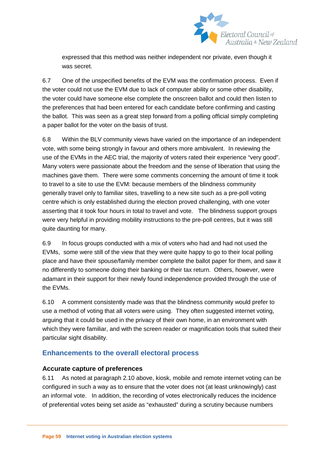

expressed that this method was neither independent nor private, even though it was secret.

6.7 One of the unspecified benefits of the EVM was the confirmation process. Even if the voter could not use the EVM due to lack of computer ability or some other disability, the voter could have someone else complete the onscreen ballot and could then listen to the preferences that had been entered for each candidate before confirming and casting the ballot. This was seen as a great step forward from a polling official simply completing a paper ballot for the voter on the basis of trust.

6.8 Within the BLV community views have varied on the importance of an independent vote, with some being strongly in favour and others more ambivalent. In reviewing the use of the EVMs in the AEC trial, the majority of voters rated their experience "very good". Many voters were passionate about the freedom and the sense of liberation that using the machines gave them. There were some comments concerning the amount of time it took to travel to a site to use the EVM: because members of the blindness community generally travel only to familiar sites, travelling to a new site such as a pre-poll voting centre which is only established during the election proved challenging, with one voter asserting that it took four hours in total to travel and vote. The blindness support groups were very helpful in providing mobility instructions to the pre-poll centres, but it was still quite daunting for many.

6.9 In focus groups conducted with a mix of voters who had and had not used the EVMs, some were still of the view that they were quite happy to go to their local polling place and have their spouse/family member complete the ballot paper for them, and saw it no differently to someone doing their banking or their tax return. Others, however, were adamant in their support for their newly found independence provided through the use of the EVMs.

6.10 A comment consistently made was that the blindness community would prefer to use a method of voting that all voters were using. They often suggested internet voting, arguing that it could be used in the privacy of their own home, in an environment with which they were familiar, and with the screen reader or magnification tools that suited their particular sight disability.

# **Enhancements to the overall electoral process**

#### **Accurate capture of preferences**

6.11 As noted at paragraph 2.10 above, kiosk, mobile and remote internet voting can be configured in such a way as to ensure that the voter does not (at least unknowingly) cast an informal vote. In addition, the recording of votes electronically reduces the incidence of preferential votes being set aside as "exhausted" during a scrutiny because numbers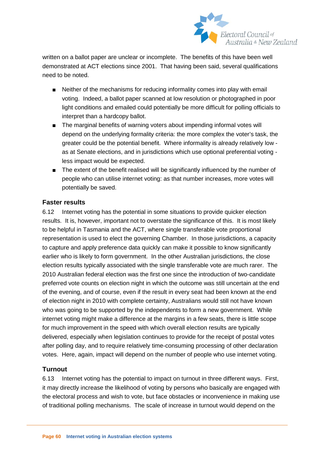

written on a ballot paper are unclear or incomplete. The benefits of this have been well demonstrated at ACT elections since 2001. That having been said, several qualifications need to be noted.

- Neither of the mechanisms for reducing informality comes into play with email voting. Indeed, a ballot paper scanned at low resolution or photographed in poor light conditions and emailed could potentially be more difficult for polling officials to interpret than a hardcopy ballot.
- The marginal benefits of warning voters about impending informal votes will depend on the underlying formality criteria: the more complex the voter's task, the greater could be the potential benefit. Where informality is already relatively low as at Senate elections, and in jurisdictions which use optional preferential voting less impact would be expected.
- The extent of the benefit realised will be significantly influenced by the number of people who can utilise internet voting: as that number increases, more votes will potentially be saved.

#### **Faster results**

6.12 Internet voting has the potential in some situations to provide quicker election results. It is, however, important not to overstate the significance of this. It is most likely to be helpful in Tasmania and the ACT, where single transferable vote proportional representation is used to elect the governing Chamber. In those jurisdictions, a capacity to capture and apply preference data quickly can make it possible to know significantly earlier who is likely to form government. In the other Australian jurisdictions, the close election results typically associated with the single transferable vote are much rarer. The 2010 Australian federal election was the first one since the introduction of two-candidate preferred vote counts on election night in which the outcome was still uncertain at the end of the evening, and of course, even if the result in every seat had been known at the end of election night in 2010 with complete certainty, Australians would still not have known who was going to be supported by the independents to form a new government. While internet voting might make a difference at the margins in a few seats, there is little scope for much improvement in the speed with which overall election results are typically delivered, especially when legislation continues to provide for the receipt of postal votes after polling day, and to require relatively time-consuming processing of other declaration votes. Here, again, impact will depend on the number of people who use internet voting.

# **Turnout**

6.13 Internet voting has the potential to impact on turnout in three different ways. First, it may directly increase the likelihood of voting by persons who basically are engaged with the electoral process and wish to vote, but face obstacles or inconvenience in making use of traditional polling mechanisms. The scale of increase in turnout would depend on the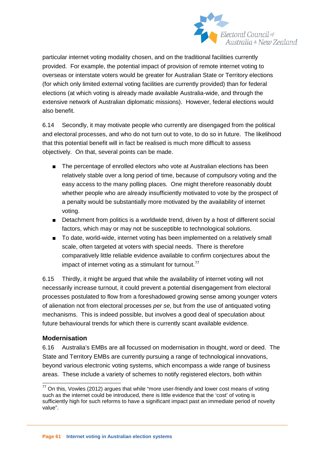

particular internet voting modality chosen, and on the traditional facilities currently provided. For example, the potential impact of provision of remote internet voting to overseas or interstate voters would be greater for Australian State or Territory elections (for which only limited external voting facilities are currently provided) than for federal elections (at which voting is already made available Australia-wide, and through the extensive network of Australian diplomatic missions). However, federal elections would also benefit.

6.14 Secondly, it may motivate people who currently are disengaged from the political and electoral processes, and who do not turn out to vote, to do so in future. The likelihood that this potential benefit will in fact be realised is much more difficult to assess objectively. On that, several points can be made.

- The percentage of enrolled electors who vote at Australian elections has been relatively stable over a long period of time, because of compulsory voting and the easy access to the many polling places. One might therefore reasonably doubt whether people who are already insufficiently motivated to vote by the prospect of a penalty would be substantially more motivated by the availability of internet voting.
- Detachment from politics is a worldwide trend, driven by a host of different social factors, which may or may not be susceptible to technological solutions.
- To date, world-wide, internet voting has been implemented on a relatively small scale, often targeted at voters with special needs. There is therefore comparatively little reliable evidence available to confirm conjectures about the impact of internet voting as a stimulant for turnout.<sup>[77](#page-53-1)</sup>

6.15 Thirdly, it might be argued that while the availability of internet voting will not necessarily increase turnout, it could prevent a potential disengagement from electoral processes postulated to flow from a foreshadowed growing sense among younger voters of alienation not from electoral processes *per se*, but from the use of antiquated voting mechanisms. This is indeed possible, but involves a good deal of speculation about future behavioural trends for which there is currently scant available evidence.

#### **Modernisation**

6.16 Australia's EMBs are all focussed on modernisation in thought, word or deed. The State and Territory EMBs are currently pursuing a range of technological innovations, beyond various electronic voting systems, which encompass a wide range of business areas. These include a variety of schemes to notify registered electors, both within

<span id="page-61-0"></span> $77$  On this, Vowles (2012) argues that while "more user-friendly and lower cost means of voting such as the internet could be introduced, there is little evidence that the 'cost' of voting is sufficiently high for such reforms to have a significant impact past an immediate period of novelty value".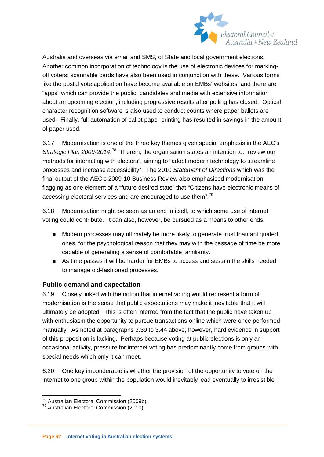

Australia and overseas via email and SMS, of State and local government elections. Another common incorporation of technology is the use of electronic devices for markingoff voters; scannable cards have also been used in conjunction with these. Various forms like the postal vote application have become available on EMBs' websites, and there are "apps" which can provide the public, candidates and media with extensive information about an upcoming election, including progressive results after polling has closed. Optical character recognition software is also used to conduct counts where paper ballots are used. Finally, full automation of ballot paper printing has resulted in savings in the amount of paper used.

6.17 Modernisation is one of the three key themes given special emphasis in the AEC's Strategic Plan 2009-2014.<sup>[78](#page-61-0)</sup> Therein, the organisation states an intention to: "review our methods for interacting with electors", aiming to "adopt modern technology to streamline processes and increase accessibility". The 2010 *Statement of Directions* which was the final output of the AEC's 2009-10 Business Review also emphasised modernisation, flagging as one element of a "future desired state" that "Citizens have electronic means of accessing electoral services and are encouraged to use them".<sup>[79](#page-62-0)</sup>

6.18 Modernisation might be seen as an end in itself, to which some use of internet voting could contribute. It can also, however, be pursued as a means to other ends.

- Modern processes may ultimately be more likely to generate trust than antiquated ones, for the psychological reason that they may with the passage of time be more capable of generating a sense of comfortable familiarity.
- As time passes it will be harder for EMBs to access and sustain the skills needed to manage old-fashioned processes.

#### **Public demand and expectation**

6.19 Closely linked with the notion that internet voting would represent a form of modernisation is the sense that public expectations may make it inevitable that it will ultimately be adopted. This is often inferred from the fact that the public have taken up with enthusiasm the opportunity to pursue transactions online which were once performed manually. As noted at paragraphs 3.39 to 3.44 above, however, hard evidence in support of this proposition is lacking. Perhaps because voting at public elections is only an occasional activity, pressure for internet voting has predominantly come from groups with special needs which only it can meet.

6.20 One key imponderable is whether the provision of the opportunity to vote on the internet to one group within the population would inevitably lead eventually to irresistible

 $78 \text{ Australian Electrical Commission}$  (2009b).<br> $79 \text{ Australian Electrical Commission}$  (2010).

<span id="page-62-0"></span>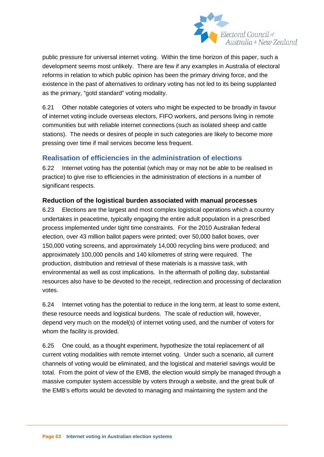

public pressure for universal internet voting. Within the time horizon of this paper, such a development seems most unlikely. There are few if any examples in Australia of electoral reforms in relation to which public opinion has been the primary driving force, and the existence in the past of alternatives to ordinary voting has not led to its being supplanted as the primary, "gold standard" voting modality.

6.21 Other notable categories of voters who might be expected to be broadly in favour of internet voting include overseas electors, FIFO workers, and persons living in remote communities but with reliable internet connections (such as isolated sheep and cattle stations). The needs or desires of people in such categories are likely to become more pressing over time if mail services become less frequent.

# **Realisation of efficiencies in the administration of elections**

6.22 Internet voting has the potential (which may or may not be able to be realised in practice) to give rise to efficiencies in the administration of elections in a number of significant respects.

#### **Reduction of the logistical burden associated with manual processes**

6.23 Elections are the largest and most complex logistical operations which a country undertakes in peacetime, typically engaging the entire adult population in a prescribed process implemented under tight time constraints. For the 2010 Australian federal election, over 43 million ballot papers were printed; over 50,000 ballot boxes, over 150,000 voting screens, and approximately 14,000 recycling bins were produced; and approximately 100,000 pencils and 140 kilometres of string were required. The production, distribution and retrieval of these materials is a massive task, with environmental as well as cost implications. In the aftermath of polling day, substantial resources also have to be devoted to the receipt, redirection and processing of declaration votes.

6.24 Internet voting has the potential to reduce in the long term, at least to some extent, these resource needs and logistical burdens. The scale of reduction will, however, depend very much on the model(s) of internet voting used, and the number of voters for whom the facility is provided.

6.25 One could, as a thought experiment, hypothesize the total replacement of all current voting modalities with remote internet voting. Under such a scenario, all current channels of voting would be eliminated, and the logistical and materiel savings would be total. From the point of view of the EMB, the election would simply be managed through a massive computer system accessible by voters through a website, and the great bulk of the EMB's efforts would be devoted to managing and maintaining the system and the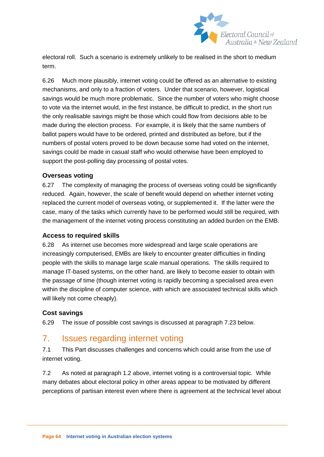

electoral roll. Such a scenario is extremely unlikely to be realised in the short to medium term.

6.26 Much more plausibly, internet voting could be offered as an alternative to existing mechanisms, and only to a fraction of voters. Under that scenario, however, logistical savings would be much more problematic. Since the number of voters who might choose to vote via the internet would, in the first instance, be difficult to predict, in the short run the only realisable savings might be those which could flow from decisions able to be made during the election process. For example, it is likely that the same numbers of ballot papers would have to be ordered, printed and distributed as before, but if the numbers of postal voters proved to be down because some had voted on the internet, savings could be made in casual staff who would otherwise have been employed to support the post-polling day processing of postal votes.

#### **Overseas voting**

6.27 The complexity of managing the process of overseas voting could be significantly reduced. Again, however, the scale of benefit would depend on whether internet voting replaced the current model of overseas voting, or supplemented it. If the latter were the case, many of the tasks which currently have to be performed would still be required, with the management of the internet voting process constituting an added burden on the EMB.

#### **Access to required skills**

6.28 As internet use becomes more widespread and large scale operations are increasingly computerised, EMBs are likely to encounter greater difficulties in finding people with the skills to manage large scale manual operations. The skills required to manage IT-based systems, on the other hand, are likely to become easier to obtain with the passage of time (though internet voting is rapidly becoming a specialised area even within the discipline of computer science, with which are associated technical skills which will likely not come cheaply).

#### **Cost savings**

6.29 The issue of possible cost savings is discussed at paragraph 7.23 below.

# 7. Issues regarding internet voting

7.1 This Part discusses challenges and concerns which could arise from the use of internet voting.

7.2 As noted at paragraph 1.2 above, internet voting is a controversial topic. While many debates about electoral policy in other areas appear to be motivated by different perceptions of partisan interest even where there is agreement at the technical level about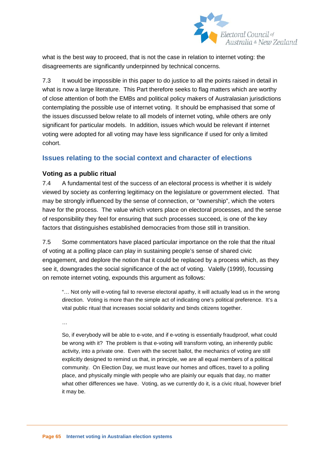

what is the best way to proceed, that is not the case in relation to internet voting: the disagreements are significantly underpinned by technical concerns.

7.3 It would be impossible in this paper to do justice to all the points raised in detail in what is now a large literature. This Part therefore seeks to flag matters which are worthy of close attention of both the EMBs and political policy makers of Australasian jurisdictions contemplating the possible use of internet voting. It should be emphasised that some of the issues discussed below relate to all models of internet voting, while others are only significant for particular models. In addition, issues which would be relevant if internet voting were adopted for all voting may have less significance if used for only a limited cohort.

# **Issues relating to the social context and character of elections**

#### **Voting as a public ritual**

7.4 A fundamental test of the success of an electoral process is whether it is widely viewed by society as conferring legitimacy on the legislature or government elected. That may be strongly influenced by the sense of connection, or "ownership", which the voters have for the process. The value which voters place on electoral processes, and the sense of responsibility they feel for ensuring that such processes succeed, is one of the key factors that distinguishes established democracies from those still in transition.

7.5 Some commentators have placed particular importance on the role that the ritual of voting at a polling place can play in sustaining people's sense of shared civic engagement, and deplore the notion that it could be replaced by a process which, as they see it, downgrades the social significance of the act of voting. Valelly (1999), focussing on remote internet voting, expounds this argument as follows:

"… Not only will e-voting fail to reverse electoral apathy, it will actually lead us in the wrong direction. Voting is more than the simple act of indicating one's political preference. It's a vital public ritual that increases social solidarity and binds citizens together.

…

So, if everybody will be able to e-vote, and if e-voting is essentially fraudproof, what could be wrong with it? The problem is that e-voting will transform voting, an inherently public activity, into a private one. Even with the secret ballot, the mechanics of voting are still explicitly designed to remind us that, in principle, we are all equal members of a political community. On Election Day, we must leave our homes and offices, travel to a polling place, and physically mingle with people who are plainly our equals that day, no matter what other differences we have. Voting, as we currently do it, is a civic ritual, however brief it may be.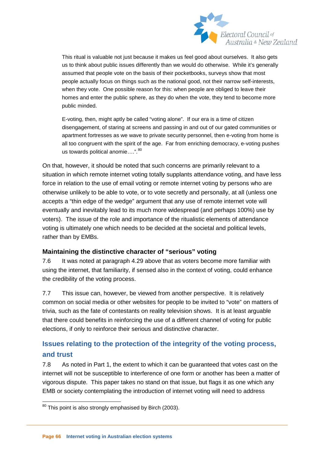

This ritual is valuable not just because it makes us feel good about ourselves. It also gets us to think about public issues differently than we would do otherwise. While it's generally assumed that people vote on the basis of their pocketbooks, surveys show that most people actually focus on things such as the national good, not their narrow self-interests, when they vote. One possible reason for this: when people are obliged to leave their homes and enter the public sphere, as they do when the vote, they tend to become more public minded.

E-voting, then, might aptly be called "voting alone". If our era is a time of citizen disengagement, of staring at screens and passing in and out of our gated communities or apartment fortresses as we wave to private security personnel, then e-voting from home is all too congruent with the spirit of the age. Far from enriching democracy, e-voting pushes us towards political anomie….". [80](#page-62-0) 

On that, however, it should be noted that such concerns are primarily relevant to a situation in which remote internet voting totally supplants attendance voting, and have less force in relation to the use of email voting or remote internet voting by persons who are otherwise unlikely to be able to vote, or to vote secretly and personally, at all (unless one accepts a "thin edge of the wedge" argument that any use of remote internet vote will eventually and inevitably lead to its much more widespread (and perhaps 100%) use by voters). The issue of the role and importance of the ritualistic elements of attendance voting is ultimately one which needs to be decided at the societal and political levels, rather than by EMBs.

#### **Maintaining the distinctive character of "serious" voting**

7.6 It was noted at paragraph 4.29 above that as voters become more familiar with using the internet, that familiarity, if sensed also in the context of voting, could enhance the credibility of the voting process.

7.7 This issue can, however, be viewed from another perspective. It is relatively common on social media or other websites for people to be invited to "vote" on matters of trivia, such as the fate of contestants on reality television shows. It is at least arguable that there could benefits in reinforcing the use of a different channel of voting for public elections, if only to reinforce their serious and distinctive character.

# **Issues relating to the protection of the integrity of the voting process, and trust**

7.8 As noted in Part 1, the extent to which it can be guaranteed that votes cast on the internet will not be susceptible to interference of one form or another has been a matter of vigorous dispute. This paper takes no stand on that issue, but flags it as one which any EMB or society contemplating the introduction of internet voting will need to address

<span id="page-66-0"></span><sup>&</sup>lt;sup>80</sup> This point is also strongly emphasised by Birch (2003).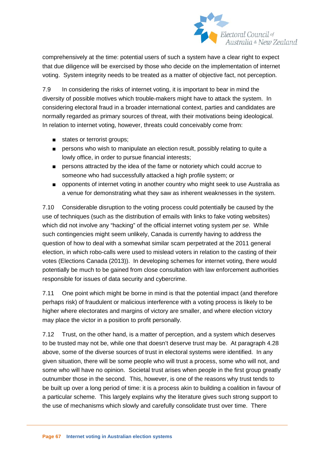

comprehensively at the time: potential users of such a system have a clear right to expect that due diligence will be exercised by those who decide on the implementation of internet voting. System integrity needs to be treated as a matter of objective fact, not perception.

7.9 In considering the risks of internet voting, it is important to bear in mind the diversity of possible motives which trouble-makers might have to attack the system. In considering electoral fraud in a broader international context, parties and candidates are normally regarded as primary sources of threat, with their motivations being ideological. In relation to internet voting, however, threats could conceivably come from:

- states or terrorist groups;
- persons who wish to manipulate an election result, possibly relating to quite a lowly office, in order to pursue financial interests;
- persons attracted by the idea of the fame or notoriety which could accrue to someone who had successfully attacked a high profile system; or
- opponents of internet voting in another country who might seek to use Australia as a venue for demonstrating what they saw as inherent weaknesses in the system.

7.10 Considerable disruption to the voting process could potentially be caused by the use of techniques (such as the distribution of emails with links to fake voting websites) which did not involve any "hacking" of the official internet voting system *per se*. While such contingencies might seem unlikely, Canada is currently having to address the question of how to deal with a somewhat similar scam perpetrated at the 2011 general election, in which robo-calls were used to mislead voters in relation to the casting of their votes (Elections Canada (2013)). In developing schemes for internet voting, there would potentially be much to be gained from close consultation with law enforcement authorities responsible for issues of data security and cybercrime.

7.11 One point which might be borne in mind is that the potential impact (and therefore perhaps risk) of fraudulent or malicious interference with a voting process is likely to be higher where electorates and margins of victory are smaller, and where election victory may place the victor in a position to profit personally.

7.12 Trust, on the other hand, is a matter of perception, and a system which deserves to be trusted may not be, while one that doesn't deserve trust may be. At paragraph 4.28 above, some of the diverse sources of trust in electoral systems were identified. In any given situation, there will be some people who will trust a process, some who will not, and some who will have no opinion. Societal trust arises when people in the first group greatly outnumber those in the second. This, however, is one of the reasons why trust tends to be built up over a long period of time: it is a process akin to building a coalition in favour of a particular scheme. This largely explains why the literature gives such strong support to the use of mechanisms which slowly and carefully consolidate trust over time. There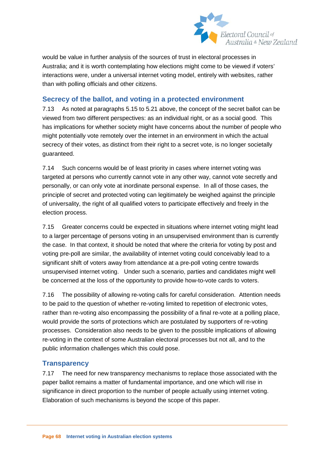

would be value in further analysis of the sources of trust in electoral processes in Australia; and it is worth contemplating how elections might come to be viewed if voters' interactions were, under a universal internet voting model, entirely with websites, rather than with polling officials and other citizens.

# **Secrecy of the ballot, and voting in a protected environment**

7.13 As noted at paragraphs 5.15 to 5.21 above, the concept of the secret ballot can be viewed from two different perspectives: as an individual right, or as a social good. This has implications for whether society might have concerns about the number of people who might potentially vote remotely over the internet in an environment in which the actual secrecy of their votes, as distinct from their right to a secret vote, is no longer societally guaranteed.

7.14 Such concerns would be of least priority in cases where internet voting was targeted at persons who currently cannot vote in any other way, cannot vote secretly and personally, or can only vote at inordinate personal expense. In all of those cases, the principle of secret and protected voting can legitimately be weighed against the principle of universality, the right of all qualified voters to participate effectively and freely in the election process.

7.15 Greater concerns could be expected in situations where internet voting might lead to a larger percentage of persons voting in an unsupervised environment than is currently the case. In that context, it should be noted that where the criteria for voting by post and voting pre-poll are similar, the availability of internet voting could conceivably lead to a significant shift of voters away from attendance at a pre-poll voting centre towards unsupervised internet voting. Under such a scenario, parties and candidates might well be concerned at the loss of the opportunity to provide how-to-vote cards to voters.

7.16 The possibility of allowing re-voting calls for careful consideration. Attention needs to be paid to the question of whether re-voting limited to repetition of electronic votes, rather than re-voting also encompassing the possibility of a final re-vote at a polling place, would provide the sorts of protections which are postulated by supporters of re-voting processes. Consideration also needs to be given to the possible implications of allowing re-voting in the context of some Australian electoral processes but not all, and to the public information challenges which this could pose.

# **Transparency**

7.17 The need for new transparency mechanisms to replace those associated with the paper ballot remains a matter of fundamental importance, and one which will rise in significance in direct proportion to the number of people actually using internet voting. Elaboration of such mechanisms is beyond the scope of this paper.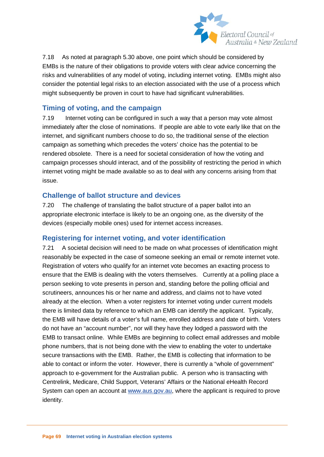

7.18 As noted at paragraph 5.30 above, one point which should be considered by EMBs is the nature of their obligations to provide voters with clear advice concerning the risks and vulnerabilities of any model of voting, including internet voting. EMBs might also consider the potential legal risks to an election associated with the use of a process which might subsequently be proven in court to have had significant vulnerabilities.

# **Timing of voting, and the campaign**

7.19 Internet voting can be configured in such a way that a person may vote almost immediately after the close of nominations. If people are able to vote early like that on the internet, and significant numbers choose to do so, the traditional sense of the election campaign as something which precedes the voters' choice has the potential to be rendered obsolete. There is a need for societal consideration of how the voting and campaign processes should interact, and of the possibility of restricting the period in which internet voting might be made available so as to deal with any concerns arising from that issue.

#### **Challenge of ballot structure and devices**

7.20 The challenge of translating the ballot structure of a paper ballot into an appropriate electronic interface is likely to be an ongoing one, as the diversity of the devices (especially mobile ones) used for internet access increases.

#### **Registering for internet voting, and voter identification**

7.21 A societal decision will need to be made on what processes of identification might reasonably be expected in the case of someone seeking an email or remote internet vote. Registration of voters who qualify for an internet vote becomes an exacting process to ensure that the EMB is dealing with the voters themselves. Currently at a polling place a person seeking to vote presents in person and, standing before the polling official and scrutineers, announces his or her name and address, and claims not to have voted already at the election. When a voter registers for internet voting under current models there is limited data by reference to which an EMB can identify the applicant. Typically, the EMB will have details of a voter's full name, enrolled address and date of birth. Voters do not have an "account number", nor will they have they lodged a password with the EMB to transact online. While EMBs are beginning to collect email addresses and mobile phone numbers, that is not being done with the view to enabling the voter to undertake secure transactions with the EMB. Rather, the EMB is collecting that information to be able to contact or inform the voter. However, there is currently a "whole of government" approach to e-government for the Australian public. A person who is transacting with Centrelink, Medicare, Child Support, Veterans' Affairs or the National eHealth Record System can open an account at [www.aus.gov.au,](http://www.aus.gov.au/) where the applicant is required to prove identity.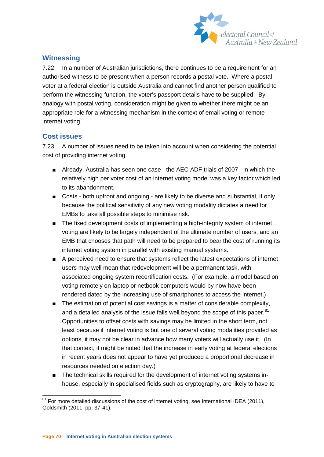

# **Witnessing**

7.22 In a number of Australian jurisdictions, there continues to be a requirement for an authorised witness to be present when a person records a postal vote. Where a postal voter at a federal election is outside Australia and cannot find another person qualified to perform the witnessing function, the voter's passport details have to be supplied. By analogy with postal voting, consideration might be given to whether there might be an appropriate role for a witnessing mechanism in the context of email voting or remote internet voting.

# **Cost issues**

7.23 A number of issues need to be taken into account when considering the potential cost of providing internet voting.

- Already, Australia has seen one case the AEC ADF trials of 2007 in which the relatively high per voter cost of an internet voting model was a key factor which led to its abandonment.
- Costs both upfront and ongoing are likely to be diverse and substantial, if only because the political sensitivity of any new voting modality dictates a need for EMBs to take all possible steps to minimise risk.
- The fixed development costs of implementing a high-integrity system of internet voting are likely to be largely independent of the ultimate number of users, and an EMB that chooses that path will need to be prepared to bear the cost of running its internet voting system in parallel with existing manual systems.
- A perceived need to ensure that systems reflect the latest expectations of internet users may well mean that redevelopment will be a permanent task, with associated ongoing system recertification costs. (For example, a model based on voting remotely on laptop or netbook computers would by now have been rendered dated by the increasing use of smartphones to access the internet.)
- The estimation of potential cost savings is a matter of considerable complexity, and a detailed analysis of the issue falls well beyond the scope of this paper.<sup>81</sup> Opportunities to offset costs with savings may be limited in the short term, not least because if internet voting is but one of several voting modalities provided as options, it may not be clear in advance how many voters will actually use it. (In that context, it might be noted that the increase in early voting at federal elections in recent years does not appear to have yet produced a proportional decrease in resources needed on election day.)
- The technical skills required for the development of internet voting systems inhouse, especially in specialised fields such as cryptography, are likely to have to

 <sup>81</sup> For more detailed discussions of the cost of internet voting, see International IDEA (2011), Goldsmith (2011, pp. 37-41),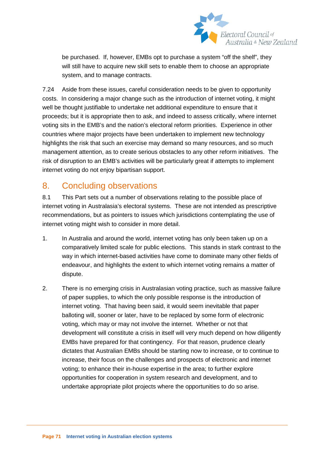

be purchased. If, however, EMBs opt to purchase a system "off the shelf", they will still have to acquire new skill sets to enable them to choose an appropriate system, and to manage contracts.

7.24 Aside from these issues, careful consideration needs to be given to opportunity costs. In considering a major change such as the introduction of internet voting, it might well be thought justifiable to undertake net additional expenditure to ensure that it proceeds; but it is appropriate then to ask, and indeed to assess critically, where internet voting sits in the EMB's and the nation's electoral reform priorities. Experience in other countries where major projects have been undertaken to implement new technology highlights the risk that such an exercise may demand so many resources, and so much management attention, as to create serious obstacles to any other reform initiatives. The risk of disruption to an EMB's activities will be particularly great if attempts to implement internet voting do not enjoy bipartisan support.

# 8. Concluding observations

8.1 This Part sets out a number of observations relating to the possible place of internet voting in Australasia's electoral systems. These are not intended as prescriptive recommendations, but as pointers to issues which jurisdictions contemplating the use of internet voting might wish to consider in more detail.

- 1. In Australia and around the world, internet voting has only been taken up on a comparatively limited scale for public elections. This stands in stark contrast to the way in which internet-based activities have come to dominate many other fields of endeavour, and highlights the extent to which internet voting remains a matter of dispute.
- 2. There is no emerging crisis in Australasian voting practice, such as massive failure of paper supplies, to which the only possible response is the introduction of internet voting. That having been said, it would seem inevitable that paper balloting will, sooner or later, have to be replaced by some form of electronic voting, which may or may not involve the internet. Whether or not that development will constitute a crisis in itself will very much depend on how diligently EMBs have prepared for that contingency. For that reason, prudence clearly dictates that Australian EMBs should be starting now to increase, or to continue to increase, their focus on the challenges and prospects of electronic and internet voting; to enhance their in-house expertise in the area; to further explore opportunities for cooperation in system research and development, and to undertake appropriate pilot projects where the opportunities to do so arise.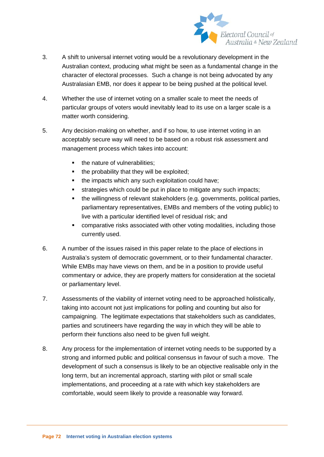

- 3. A shift to universal internet voting would be a revolutionary development in the Australian context, producing what might be seen as a fundamental change in the character of electoral processes. Such a change is not being advocated by any Australasian EMB, nor does it appear to be being pushed at the political level.
- 4. Whether the use of internet voting on a smaller scale to meet the needs of particular groups of voters would inevitably lead to its use on a larger scale is a matter worth considering.
- 5. Any decision-making on whether, and if so how, to use internet voting in an acceptably secure way will need to be based on a robust risk assessment and management process which takes into account:
	- the nature of vulnerabilities:
	- the probability that they will be exploited;
	- the impacts which any such exploitation could have;
	- **strategies which could be put in place to mitigate any such impacts;**
	- the willingness of relevant stakeholders (e.g. governments, political parties, parliamentary representatives, EMBs and members of the voting public) to live with a particular identified level of residual risk; and
	- comparative risks associated with other voting modalities, including those currently used.
- 6. A number of the issues raised in this paper relate to the place of elections in Australia's system of democratic government, or to their fundamental character. While EMBs may have views on them, and be in a position to provide useful commentary or advice, they are properly matters for consideration at the societal or parliamentary level.
- 7. Assessments of the viability of internet voting need to be approached holistically, taking into account not just implications for polling and counting but also for campaigning. The legitimate expectations that stakeholders such as candidates, parties and scrutineers have regarding the way in which they will be able to perform their functions also need to be given full weight.
- 8. Any process for the implementation of internet voting needs to be supported by a strong and informed public and political consensus in favour of such a move. The development of such a consensus is likely to be an objective realisable only in the long term, but an incremental approach, starting with pilot or small scale implementations, and proceeding at a rate with which key stakeholders are comfortable, would seem likely to provide a reasonable way forward.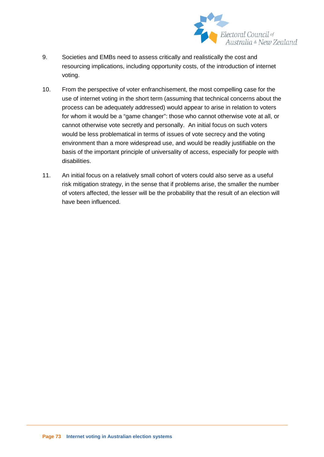

- 9. Societies and EMBs need to assess critically and realistically the cost and resourcing implications, including opportunity costs, of the introduction of internet voting.
- 10. From the perspective of voter enfranchisement, the most compelling case for the use of internet voting in the short term (assuming that technical concerns about the process can be adequately addressed) would appear to arise in relation to voters for whom it would be a "game changer": those who cannot otherwise vote at all, or cannot otherwise vote secretly and personally. An initial focus on such voters would be less problematical in terms of issues of vote secrecy and the voting environment than a more widespread use, and would be readily justifiable on the basis of the important principle of universality of access, especially for people with disabilities.
- 11. An initial focus on a relatively small cohort of voters could also serve as a useful risk mitigation strategy, in the sense that if problems arise, the smaller the number of voters affected, the lesser will be the probability that the result of an election will have been influenced.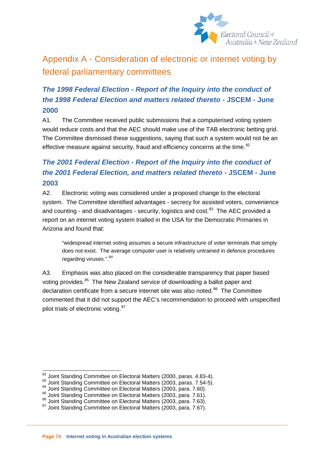

# Appendix A - Consideration of electronic or internet voting by federal parliamentary committees

# *The 1998 Federal Election - Report of the Inquiry into the conduct of the 1998 Federal Election and matters related thereto* **- JSCEM - June 2000**

A1. The Committee received public submissions that a computerised voting system would reduce costs and that the AEC should make use of the TAB electronic betting grid. The Committee dismissed these suggestions, saying that such a system would not be an effective measure against security, fraud and efficiency concerns at the time.<sup>[82](#page-70-0)</sup>

# *The 2001 Federal Election - Report of the Inquiry into the conduct of the 2001 Federal Election, and matters related thereto* **- JSCEM - June 2003**

A2. Electronic voting was considered under a proposed change to the electoral system. The Committee identified advantages - secrecy for assisted voters, convenience and counting - and disadvantages - security, logistics and cost.<sup>83</sup> The AEC provided a report on an internet voting system trialled in the USA for the Democratic Primaries in Arizona and found that:

"widespread internet voting assumes a secure infrastructure of voter terminals that simply does not exist. The average computer user is relatively untrained in defence procedures regarding viruses.".<sup>[84](#page-74-1)</sup>

A3. Emphasis was also placed on the considerable transparency that paper based voting provides.<sup>[85](#page-74-2)</sup> The New Zealand service of downloading a ballot paper and declaration certificate from a secure internet site was also noted.<sup>86</sup> The Committee commented that it did not support the AEC's recommendation to proceed with unspecified pilot trials of electronic voting. [87](#page-74-4)

<span id="page-74-0"></span><sup>&</sup>lt;sup>82</sup> Joint Standing Committee on Electoral Matters (2000, paras. 4.83-4).<br><sup>83</sup> Joint Standing Committee on Electoral Matters (2003, paras. 7.54-5).<br><sup>84</sup> Joint Standing Committee on Electoral Matters (2003, para. 7.60).<br><sup>8</sup>

<span id="page-74-2"></span><span id="page-74-1"></span>

<span id="page-74-4"></span><span id="page-74-3"></span>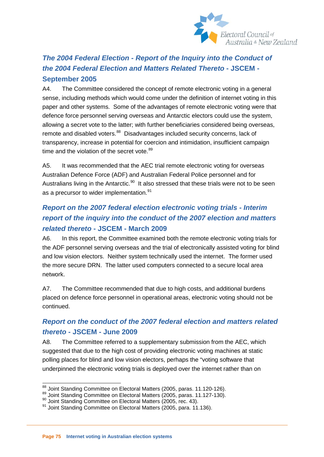

# *The 2004 Federal Election - Report of the Inquiry into the Conduct of the 2004 Federal Election and Matters Related Thereto* **- JSCEM - September 2005**

A4. The Committee considered the concept of remote electronic voting in a general sense, including methods which would come under the definition of internet voting in this paper and other systems. Some of the advantages of remote electronic voting were that defence force personnel serving overseas and Antarctic electors could use the system, allowing a secret vote to the latter; with further beneficiaries considered being overseas, remote and disabled voters.<sup>88</sup> Disadvantages included security concerns, lack of transparency, increase in potential for coercion and intimidation, insufficient campaign time and the violation of the secret vote. $89$ 

A5. It was recommended that the AEC trial remote electronic voting for overseas Australian Defence Force (ADF) and Australian Federal Police personnel and for Australians living in the Antarctic.<sup>90</sup> It also stressed that these trials were not to be seen as a precursor to wider implementation.<sup>[91](#page-75-2)</sup>

# *Report on the 2007 federal election electronic voting trials - Interim report of the inquiry into the conduct of the 2007 election and matters related thereto* **- JSCEM - March 2009**

A6. In this report, the Committee examined both the remote electronic voting trials for the ADF personnel serving overseas and the trial of electronically assisted voting for blind and low vision electors. Neither system technically used the internet. The former used the more secure DRN. The latter used computers connected to a secure local area network.

A7. The Committee recommended that due to high costs, and additional burdens placed on defence force personnel in operational areas, electronic voting should not be continued.

## *Report on the conduct of the 2007 federal election and matters related thereto* **- JSCEM - June 2009**

A8. The Committee referred to a supplementary submission from the AEC, which suggested that due to the high cost of providing electronic voting machines at static polling places for blind and low vision electors, perhaps the "voting software that underpinned the electronic voting trials is deployed over the internet rather than on

<span id="page-75-3"></span><span id="page-75-0"></span><sup>&</sup>lt;sup>88</sup> Joint Standing Committee on Electoral Matters (2005, paras. 11.120-126).<br><sup>89</sup> Joint Standing Committee on Electoral Matters (2005, paras. 11.127-130).<br><sup>90</sup> Joint Standing Committee on Electoral Matters (2005, rec. 43

<span id="page-75-1"></span>

<span id="page-75-2"></span>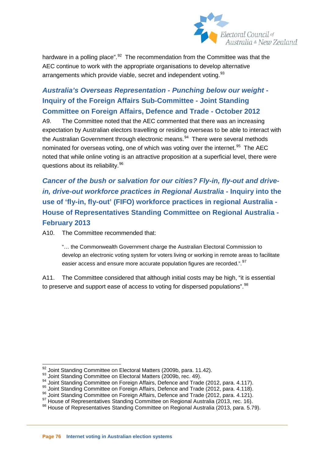

hardware in a polling place". $92$  The recommendation from the Committee was that the AEC continue to work with the appropriate organisations to develop alternative arrangements which provide viable, secret and independent voting.<sup>[93](#page-76-0)</sup>

# *Australia's Overseas Representation - Punching below our weight* **- Inquiry of the Foreign Affairs Sub-Committee - Joint Standing Committee on Foreign Affairs, Defence and Trade - October 2012**

A9. The Committee noted that the AEC commented that there was an increasing expectation by Australian electors travelling or residing overseas to be able to interact with the Australian Government through electronic means. $94$  There were several methods nominated for overseas voting, one of which was voting over the internet.<sup>[95](#page-76-2)</sup> The AEC noted that while online voting is an attractive proposition at a superficial level, there were questions about its reliability.<sup>[96](#page-76-3)</sup>

*Cancer of the bush or salvation for our cities? Fly-in, fly-out and drivein, drive-out workforce practices in Regional Australia* **- Inquiry into the use of 'fly-in, fly-out' (FIFO) workforce practices in regional Australia - House of Representatives Standing Committee on Regional Australia - February 2013**

A10. The Committee recommended that:

"… the Commonwealth Government charge the Australian Electoral Commission to develop an electronic voting system for voters living or working in remote areas to facilitate easier access and ensure more accurate population figures are recorded.". [97](#page-76-4)

A11. The Committee considered that although initial costs may be high, "it is essential to preserve and support ease of access to voting for dispersed populations".<sup>[98](#page-76-5)</sup>

<span id="page-76-6"></span><span id="page-76-0"></span><sup>&</sup>lt;sup>92</sup> Joint Standing Committee on Electoral Matters (2009b, para. 11.42).<br><sup>93</sup> Joint Standing Committee on Electoral Matters (2009b, rec. 49).<br><sup>94</sup> Joint Standing Committee on Foreign Affairs, Defence and Trade (2012, para

<span id="page-76-2"></span><span id="page-76-1"></span>

<span id="page-76-3"></span>

<span id="page-76-4"></span>

<span id="page-76-5"></span>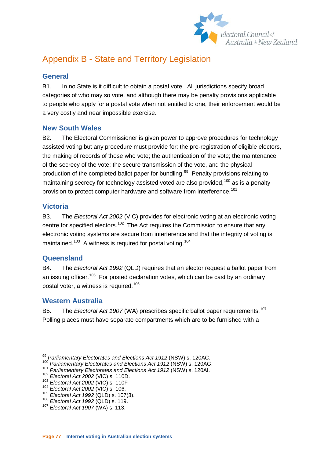

# Appendix B - State and Territory Legislation

## **General**

B1. In no State is it difficult to obtain a postal vote. All jurisdictions specify broad categories of who may so vote, and although there may be penalty provisions applicable to people who apply for a postal vote when not entitled to one, their enforcement would be a very costly and near impossible exercise.

### **New South Wales**

B2. The Electoral Commissioner is given power to approve procedures for technology assisted voting but any procedure must provide for: the pre-registration of eligible electors, the making of records of those who vote; the authentication of the vote; the maintenance of the secrecy of the vote; the secure transmission of the vote, and the physical production of the completed ballot paper for bundling.<sup>[99](#page-76-6)</sup> Penalty provisions relating to maintaining secrecy for technology assisted voted are also provided,<sup>[100](#page-77-0)</sup> as is a penalty provision to protect computer hardware and software from interference.<sup>[101](#page-77-1)</sup>

### **Victoria**

B3. The *Electoral Act 2002* (VIC) provides for electronic voting at an electronic voting centre for specified electors.<sup>102</sup> The Act requires the Commission to ensure that any electronic voting systems are secure from interference and that the integrity of voting is maintained.<sup>103</sup> A witness is required for postal voting.<sup>[104](#page-77-4)</sup>

### **Queensland**

B4. The *Electoral Act 1992* (QLD) requires that an elector request a ballot paper from an issuing officer.<sup>105</sup> For posted declaration votes, which can be cast by an ordinary postal voter, a witness is required.[106](#page-77-6)

## **Western Australia**

B5. The *Electoral Act 1907* (WA) prescribes specific ballot paper requirements.<sup>107</sup> Polling places must have separate compartments which are to be furnished with a

<span id="page-77-8"></span><span id="page-77-0"></span><sup>&</sup>lt;sup>99</sup> Parliamentary Electorates and Elections Act 1912 (NSW) s. 120AC.<br><sup>100</sup> Parliamentary Electorates and Elections Act 1912 (NSW) s. 120AG.<br><sup>101</sup> Parliamentary Electorates and Elections Act 1912 (NSW) s. 120AI.<br><sup>102</sup> Ele

<span id="page-77-2"></span><span id="page-77-1"></span>

<span id="page-77-3"></span>

<span id="page-77-4"></span>

<span id="page-77-5"></span>

<span id="page-77-6"></span>

<span id="page-77-7"></span>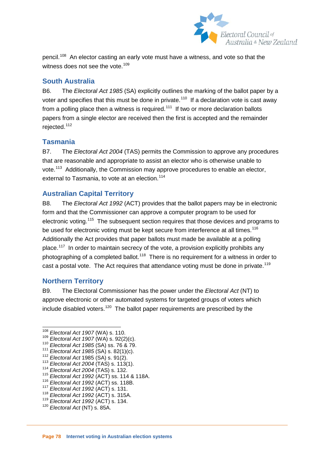

pencil.[108](#page-77-8) An elector casting an early vote must have a witness, and vote so that the witness does not see the vote.<sup>[109](#page-78-0)</sup>

### **South Australia**

B6. The *Electoral Act 1985* (SA) explicitly outlines the marking of the ballot paper by a voter and specifies that this must be done in private.<sup>110</sup> If a declaration vote is cast away from a polling place then a witness is required.<sup>[111](#page-78-2)</sup> If two or more declaration ballots papers from a single elector are received then the first is accepted and the remainder rejected.<sup>[112](#page-78-3)</sup>

#### **Tasmania**

B7. The *Electoral Act 2004* (TAS) permits the Commission to approve any procedures that are reasonable and appropriate to assist an elector who is otherwise unable to vote.[113](#page-78-4) Additionally, the Commission may approve procedures to enable an elector, external to Tasmania, to vote at an election.<sup>[114](#page-78-5)</sup>

### **Australian Capital Territory**

B8. The *Electoral Act 1992* (ACT) provides that the ballot papers may be in electronic form and that the Commissioner can approve a computer program to be used for electronic voting.<sup>115</sup> The subsequent section requires that those devices and programs to be used for electronic voting must be kept secure from interference at all times.<sup>116</sup> Additionally the Act provides that paper ballots must made be available at a polling place.<sup>[117](#page-78-8)</sup> In order to maintain secrecy of the vote, a provision explicitly prohibits any photographing of a completed ballot.<sup>118</sup> There is no requirement for a witness in order to cast a postal vote. The Act requires that attendance voting must be done in private.<sup>[119](#page-78-10)</sup>

### **Northern Territory**

B9. The Electoral Commissioner has the power under the *Electoral Act* (NT) to approve electronic or other automated systems for targeted groups of voters which include disabled voters.<sup>120</sup> The ballot paper requirements are prescribed by the

<span id="page-78-8"></span>

<span id="page-78-1"></span>

<span id="page-78-2"></span>

<span id="page-78-3"></span>

<span id="page-78-4"></span>

<span id="page-78-6"></span><span id="page-78-5"></span>

<span id="page-78-12"></span><span id="page-78-0"></span><sup>&</sup>lt;sup>108</sup> Electoral Act 1907 (WA) s. 110.<br>
<sup>109</sup> Electoral Act 1907 (WA) s. 92(2)(c).<br>
<sup>110</sup> Electoral Act 1985 (SA) ss. 76 & 79.<br>
<sup>111</sup> Electoral Act 1985 (SA) s. 82(1)(c).<br>
<sup>112</sup> Electoral Act 1985 (SA) s. 91(2).<br>
<sup>113</sup> Ele

<span id="page-78-7"></span>

<span id="page-78-9"></span>

<span id="page-78-10"></span>

<span id="page-78-11"></span>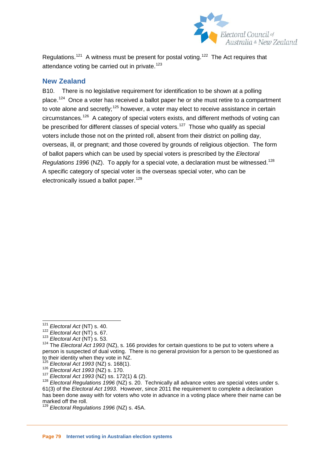

Regulations.<sup>[121](#page-78-12)</sup> A witness must be present for postal voting.<sup>[122](#page-79-0)</sup> The Act requires that attendance voting be carried out in private.<sup>[123](#page-79-1)</sup>

#### **New Zealand**

B10. There is no legislative requirement for identification to be shown at a polling place.<sup>[124](#page-79-2)</sup> Once a voter has received a ballot paper he or she must retire to a compartment to vote alone and secretly;<sup>[125](#page-79-3)</sup> however, a voter may elect to receive assistance in certain circumstances.[126](#page-79-4) A category of special voters exists, and different methods of voting can be prescribed for different classes of special voters.<sup>127</sup> Those who qualify as special voters include those not on the printed roll, absent from their district on polling day, overseas, ill, or pregnant; and those covered by grounds of religious objection. The form of ballot papers which can be used by special voters is prescribed by the *Electoral Regulations* 1996 (NZ). To apply for a special vote, a declaration must be witnessed.<sup>128</sup> A specific category of special voter is the overseas special voter, who can be electronically issued a ballot paper.<sup>[129](#page-79-7)</sup>

<sup>&</sup>lt;sup>121</sup> *Electoral Act* (NT) s. 40.<br><sup>122</sup> *Electoral Act* (NT) s. 67.

<span id="page-79-2"></span><span id="page-79-1"></span><span id="page-79-0"></span><sup>122</sup> *Electoral Act* (NT) s. 67. <sup>123</sup> *Electoral Act* (NT) s. 53. <sup>124</sup> The *Electoral Act 1993* (NZ), s. 166 provides for certain questions to be put to voters where a person is suspected of dual voting. There is no general provision for a person to be questioned as to their identity when they vote in NZ.

<span id="page-79-6"></span><span id="page-79-5"></span>

<span id="page-79-4"></span><span id="page-79-3"></span><sup>&</sup>lt;sup>125</sup> Electoral Act 1993 (NZ) s. 168(1).<br><sup>126</sup> Electoral Act 1993 (NZ) s. 170.<br><sup>127</sup> Electoral Act 1993 (NZ) ss. 172(1) & (2).<br><sup>128</sup> Electoral Regulations 1996 (NZ) s. 20. Technically all advance votes are special votes un 61(3) of the *Electoral Act 1993*. However, since 2011 the requirement to complete a declaration has been done away with for voters who vote in advance in a voting place where their name can be marked off the roll.

<span id="page-79-7"></span><sup>129</sup> *Electoral Regulations 1996* (NZ) s. 45A.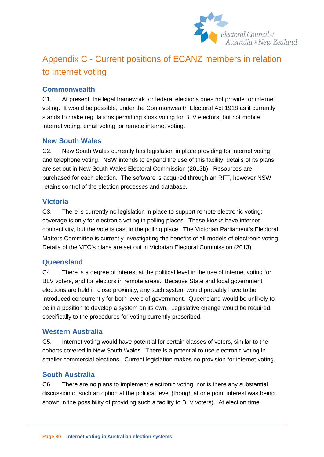

# Appendix C - Current positions of ECANZ members in relation to internet voting

## **Commonwealth**

C1. At present, the legal framework for federal elections does not provide for internet voting. It would be possible, under the Commonwealth Electoral Act 1918 as it currently stands to make regulations permitting kiosk voting for BLV electors, but not mobile internet voting, email voting, or remote internet voting.

#### **New South Wales**

C2. New South Wales currently has legislation in place providing for internet voting and telephone voting. NSW intends to expand the use of this facility: details of its plans are set out in New South Wales Electoral Commission (2013b). Resources are purchased for each election. The software is acquired through an RFT, however NSW retains control of the election processes and database.

#### **Victoria**

C3. There is currently no legislation in place to support remote electronic voting: coverage is only for electronic voting in polling places. These kiosks have internet connectivity, but the vote is cast in the polling place. The Victorian Parliament's Electoral Matters Committee is currently investigating the benefits of all models of electronic voting. Details of the VEC's plans are set out in Victorian Electoral Commission (2013).

### **Queensland**

C4. There is a degree of interest at the political level in the use of internet voting for BLV voters, and for electors in remote areas. Because State and local government elections are held in close proximity, any such system would probably have to be introduced concurrently for both levels of government. Queensland would be unlikely to be in a position to develop a system on its own. Legislative change would be required, specifically to the procedures for voting currently prescribed.

#### **Western Australia**

C5. Internet voting would have potential for certain classes of voters, similar to the cohorts covered in New South Wales. There is a potential to use electronic voting in smaller commercial elections. Current legislation makes no provision for internet voting.

### **South Australia**

C6. There are no plans to implement electronic voting, nor is there any substantial discussion of such an option at the political level (though at one point interest was being shown in the possibility of providing such a facility to BLV voters). At election time,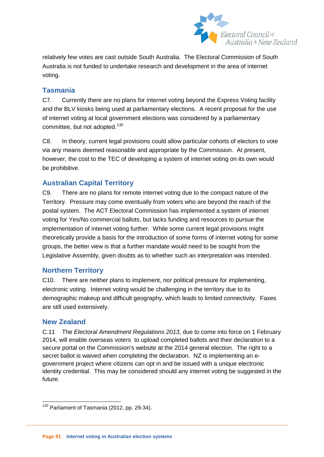

relatively few votes are cast outside South Australia. The Electoral Commission of South Australia is not funded to undertake research and development in the area of internet voting.

## **Tasmania**

C7. Currently there are no plans for internet voting beyond the Express Voting facility and the BLV kiosks being used at parliamentary elections. A recent proposal for the use of internet voting at local government elections was considered by a parliamentary committee, but not adopted.<sup>[130](#page-79-7)</sup>

C8. In theory, current legal provisions could allow particular cohorts of electors to vote via any means deemed reasonable and appropriate by the Commission. At present, however, the cost to the TEC of developing a system of internet voting on its own would be prohibitive.

## **Australian Capital Territory**

C9. There are no plans for remote internet voting due to the compact nature of the Territory. Pressure may come eventually from voters who are beyond the reach of the postal system. The ACT Electoral Commission has implemented a system of internet voting for Yes/No commercial ballots, but lacks funding and resources to pursue the implementation of internet voting further. While some current legal provisions might theoretically provide a basis for the introduction of some forms of internet voting for some groups, the better view is that a further mandate would need to be sought from the Legislative Assembly, given doubts as to whether such an interpretation was intended.

### **Northern Territory**

C10. There are neither plans to implement, nor political pressure for implementing, electronic voting. Internet voting would be challenging in the territory due to its demographic makeup and difficult geography, which leads to limited connectivity. Faxes are still used extensively.

#### **New Zealand**

C.11 The *Electoral Amendment Regulations 2013*, due to come into force on 1 February 2014, will enable overseas voters to upload completed ballots and their declaration to a secure portal on the Commission's website at the 2014 general election. The right to a secret ballot is waived when completing the declaration. NZ is implementing an egovernment project where citizens can opt in and be issued with a unique electronic identity credential. This may be considered should any internet voting be suggested in the future.

<span id="page-81-0"></span><sup>&</sup>lt;sup>130</sup> Parliament of Tasmania (2012, pp. 29-34).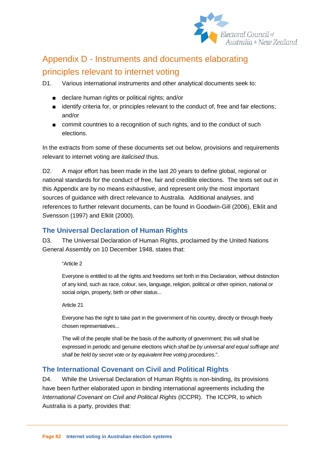

# Appendix D - Instruments and documents elaborating principles relevant to internet voting

D1. Various international instruments and other analytical documents seek to:

- declare human rights or political rights; and/or
- identify criteria for, or principles relevant to the conduct of, free and fair elections; and/or
- commit countries to a recognition of such rights, and to the conduct of such elections.

In the extracts from some of these documents set out below, provisions and requirements relevant to internet voting are *italicised* thus.

D2. A major effort has been made in the last 20 years to define global, regional or national standards for the conduct of free, fair and credible elections. The texts set out in this Appendix are by no means exhaustive, and represent only the most important sources of guidance with direct relevance to Australia. Additional analyses, and references to further relevant documents, can be found in Goodwin-Gill (2006), Elklit and Svensson (1997) and Elklit (2000).

## **The Universal Declaration of Human Rights**

D3. The Universal Declaration of Human Rights, proclaimed by the United Nations General Assembly on 10 December 1948, states that:

"Article 2

Everyone is entitled to all the rights and freedoms set forth in this Declaration, without distinction of any kind, such as race, colour, sex, language, religion, political or other opinion, national or social origin, property, birth or other status...

Article 21

Everyone has the right to take part in the government of his country, directly or through freely chosen representatives...

The will of the people shall be the basis of the authority of government; this will shall be expressed in periodic and genuine elections which *shall be by universal and equal suffrage and shall be held by secret vote or by equivalent free voting procedures*.".

## **The International Covenant on Civil and Political Rights**

D4. While the Universal Declaration of Human Rights is non-binding, its provisions have been further elaborated upon in binding international agreements including the *International Covenant on Civil and Political Rights* (ICCPR). The ICCPR, to which Australia is a party, provides that: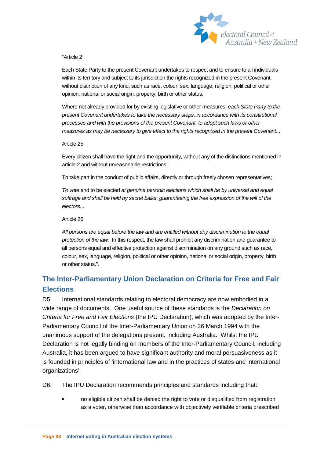

#### "Article 2

Each State Party to the present Covenant undertakes to respect and to ensure to all individuals within its territory and subject to its jurisdiction the rights recognized in the present Covenant, without distinction of any kind, such as race, colour, sex, language, religion, political or other opinion, national or social origin, property, birth or other status.

Where not already provided for by existing legislative or other measures, *each State Party to the present Covenant undertakes to take the necessary steps, in accordance with its constitutional processes and with the provisions of the present Covenant, to adopt such laws or other measures as may be necessary to give effect to the rights recognized in the present Covenant*...

#### Article 25

Every citizen shall have the right and the opportunity, without any of the distinctions mentioned in article 2 and without unreasonable restrictions:

To take part in the conduct of public affairs, directly or through freely chosen representatives;

*To vote* and to be elected *at genuine periodic elections which shall be by universal and equal suffrage and shall be held by secret ballot, guaranteeing the free expression of the will of the electors*...

#### Article 26

*All persons are equal before the law and are entitled without any discrimination to the equal protection of the law.* In this respect, the law shall prohibit any discrimination and guarantee to all persons equal and effective protection against discrimination on any ground such as race, colour, sex, language, religion, political or other opinion, national or social origin, property, birth or other status.".

## **The Inter-Parliamentary Union Declaration on Criteria for Free and Fair Elections**

D5. International standards relating to electoral democracy are now embodied in a wide range of documents. One useful source of these standards is the *Declaration on Criteria for Free and Fair Elections* (the IPU Declaration), which was adopted by the Inter-Parliamentary Council of the Inter-Parliamentary Union on 26 March 1994 with the unanimous support of the delegations present, including Australia. Whilst the IPU Declaration is not legally binding on members of the Inter-Parliamentary Council, including Australia, it has been argued to have significant authority and moral persuasiveness as it is founded in principles of 'international law and in the practices of states and international organizations'.

D6. The IPU Declaration recommends principles and standards including that:

 no eligible citizen shall be denied the right to vote or disqualified from registration as a voter, otherwise than accordance with objectively verifiable criteria prescribed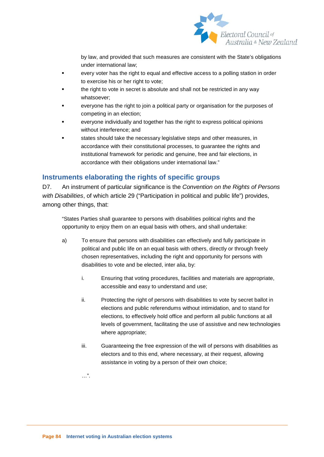

by law, and provided that such measures are consistent with the State's obligations under international law;

- every voter has the right to equal and effective access to a polling station in order to exercise his or her right to vote;
- the right to vote in secret is absolute and shall not be restricted in any way whatsoever;
- everyone has the right to join a political party or organisation for the purposes of competing in an election;
- everyone individually and together has the right to express political opinions without interference; and
- states should take the necessary legislative steps and other measures, in accordance with their constitutional processes, to guarantee the rights and institutional framework for periodic and genuine, free and fair elections, in accordance with their obligations under international law."

## **Instruments elaborating the rights of specific groups**

D7. An instrument of particular significance is the *Convention on the Rights of Persons with Disabilities*, of which article 29 ("Participation in political and public life") provides, among other things, that:

"States Parties shall guarantee to persons with disabilities political rights and the opportunity to enjoy them on an equal basis with others, and shall undertake:

- a) To ensure that persons with disabilities can effectively and fully participate in political and public life on an equal basis with others, directly or through freely chosen representatives, including the right and opportunity for persons with disabilities to vote and be elected, inter alia, by:
	- i. Ensuring that voting procedures, facilities and materials are appropriate, accessible and easy to understand and use;
	- ii. Protecting the right of persons with disabilities to vote by secret ballot in elections and public referendums without intimidation, and to stand for elections, to effectively hold office and perform all public functions at all levels of government, facilitating the use of assistive and new technologies where appropriate;
	- iii. Guaranteeing the free expression of the will of persons with disabilities as electors and to this end, where necessary, at their request, allowing assistance in voting by a person of their own choice;

…".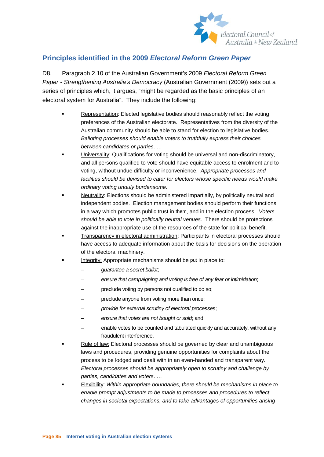

## **Principles identified in the 2009** *Electoral Reform Green Paper*

D8. Paragraph 2.10 of the Australian Government's 2009 *Electoral Reform Green Paper - Strengthening Australia's Democracy* (Australian Government (2009)) sets out a series of principles which, it argues, "might be regarded as the basic principles of an electoral system for Australia". They include the following:

- **Representation: Elected legislative bodies should reasonably reflect the voting** preferences of the Australian electorate. Representatives from the diversity of the Australian community should be able to stand for election to legislative bodies. *Balloting processes should enable voters to truthfully express their choices between candidates or parties*. …
- Universality: Qualifications for voting should be universal and non-discriminatory, and all persons qualified to vote should have equitable access to enrolment and to voting, without undue difficulty or inconvenience. *Appropriate processes and*  facilities should be devised to cater for electors whose specific needs would make *ordinary voting unduly burdensome.*
- Neutrality: Elections should be administered impartially, by politically neutral and independent bodies. Election management bodies should perform their functions in a way which promotes public trust in them, and in the election process. *Voters should be able to vote in politically neutral venues.* There should be protections against the inappropriate use of the resources of the state for political benefit.
- Transparency in electoral administration: Participants in electoral processes should have access to adequate information about the basis for decisions on the operation of the electoral machinery.
- Integrity: Appropriate mechanisms should be put in place to:
	- *guarantee a secret ballot*;
	- *ensure that campaigning and voting is free of any fear or intimidation*;
	- preclude voting by persons not qualified to do so;
	- preclude anyone from voting more than once;
	- *provide for external scrutiny of electoral processes*;
	- *ensure that votes are not bought or sold*; and
	- enable votes to be counted and tabulated quickly and accurately, without any fraudulent interference.
- Rule of law: Electoral processes should be governed by clear and unambiguous laws and procedures, providing genuine opportunities for complaints about the process to be lodged and dealt with in an even-handed and transparent way. *Electoral processes should be appropriately open to scrutiny and challenge by parties, candidates and voters*. …
- Flexibility: *Within appropriate boundaries, there should be mechanisms in place to enable prompt adjustments to be made to processes and procedures to reflect changes in societal expectations, and to take advantages of opportunities arising*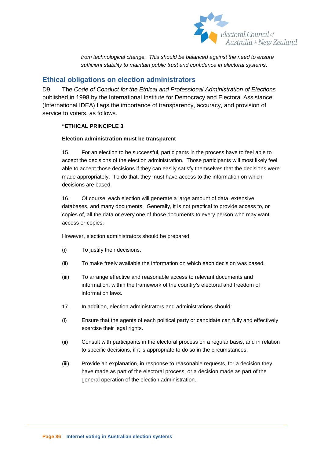

*from technological change. This should be balanced against the need to ensure sufficient stability to maintain public trust and confidence in electoral systems*.

#### **Ethical obligations on election administrators**

D9. The *Code of Conduct for the Ethical and Professional Administration of Elections* published in 1998 by the International Institute for Democracy and Electoral Assistance (International IDEA) flags the importance of transparency, accuracy, and provision of service to voters, as follows.

#### **"ETHICAL PRINCIPLE 3**

#### **Election administration must be transparent**

15. For an election to be successful, participants in the process have to feel able to accept the decisions of the election administration. Those participants will most likely feel able to accept those decisions if they can easily satisfy themselves that the decisions were made appropriately. To do that, they must have access to the information on which decisions are based.

16. Of course, each election will generate a large amount of data, extensive databases, and many documents. Generally, it is not practical to provide access to, or copies of, all the data or every one of those documents to every person who may want access or copies.

However, election administrators should be prepared:

- (i) To justify their decisions.
- (ii) To make freely available the information on which each decision was based.
- (iii) To arrange effective and reasonable access to relevant documents and information, within the framework of the country's electoral and freedom of information laws.
- 17. In addition, election administrators and administrations should:
- (i) Ensure that the agents of each political party or candidate can fully and effectively exercise their legal rights.
- (ii) Consult with participants in the electoral process on a regular basis, and in relation to specific decisions, if it is appropriate to do so in the circumstances.
- (iii) Provide an explanation, in response to reasonable requests, for a decision they have made as part of the electoral process, or a decision made as part of the general operation of the election administration.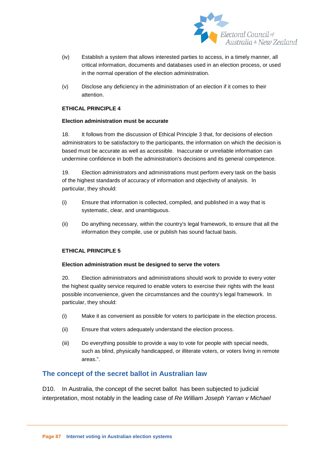

- (iv) Establish a system that allows interested parties to access, in a timely manner, all critical information, documents and databases used in an election process, or used in the normal operation of the election administration.
- (v) Disclose any deficiency in the administration of an election if it comes to their attention.

#### **ETHICAL PRINCIPLE 4**

#### **Election administration must be accurate**

18. It follows from the discussion of Ethical Principle 3 that, for decisions of election administrators to be satisfactory to the participants, the information on which the decision is based must be accurate as well as accessible. Inaccurate or unreliable information can undermine confidence in both the administration's decisions and its general competence.

19. Election administrators and administrations must perform every task on the basis of the highest standards of accuracy of information and objectivity of analysis. In particular, they should:

- (i) Ensure that information is collected, compiled, and published in a way that is systematic, clear, and unambiguous.
- (ii) Do anything necessary, within the country's legal framework, to ensure that all the information they compile, use or publish has sound factual basis.

#### **ETHICAL PRINCIPLE 5**

#### **Election administration must be designed to serve the voters**

20. Election administrators and administrations should work to provide to every voter the highest quality service required to enable voters to exercise their rights with the least possible inconvenience, given the circumstances and the country's legal framework. In particular, they should:

- (i) Make it as convenient as possible for voters to participate in the election process.
- (ii) Ensure that voters adequately understand the election process.
- (iii) Do everything possible to provide a way to vote for people with special needs, such as blind, physically handicapped, or illiterate voters, or voters living in remote areas.".

#### **The concept of the secret ballot in Australian law**

D10. In Australia, the concept of the secret ballot has been subjected to judicial interpretation, most notably in the leading case of *Re William Joseph Yarran v Michael*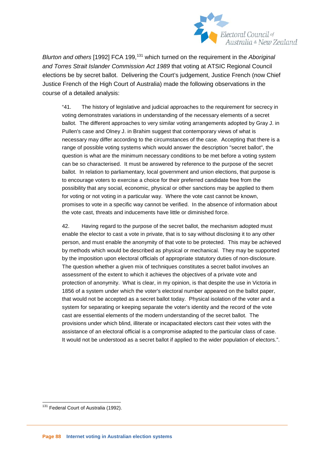

*Blurton and others* [1992] FCA 199,<sup>[131](#page-81-0)</sup> which turned on the requirement in the *Aboriginal and Torres Strait Islander Commission Act 1989* that voting at ATSIC Regional Council elections be by secret ballot. Delivering the Court's judgement, Justice French (now Chief Justice French of the High Court of Australia) made the following observations in the course of a detailed analysis:

"41. The history of legislative and judicial approaches to the requirement for secrecy in voting demonstrates variations in understanding of the necessary elements of a secret ballot. The different approaches to very similar voting arrangements adopted by Gray J. in Pullen's case and Olney J. in Brahim suggest that contemporary views of what is necessary may differ according to the circumstances of the case. Accepting that there is a range of possible voting systems which would answer the description "secret ballot", the question is what are the minimum necessary conditions to be met before a voting system can be so characterised. It must be answered by reference to the purpose of the secret ballot. In relation to parliamentary, local government and union elections, that purpose is to encourage voters to exercise a choice for their preferred candidate free from the possibility that any social, economic, physical or other sanctions may be applied to them for voting or not voting in a particular way. Where the vote cast cannot be known, promises to vote in a specific way cannot be verified. In the absence of information about the vote cast, threats and inducements have little or diminished force.

42. Having regard to the purpose of the secret ballot, the mechanism adopted must enable the elector to cast a vote in private, that is to say without disclosing it to any other person, and must enable the anonymity of that vote to be protected. This may be achieved by methods which would be described as physical or mechanical. They may be supported by the imposition upon electoral officials of appropriate statutory duties of non-disclosure. The question whether a given mix of techniques constitutes a secret ballot involves an assessment of the extent to which it achieves the objectives of a private vote and protection of anonymity. What is clear, in my opinion, is that despite the use in Victoria in 1856 of a system under which the voter's electoral number appeared on the ballot paper, that would not be accepted as a secret ballot today. Physical isolation of the voter and a system for separating or keeping separate the voter's identity and the record of the vote cast are essential elements of the modern understanding of the secret ballot. The provisions under which blind, illiterate or incapacitated electors cast their votes with the assistance of an electoral official is a compromise adapted to the particular class of case. It would not be understood as a secret ballot if applied to the wider population of electors.".

<sup>&</sup>lt;sup>131</sup> Federal Court of Australia (1992).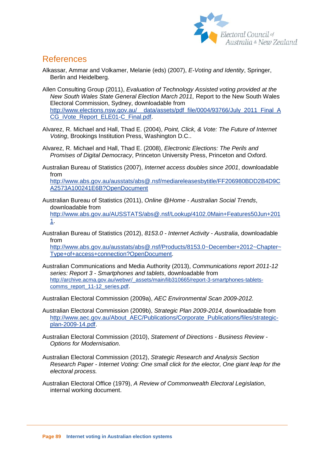

## References

- Alkassar, Ammar and Volkamer, Melanie (eds) (2007), *E-Voting and Identity*, Springer, Berlin and Heidelberg.
- Allen Consulting Group (2011), *Evaluation of Technology Assisted voting provided at the New South Wales State General Election March 2011,* Report to the New South Wales Electoral Commission, Sydney, downloadable from http://www.elections.nsw.gov.au/ data/assets/pdf file/0004/93766/July 2011 Final A [CG\\_iVote\\_Report\\_ELE01-C\\_Final.pdf.](http://www.elections.nsw.gov.au/__data/assets/pdf_file/0004/93766/July_2011_Final_ACG_iVote_Report_ELE01-C_Final.pdf)
- Alvarez, R. Michael and Hall, Thad E. (2004), *Point, Click, & Vote: The Future of Internet Voting*, Brookings Institution Press, Washington D.C..
- Alvarez, R. Michael and Hall, Thad E. (2008), *Electronic Elections: The Perils and Promises of Digital Democracy*, Princeton University Press, Princeton and Oxford.
- Australian Bureau of Statistics (2007), *Internet access doubles since 2001*, downloadable from

[http://www.abs.gov.au/ausstats/abs@.nsf/mediareleasesbytitle/FF206980BDD2B4D9C](http://www.abs.gov.au/ausstats/abs@.nsf/mediareleasesbytitle/FF206980BDD2B4D9CA2573A100241E6B?OpenDocument) [A2573A100241E6B?OpenDocument](http://www.abs.gov.au/ausstats/abs@.nsf/mediareleasesbytitle/FF206980BDD2B4D9CA2573A100241E6B?OpenDocument)

- Australian Bureau of Statistics (2011), *Online @Home - Australian Social Trends*, downloadable from [http://www.abs.gov.au/AUSSTATS/abs@.nsf/Lookup/4102.0Main+Features50Jun+201](http://www.abs.gov.au/AUSSTATS/abs@.nsf/Lookup/4102.0Main+Features50Jun+2011) [1.](http://www.abs.gov.au/AUSSTATS/abs@.nsf/Lookup/4102.0Main+Features50Jun+2011)
- Australian Bureau of Statistics (2012), *8153.0 - Internet Activity - Australia*, downloadable from

[http://www.abs.gov.au/ausstats/abs@.nsf/Products/8153.0~December+2012~Chapter~](http://www.abs.gov.au/ausstats/abs@.nsf/Products/8153.0~December+2012~Chapter~Type+of+access+connection?OpenDocument) [Type+of+access+connection?OpenDocument.](http://www.abs.gov.au/ausstats/abs@.nsf/Products/8153.0~December+2012~Chapter~Type+of+access+connection?OpenDocument)

Australian Communications and Media Authority (2013), *Communications report 2011-12 series: Report 3 - Smartphones and tablets*, downloadable from [http://archive.acma.gov.au/webwr/\\_assets/main/lib310665/report-3-smartphones-tablets](http://archive.acma.gov.au/webwr/_assets/main/lib310665/report-3-smartphones-tablets-comms_report_11-12_series.pdf)[comms\\_report\\_11-12\\_series.pdf.](http://archive.acma.gov.au/webwr/_assets/main/lib310665/report-3-smartphones-tablets-comms_report_11-12_series.pdf)

Australian Electoral Commission (2009a), *AEC Environmental Scan 2009-2012.*

Australian Electoral Commission (2009b), *Strategic Plan 2009-2014*, downloadable from [http://www.aec.gov.au/About\\_AEC/Publications/Corporate\\_Publications/files/strategic](http://www.aec.gov.au/About_AEC/Publications/Corporate_Publications/files/strategic-plan-2009-14.pdf)[plan-2009-14.pdf.](http://www.aec.gov.au/About_AEC/Publications/Corporate_Publications/files/strategic-plan-2009-14.pdf)

Australian Electoral Commission (2010), *Statement of Directions - Business Review - Options for Modernisation*.

- Australian Electoral Commission (2012), *Strategic Research and Analysis Section Research Paper - Internet Voting: One small click for the elector, One giant leap for the electoral process.*
- Australian Electoral Office (1979), *A Review of Commonwealth Electoral Legislation*, internal working document.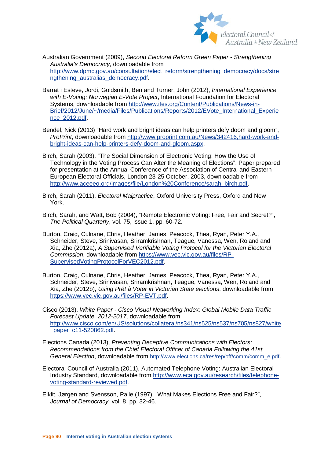

Australian Government (2009), *Second Electoral Reform Green Paper - Strengthening Australia's Democracy*, downloadable from [http://www.dpmc.gov.au/consultation/elect\\_reform/strengthening\\_democracy/docs/stre](http://www.dpmc.gov.au/consultation/elect_reform/strengthening_democracy/docs/strengthening_australias_democracy.pdf) [ngthening\\_australias\\_democracy.pdf.](http://www.dpmc.gov.au/consultation/elect_reform/strengthening_democracy/docs/strengthening_australias_democracy.pdf)

- Barrat i Esteve, Jordi, Goldsmith, Ben and Turner, John (2012), *International Experience with E-Voting: Norwegian E-Vote Project*, International Foundation for Electoral Systems, downloadable from [http://www.ifes.org/Content/Publications/News-in-](http://www.ifes.org/Content/Publications/News-in-Brief/2012/June/~/media/Files/Publications/Reports/2012/EVote_International_Experience_2012.pdf)[Brief/2012/June/~/media/Files/Publications/Reports/2012/EVote\\_International\\_Experie](http://www.ifes.org/Content/Publications/News-in-Brief/2012/June/~/media/Files/Publications/Reports/2012/EVote_International_Experience_2012.pdf) [nce\\_2012.pdf.](http://www.ifes.org/Content/Publications/News-in-Brief/2012/June/~/media/Files/Publications/Reports/2012/EVote_International_Experience_2012.pdf)
- Bendel, Nick (2013) "Hard work and bright ideas can help printers defy doom and gloom", *ProPrint*, downloadable from [http://www.proprint.com.au/News/342416,hard-work-and](http://www.proprint.com.au/News/342416,hard-work-and-bright-ideas-can-help-printers-defy-doom-and-gloom.aspx)[bright-ideas-can-help-printers-defy-doom-and-gloom.aspx.](http://www.proprint.com.au/News/342416,hard-work-and-bright-ideas-can-help-printers-defy-doom-and-gloom.aspx)
- Birch, Sarah (2003), "The Social Dimension of Electronic Voting: How the Use of Technology in the Voting Process Can Alter the Meaning of Elections", Paper prepared for presentation at the Annual Conference of the Association of Central and Eastern European Electoral Officials, London 23-25 October, 2003, downloadable from [http://www.aceeeo.org/images/file/London%20Conference/sarah\\_birch.pdf.](http://www.aceeeo.org/images/file/London%20Conference/sarah_birch.pdf)
- Birch, Sarah (2011), *Electoral Malpractice*, Oxford University Press, Oxford and New York.
- Birch, Sarah, and Watt, Bob (2004), "Remote Electronic Voting: Free, Fair and Secret?", *The Political Quarterly*, vol. 75, issue 1, pp. 60-72.
- Burton, Craig, Culnane, Chris, Heather, James, Peacock, Thea, Ryan, Peter Y.A., Schneider, Steve, Srinivasan, Sriramkrishnan, Teague, Vanessa, Wen, Roland and Xia, Zhe (2012a), *A Supervised Verifiable Voting Protocol for the Victorian Electoral Commission*, downloadable from [https://www.vec.vic.gov.au/files/RP-](https://www.vec.vic.gov.au/files/RP-SupervisedVotingProtocolForVEC2012.pdf)[SupervisedVotingProtocolForVEC2012.pdf.](https://www.vec.vic.gov.au/files/RP-SupervisedVotingProtocolForVEC2012.pdf)
- Burton, Craig, Culnane, Chris, Heather, James, Peacock, Thea, Ryan, Peter Y.A., Schneider, Steve, Srinivasan, Sriramkrishnan, Teague, Vanessa, Wen, Roland and Xia, Zhe (2012b), *Using Prêt à Voter in Victorian State elections*, downloadable from [https://www.vec.vic.gov.au/files/RP-EVT.pdf.](https://www.vec.vic.gov.au/files/RP-EVT.pdf)
- Cisco (2013), *White Paper - Cisco Visual Networking Index: Global Mobile Data Traffic Forecast Update, 2012-2017*, downloadable from [http://www.cisco.com/en/US/solutions/collateral/ns341/ns525/ns537/ns705/ns827/white](http://www.cisco.com/en/US/solutions/collateral/ns341/ns525/ns537/ns705/ns827/white_paper_c11-520862.pdf) [\\_paper\\_c11-520862.pdf.](http://www.cisco.com/en/US/solutions/collateral/ns341/ns525/ns537/ns705/ns827/white_paper_c11-520862.pdf)
- Elections Canada (2013), *Preventing Deceptive Communications with Electors: Recommendations from the Chief Electoral Officer of Canada Following the 41st General Election*, downloadable from [http://www.elections.ca/res/rep/off/comm/comm\\_e.pdf.](http://www.elections.ca/res/rep/off/comm/comm_e.pdf)
- Electoral Council of Australia (2011), Automated Telephone Voting: Australian Electoral Industry Standard, downloadable from [http://www.eca.gov.au/research/files/telephone](http://www.eca.gov.au/research/files/telephone-voting-standard-reviewed.pdf)[voting-standard-reviewed.pdf.](http://www.eca.gov.au/research/files/telephone-voting-standard-reviewed.pdf)
- Elklit, Jørgen and Svensson, Palle (1997), "What Makes Elections Free and Fair?", *Journal of Democracy,* vol. 8, pp. 32-46.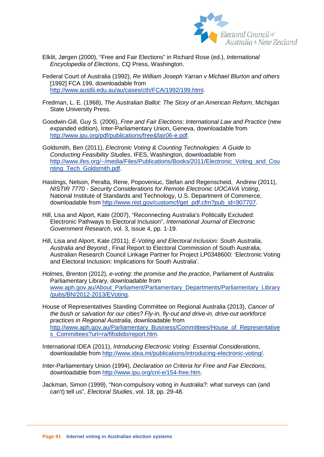

- Elklit, Jørgen (2000), "Free and Fair Elections" in Richard Rose (ed.), *International Encyclopedia of Elections*, CQ Press, Washington.
- Federal Court of Australia (1992), *Re William Joseph Yarran v Michael Blurton and others* [1992] FCA 199, downloadable from [http://www.austlii.edu.au/au/cases/cth/FCA/1992/199.html.](http://www.austlii.edu.au/au/cases/cth/FCA/1992/199.html)
- Fredman, L. E. (1968), *The Australian Ballot: The Story of an American Reform*, Michigan State University Press.
- Goodwin-Gill, Guy S. (2006), *Free and Fair Elections: International Law and Practice* (new expanded edition), Inter-Parliamentary Union, Geneva, downloadable from [http://www.ipu.org/pdf/publications/free&fair06-e.pdf.](http://www.ipu.org/pdf/publications/free&fair06-e.pdf)
- Goldsmith, Ben (2011), *Electronic Voting & Counting Technologies: A Guide to Conducting Feasibility Studies*, IFES, Washington, downloadable from [http://www.ifes.org/~/media/Files/Publications/Books/2011/Electronic\\_Voting\\_and\\_Cou](http://www.ifes.org/~/media/Files/Publications/Books/2011/Electronic_Voting_and_Counting_Tech_Goldsmith.pdf) [nting\\_Tech\\_Goldsmith.pdf.](http://www.ifes.org/~/media/Files/Publications/Books/2011/Electronic_Voting_and_Counting_Tech_Goldsmith.pdf)
- Hastings, Nelson, Peralta, Rene, Popoveniuc, Stefan and Regenscheid, Andrew (2011), *NISTIR 7770 - Security Considerations for Remote Electronic UOCAVA Voting*, National Institute of Standards and Technology, U.S. Department of Commerce, downloadable from [http://www.nist.gov/customcf/get\\_pdf.cfm?pub\\_id=907707.](http://www.nist.gov/customcf/get_pdf.cfm?pub_id=907707)
- Hill, Lisa and Alport, Kate (2007), "Reconnecting Australia's Politically Excluded: Electronic Pathways to Electoral Inclusion", *International Journal of Electronic Government Research*, vol. 3, issue 4, pp. 1-19.
- Hill, Lisa and Alport, Kate (2011), *E-Voting and Electoral Inclusion: South Australia, Australia and Beyond.*, Final Report to Electoral Commission of South Australia, Australian Research Council Linkage Partner for Project LP0348600: 'Electronic Voting and Electoral Inclusion: Implications for South Australia'.
- Holmes, Brenton (2012), *e-voting: the promise and the practice*, Parliament of Australia: Parliamentary Library, downloadable from [www.aph.gov.au/About\\_Parliament/Parliamentary\\_Departments/Parliamentary\\_Library](http://www.aph.gov.au/About_Parliament/Parliamentary_Departments/Parliamentary_Library/pubs/BN/2012-2013/EVoting) [/pubs/BN/2012-2013/EVoting.](http://www.aph.gov.au/About_Parliament/Parliamentary_Departments/Parliamentary_Library/pubs/BN/2012-2013/EVoting)
- House of Representatives Standing Committee on Regional Australia (2013), *Cancer of the bush or salvation for our cities? Fly-in, fly-out and drive-in, drive-out workforce practices in Regional Australia*, downloadable from [http://www.aph.gov.au/Parliamentary\\_Business/Committees/House\\_of\\_Representative](http://www.aph.gov.au/Parliamentary_Business/Committees/House_of_Representatives_Committees?url=ra/fifodido/report.htm) [s\\_Committees?url=ra/fifodido/report.htm.](http://www.aph.gov.au/Parliamentary_Business/Committees/House_of_Representatives_Committees?url=ra/fifodido/report.htm)
- International IDEA (2011), *Introducing Electronic Voting: Essential Considerations*, downloadable from [http://www.idea.int/publications/introducing-electronic-voting/.](http://www.idea.int/publications/introducing-electronic-voting/)
- Inter-Parliamentary Union (1994), *Declaration on Criteria for Free and Fair Elections*, downloadable from [http://www.ipu.org/cnl-e/154-free.htm.](http://www.ipu.org/cnl-e/154-free.htm)
- Jackman, Simon (1999), "Non-compulsory voting in Australia?: what surveys can (and can't) tell us", *Electoral Studies*, vol. 18, pp. 29-48.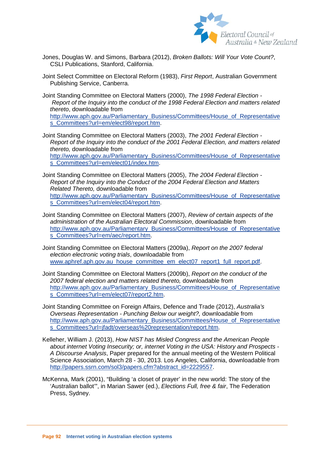

- Jones, Douglas W. and Simons, Barbara (2012), *Broken Ballots: Will Your Vote Count?*, CSLI Publications, Stanford, California.
- Joint Select Committee on Electoral Reform (1983), *First Report*, Australian Government Publishing Service, Canberra.
- Joint Standing Committee on Electoral Matters (2000), *The 1998 Federal Election - Report of the Inquiry into the conduct of the 1998 Federal Election and matters related thereto*, downloadable from [http://www.aph.gov.au/Parliamentary\\_Business/Committees/House\\_of\\_Representative](http://www.aph.gov.au/Parliamentary_Business/Committees/House_of_Representatives_Committees?url=em/elect98/report.htm) [s\\_Committees?url=em/elect98/report.htm.](http://www.aph.gov.au/Parliamentary_Business/Committees/House_of_Representatives_Committees?url=em/elect98/report.htm)
- Joint Standing Committee on Electoral Matters (2003), *The 2001 Federal Election - Report of the Inquiry into the conduct of the 2001 Federal Election, and matters related thereto,* downloadable from [http://www.aph.gov.au/Parliamentary\\_Business/Committees/House\\_of\\_Representative](http://www.aph.gov.au/Parliamentary_Business/Committees/House_of_Representatives_Committees?url=em/elect01/index.htm) [s\\_Committees?url=em/elect01/index.htm.](http://www.aph.gov.au/Parliamentary_Business/Committees/House_of_Representatives_Committees?url=em/elect01/index.htm)
- Joint Standing Committee on Electoral Matters (2005), *The 2004 Federal Election - Report of the Inquiry into the Conduct of the 2004 Federal Election and Matters Related Thereto,* downloadable from [http://www.aph.gov.au/Parliamentary\\_Business/Committees/House\\_of\\_Representative](http://www.aph.gov.au/Parliamentary_Business/Committees/House_of_Representatives_Committees?url=em/elect04/report.htm) [s\\_Committees?url=em/elect04/report.htm.](http://www.aph.gov.au/Parliamentary_Business/Committees/House_of_Representatives_Committees?url=em/elect04/report.htm)
- Joint Standing Committee on Electoral Matters (2007), *Review of certain aspects of the administration of the Australian Electoral Commission*, downloadable from [http://www.aph.gov.au/Parliamentary\\_Business/Committees/House\\_of\\_Representative](http://www.aph.gov.au/Parliamentary_Business/Committees/House_of_Representatives_Committees?url=em/aec/report.htm) [s\\_Committees?url=em/aec/report.htm.](http://www.aph.gov.au/Parliamentary_Business/Committees/House_of_Representatives_Committees?url=em/aec/report.htm)
- Joint Standing Committee on Electoral Matters (2009a), *Report on the 2007 federal election electronic voting trials*, downloadable from [www.aphref.aph.gov.au\\_house\\_committee\\_em\\_elect07\\_report1\\_full\\_report.pdf.](http://www.aphref.aph.gov.au_house_committee_em_elect07_report1_full_report.pdf/)
- Joint Standing Committee on Electoral Matters (2009b), *Report on the conduct of the 2007 federal election and matters related thereto,* downloadable from [http://www.aph.gov.au/Parliamentary\\_Business/Committees/House\\_of\\_Representative](http://www.aph.gov.au/Parliamentary_Business/Committees/House_of_Representatives_Committees?url=em/elect07/report2.htm) [s\\_Committees?url=em/elect07/report2.htm.](http://www.aph.gov.au/Parliamentary_Business/Committees/House_of_Representatives_Committees?url=em/elect07/report2.htm)
- Joint Standing Committee on Foreign Affairs, Defence and Trade (2012), *Australia's Overseas Representation - Punching Below our weight?,* downloadable from [http://www.aph.gov.au/Parliamentary\\_Business/Committees/House\\_of\\_Representative](http://www.aph.gov.au/Parliamentary_Business/Committees/House_of_Representatives_Committees?url=jfadt/overseas%20representation/report.htm) s\_Committees?url=ifadt/overseas%20representation/report.htm.
- Kelleher, William J. (2013), *How NIST has Misled Congress and the American People about internet Voting Insecurity; or, internet Voting in the USA: History and Prospects - A Discourse Analysis*, Paper prepared for the annual meeting of the Western Political Science Association, March 28 - 30, 2013. Los Angeles, California, downloadable from [http://papers.ssrn.com/sol3/papers.cfm?abstract\\_id=2229557.](http://papers.ssrn.com/sol3/papers.cfm?abstract_id=2229557)
- McKenna, Mark (2001), "Building 'a closet of prayer' in the new world: The story of the 'Australian ballot'", in Marian Sawer (ed.), *Elections Full, free & fair*, The Federation Press, Sydney.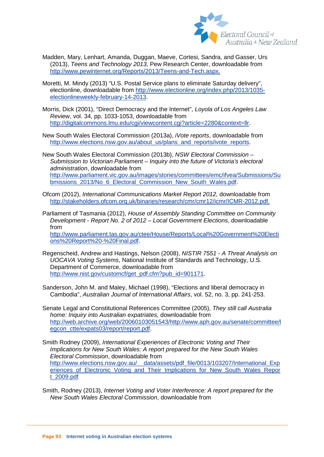

- Madden, Mary, Lenhart, Amanda, Duggan, Maeve, Cortesi, Sandra, and Gasser, Urs (2013), *Teens and Technology 2013,* Pew Research Center, downloadable from [http://www.pewinternet.org/Reports/2013/Teens-and-Tech.aspx.](http://www.pewinternet.org/Reports/2013/Teens-and-Tech.aspx)
- Moretti, M. Mindy (2013) "U.S. Postal Service plans to eliminate Saturday delivery", electionline, downloadable from [http://www.electionline.org/index.php/2013/1035](http://www.electionline.org/index.php/2013/1035-electionlineweekly-february-14-2013) [electionlineweekly-february-14-2013.](http://www.electionline.org/index.php/2013/1035-electionlineweekly-february-14-2013)
- Morris, Dick (2001), "Direct Democracy and the Internet", *Loyola of Los Angeles Law Review*, vol. 34, pp. 1033-1053, downloadable from [http://digitalcommons.lmu.edu/cgi/viewcontent.cgi?article=2280&context=llr.](http://digitalcommons.lmu.edu/cgi/viewcontent.cgi?article=2280&context=llr)
- New South Wales Electoral Commission (2013a), *iVote reports*, downloadable from [http://www.elections.nsw.gov.au/about\\_us/plans\\_and\\_reports/ivote\\_reports.](http://www.elections.nsw.gov.au/about_us/plans_and_reports/ivote_reports)

New South Wales Electoral Commission (2013b), *NSW Electoral Commission – Submission to Victorian Parliament – Inquiry into the future of Victoria's electoral administration*, downloadable from [http://www.parliament.vic.gov.au/images/stories/committees/emc/ifvea/Submissions/Su](http://www.parliament.vic.gov.au/images/stories/committees/emc/ifvea/Submissions/Submissions_2013/No_6_Electoral_Commission_New_South_Wales.pdf) [bmissions\\_2013/No\\_6\\_Electoral\\_Commission\\_New\\_South\\_Wales.pdf.](http://www.parliament.vic.gov.au/images/stories/committees/emc/ifvea/Submissions/Submissions_2013/No_6_Electoral_Commission_New_South_Wales.pdf)

- Ofcom (2012), *International Communications Market Report 2012,* downloadable from [http://stakeholders.ofcom.org.uk/binaries/research/cmr/cmr12/icmr/ICMR-2012.pdf.](http://stakeholders.ofcom.org.uk/binaries/research/cmr/cmr12/icmr/ICMR-2012.pdf)
- Parliament of Tasmania (2012), *House of Assembly Standing Committee on Community Development - Report No. 2 of 2012 – Local Government Elections*, downloadable from [http://www.parliament.tas.gov.au/ctee/House/Reports/Local%20Government%20Electi](http://www.parliament.tas.gov.au/ctee/House/Reports/Local%20Government%20Elections%20Report%20-%20Final.pdf) [ons%20Report%20-%20Final.pdf.](http://www.parliament.tas.gov.au/ctee/House/Reports/Local%20Government%20Elections%20Report%20-%20Final.pdf)
- Regenscheid, Andrew and Hastings, Nelson (2008), *NISTIR 7551 - A Threat Analysis on UOCAVA Voting Systems*, National Institute of Standards and Technology, U.S. Department of Commerce, downloadable from [http://www.nist.gov/customcf/get\\_pdf.cfm?pub\\_id=901171.](http://www.nist.gov/customcf/get_pdf.cfm?pub_id=901171)
- Sanderson, John M. and Maley, Michael (1998), "Elections and liberal democracy in Cambodia", *Australian Journal of International Affairs*, vol. 52, no. 3, pp. 241-253.
- Senate Legal and Constitutional References Committee (2005), *They still call Australia home: Inquiry into Australian expatriates*, downloadable from [http://web.archive.org/web/20060103051543/http://www.aph.gov.au/senate/committee/l](http://web.archive.org/web/20060103051543/http:/www.aph.gov.au/senate/committee/legcon_ctte/expats03/report/report.pdf) [egcon\\_ctte/expats03/report/report.pdf.](http://web.archive.org/web/20060103051543/http:/www.aph.gov.au/senate/committee/legcon_ctte/expats03/report/report.pdf)
- Smith Rodney (2009), *International Experiences of Electronic Voting and Their Implications for New South Wales: A report prepared for the New South Wales Electoral Commission*, downloadable from http://www.elections.nsw.gov.au/ data/assets/pdf file/0013/103207/International Exp eriences of Electronic Voting and Their Implications for New South Wales Repor [t\\_2009.pdf](http://www.elections.nsw.gov.au/__data/assets/pdf_file/0013/103207/International_Experiences_of_Electronic_Voting_and_Their_Implications_for_New_South_Wales_Report_2009.pdf)
- Smith, Rodney (2013), *Internet Voting and Voter Interference: A report prepared for the New South Wales Electoral Commission*, downloadable from